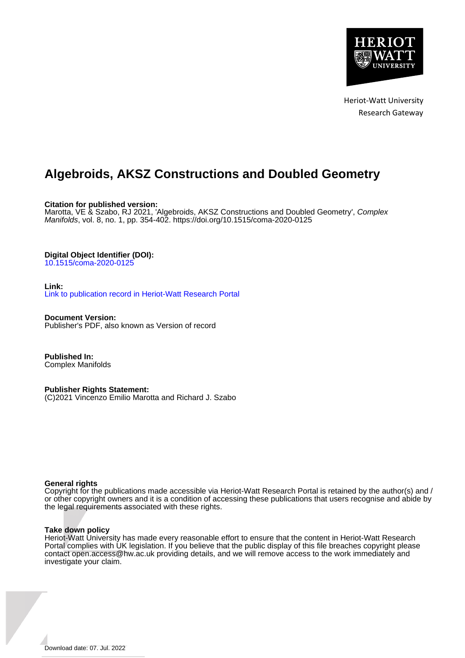

Heriot-Watt University Research Gateway

# **Algebroids, AKSZ Constructions and Doubled Geometry**

**Citation for published version:**

Marotta, VE & Szabo, RJ 2021, 'Algebroids, AKSZ Constructions and Doubled Geometry', Complex Manifolds, vol. 8, no. 1, pp. 354-402. <https://doi.org/10.1515/coma-2020-0125>

#### **Digital Object Identifier (DOI):**

[10.1515/coma-2020-0125](https://doi.org/10.1515/coma-2020-0125)

#### **Link:**

[Link to publication record in Heriot-Watt Research Portal](https://researchportal.hw.ac.uk/en/publications/d99a925d-5b0e-428b-a8c1-12382e7f8524)

**Document Version:** Publisher's PDF, also known as Version of record

**Published In:** Complex Manifolds

#### **Publisher Rights Statement:**

(C)2021 Vincenzo Emilio Marotta and Richard J. Szabo

#### **General rights**

Copyright for the publications made accessible via Heriot-Watt Research Portal is retained by the author(s) and / or other copyright owners and it is a condition of accessing these publications that users recognise and abide by the legal requirements associated with these rights.

#### **Take down policy**

Heriot-Watt University has made every reasonable effort to ensure that the content in Heriot-Watt Research Portal complies with UK legislation. If you believe that the public display of this file breaches copyright please contact open.access@hw.ac.uk providing details, and we will remove access to the work immediately and investigate your claim.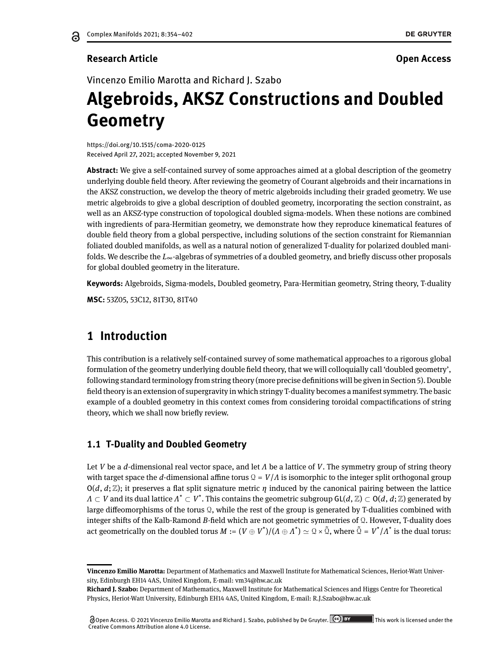### **Research Article Open Access**

Vincenzo Emilio Marotta and Richard J. Szabo

# **Algebroids, AKSZ Constructions and Doubled Geometry**

<https://doi.org/10.1515/coma-2020-0125> Received April 27, 2021; accepted November 9, 2021

**Abstract:** We give a self-contained survey of some approaches aimed at a global description of the geometry underlying double field theory. After reviewing the geometry of Courant algebroids and their incarnations in the AKSZ construction, we develop the theory of metric algebroids including their graded geometry. We use metric algebroids to give a global description of doubled geometry, incorporating the section constraint, as well as an AKSZ-type construction of topological doubled sigma-models. When these notions are combined with ingredients of para-Hermitian geometry, we demonstrate how they reproduce kinematical features of double field theory from a global perspective, including solutions of the section constraint for Riemannian foliated doubled manifolds, as well as a natural notion of generalized T-duality for polarized doubled manifolds. We describe the  $L_{\infty}$ -algebras of symmetries of a doubled geometry, and briefly discuss other proposals for global doubled geometry in the literature.

**Keywords:** Algebroids, Sigma-models, Doubled geometry, Para-Hermitian geometry, String theory, T-duality

**MSC:** 53Z05, 53C12, 81T30, 81T40

# **1 Introduction**

This contribution is a relatively self-contained survey of some mathematical approaches to a rigorous global formulation of the geometry underlying double field theory, that we will colloquially call 'doubled geometry', following standard terminology from string theory (more precise definitions will be given in Section [5\)](#page-33-0). Double field theory is an extension of supergravity in which stringy T-duality becomes a manifest symmetry. The basic example of a doubled geometry in this context comes from considering toroidal compactifications of string theory, which we shall now briefly review.

# <span id="page-1-0"></span>**1.1 T-Duality and Doubled Geometry**

Let *V* be a *d*-dimensional real vector space, and let *Λ* be a lattice of *V*. The symmetry group of string theory with target space the *d*-dimensional affine torus  $Q = V/\Lambda$  is isomorphic to the integer split orthogonal group  $O(d, d; \mathbb{Z})$ ; it preserves a flat split signature metric *η* induced by the canonical pairing between the lattice *Λ* ⊂ *V* and its dual lattice *Λ* \* ⊂ *V* \* . This contains the geometric subgroup GL(*d*, Z) ⊂ O(*d*, *d*;Z) generated by large diffeomorphisms of the torus  $\Omega$ , while the rest of the group is generated by T-dualities combined with integer shifts of the Kalb-Ramond  $B$ -field which are not geometric symmetries of  $\Omega$ . However, T-duality does act geometrically on the doubled torus *M* := (*V* ⊕ *V*\*)/(*Λ* ⊕ *Λ*\*) ≃ Ω × Ω̃, where Ω̃ = *V\**/*Λ*\* is the dual torus:

**Vincenzo Emilio Marotta:** Department of Mathematics and Maxwell Institute for Mathematical Sciences, Heriot-Watt University, Edinburgh EH14 4AS, United Kingdom, E-mail: vm34@hw.ac.uk

**Richard J. Szabo:** Department of Mathematics, Maxwell Institute for Mathematical Sciences and Higgs Centre for Theoretical Physics, Heriot-Watt University, Edinburgh EH14 4AS, United Kingdom, E-mail: R.J.Szabo@hw.ac.uk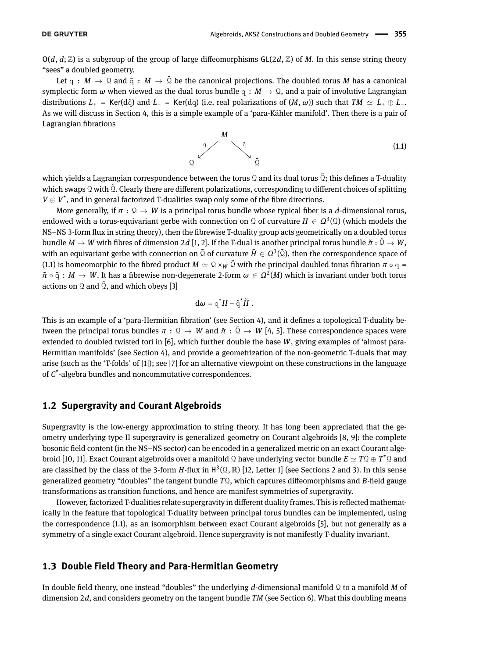$O(d, d; \mathbb{Z})$  is a subgroup of the group of large diffeomorphisms  $GL(2d, \mathbb{Z})$  of *M*. In this sense string theory "sees" a doubled geometry.

Let  $q : M \to Q$  and  $\tilde{q} : M \to \tilde{Q}$  be the canonical projections. The doubled torus M has a canonical symplectic form  $\omega$  when viewed as the dual torus bundle  $q : M \to \Omega$ , and a pair of involutive Lagrangian distributions  $L_{+}$  = Ker(d $\tilde{q}$ ) and  $L_{-}$  = Ker(d $q$ ) (i.e. real polarizations of  $(M, \omega)$ ) such that  $TM \simeq L_{+} \oplus L_{-}$ . As we will discuss in Section [4,](#page-26-0) this is a simple example of a 'para-Kähler manifold'. Then there is a pair of Lagrangian fibrations

<span id="page-2-0"></span>
$$
\begin{array}{c}\n\mathbf{M} \\
\downarrow^{\mathbf{G}} \\
\downarrow^{\mathbf{G}} \\
\downarrow^{\mathbf{G}} \\
\downarrow^{\mathbf{G}}\n\end{array} \tag{1.1}
$$

which yields a Lagrangian correspondence between the torus  $\Omega$  and its dual torus  $\tilde{\Omega}$ ; this defines a T-duality which swaps Q with  $\tilde{Q}$ . Clearly there are different polarizations, corresponding to different choices of splitting  $V \oplus V^*$ , and in general factorized T-dualities swap only some of the fibre directions.

More generally, if  $\pi : \mathcal{Q} \to W$  is a principal torus bundle whose typical fiber is a *d*-dimensional torus, endowed with a torus-equivariant gerbe with connection on Q of curvature  $H \in \Omega^3(\mathfrak{Q})$  (which models the NS–NS 3-form flux in string theory), then the fibrewise T-duality group acts geometrically on a doubled torus bundle  $M \to W$  with fibres of dimension 2*d* [\[1,](#page-46-0) [2\]](#page-46-1). If the T-dual is another principal torus bundle  $\tilde{\pi} : \tilde{\mathfrak{Q}} \to W$ , with an equivariant gerbe with connection on  $\tilde{\Omega}$  of curvature  $\tilde{H}\in \Omega^3(\tilde{\Omega})$ , then the correspondence space of [\(1.1\)](#page-2-0) is homeomorphic to the fibred product  $M \simeq Q \times_W \tilde{Q}$  with the principal doubled torus fibration  $\pi \circ q =$  $\tilde\pi\circ\tilde q:M\to W.$  It has a fibrewise non-degenerate 2-form  $\omega\in\varOmega^2(M)$  which is invariant under both torus actions on  $\mathcal Q$  and  $\tilde{\mathcal Q}$ , and which obeys [\[3\]](#page-46-2)

$$
d\omega = q^*H - \tilde{q}^*\tilde{H}.
$$

This is an example of a 'para-Hermitian fibration' (see Section [4\)](#page-26-0), and it defines a topological T-duality between the principal torus bundles  $\pi : \mathcal{Q} \to W$  and  $\tilde{\pi} : \tilde{\mathcal{Q}} \to W$  [\[4,](#page-46-3) [5\]](#page-46-4). These correspondence spaces were extended to doubled twisted tori in [\[6\]](#page-46-5), which further double the base *W*, giving examples of 'almost para-Hermitian manifolds' (see Section [4\)](#page-26-0), and provide a geometrization of the non-geometric T-duals that may arise (such as the 'T-folds' of [\[1\]](#page-46-0)); see [\[7\]](#page-46-6) for an alternative viewpoint on these constructions in the language of *C* \* -algebra bundles and noncommutative correspondences.

#### **1.2 Supergravity and Courant Algebroids**

Supergravity is the low-energy approximation to string theory. It has long been appreciated that the geometry underlying type II supergravity is generalized geometry on Courant algebroids [\[8,](#page-46-7) [9\]](#page-46-8): the complete bosonic field content (in the NS–NS sector) can be encoded in a generalized metric on an exact Courant alge-broid [\[10,](#page-46-9) [11\]](#page-46-10). Exact Courant algebroids over a manifold  $\Omega$  have underlying vector bundle  $E\simeq T\Omega\oplus T^*\Omega$  and are classified by the class of the 3-form  $H$ -flux in  $H^3(\mathcal{Q}, \mathbb{R})$  [\[12,](#page-46-11) Letter 1] (see Sections [2](#page-5-0) and [3\)](#page-16-0). In this sense generalized geometry "doubles" the tangent bundle  $TQ$ , which captures diffeomorphisms and *B*-field gauge transformations as transition functions, and hence are manifest symmetries of supergravity.

However, factorized T-dualities relate supergravity in different duality frames. This is reflected mathematically in the feature that topological T-duality between principal torus bundles can be implemented, using the correspondence [\(1.1\)](#page-2-0), as an isomorphism between exact Courant algebroids [\[5\]](#page-46-4), but not generally as a symmetry of a single exact Courant algebroid. Hence supergravity is not manifestly T-duality invariant.

#### **1.3 Double Field Theory and Para-Hermitian Geometry**

In double field theory, one instead "doubles" the underlying  $d$ -dimensional manifold  $\Omega$  to a manifold  $M$  of dimension 2*d*, and considers geometry on the tangent bundle *TM* (see Section [6\)](#page-40-0). What this doubling means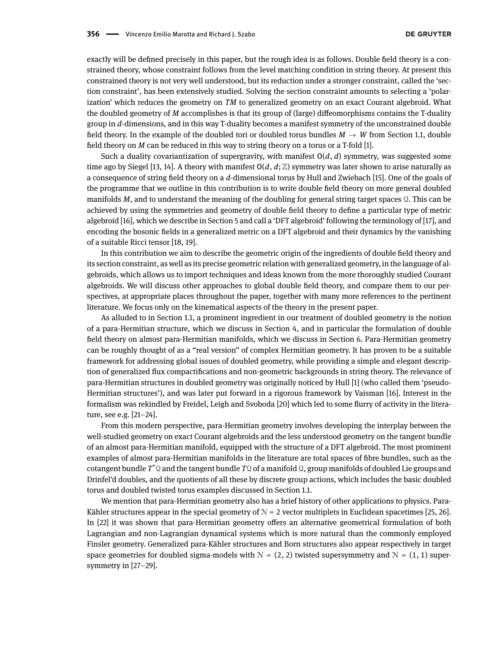exactly will be defined precisely in this paper, but the rough idea is as follows. Double field theory is a constrained theory, whose constraint follows from the level matching condition in string theory. At present this constrained theory is not very well understood, but its reduction under a stronger constraint, called the 'section constraint', has been extensively studied. Solving the section constraint amounts to selecting a 'polarization' which reduces the geometry on *TM* to generalized geometry on an exact Courant algebroid. What the doubled geometry of *M* accomplishes is that its group of (large) diffeomorphisms contains the T-duality group in *d*-dimensions, and in this way T-duality becomes a manifest symmetry of the unconstrained double field theory. In the example of the doubled tori or doubled torus bundles  $M \to W$  from Section [1.1,](#page-1-0) double field theory on *M* can be reduced in this way to string theory on a torus or a T-fold [\[1\]](#page-46-0).

Such a duality covariantization of supergravity, with manifest O(*d*, *d*) symmetry, was suggested some time ago by Siegel [\[13,](#page-46-12) [14\]](#page-46-13). A theory with manifest  $O(d, d; \mathbb{Z})$  symmetry was later shown to arise naturally as a consequence of string eld theory on a *d*-dimensional torus by Hull and Zwiebach [\[15\]](#page-46-14). One of the goals of the programme that we outline in this contribution is to write double field theory on more general doubled manifolds *M*, and to understand the meaning of the doubling for general string target spaces Q. This can be achieved by using the symmetries and geometry of double field theory to define a particular type of metric algebroid [\[16\]](#page-46-15), which we describe in Section [5](#page-33-0) and call a 'DFT algebroid' following the terminology of [\[17\]](#page-46-16), and encoding the bosonic fields in a generalized metric on a DFT algebroid and their dynamics by the vanishing of a suitable Ricci tensor [\[18,](#page-47-0) [19\]](#page-47-1).

In this contribution we aim to describe the geometric origin of the ingredients of double field theory and its section constraint, as well as its precise geometric relation with generalized geometry, in the language of algebroids, which allows us to import techniques and ideas known from the more thoroughly studied Courant algebroids. We will discuss other approaches to global double field theory, and compare them to our perspectives, at appropriate places throughout the paper, together with many more references to the pertinent literature. We focus only on the kinematical aspects of the theory in the present paper.

As alluded to in Section [1.1,](#page-1-0) a prominent ingredient in our treatment of doubled geometry is the notion of a para-Hermitian structure, which we discuss in Section [4,](#page-26-0) and in particular the formulation of double field theory on almost para-Hermitian manifolds, which we discuss in Section [6.](#page-40-0) Para-Hermitian geometry can be roughly thought of as a "real version" of complex Hermitian geometry. It has proven to be a suitable framework for addressing global issues of doubled geometry, while providing a simple and elegant description of generalized flux compactifications and non-geometric backgrounds in string theory. The relevance of para-Hermitian structures in doubled geometry was originally noticed by Hull [\[1\]](#page-46-0) (who called them 'pseudo-Hermitian structures'), and was later put forward in a rigorous framework by Vaisman [\[16\]](#page-46-15). Interest in the formalism was rekindled by Freidel, Leigh and Svoboda [\[20\]](#page-47-2) which led to some flurry of activity in the literature, see e.g. [\[21–](#page-47-3)[24\]](#page-47-4).

From this modern perspective, para-Hermitian geometry involves developing the interplay between the well-studied geometry on exact Courant algebroids and the less understood geometry on the tangent bundle of an almost para-Hermitian manifold, equipped with the structure of a DFT algebroid. The most prominent examples of almost para-Hermitian manifolds in the literature are total spaces of fibre bundles, such as the cotangent bundle  $T^*\mathfrak{Q}$  and the tangent bundle  $T\mathfrak{Q}$  of a manifold  $\mathfrak{Q}$ , group manifolds of doubled Lie groups and Drinfel'd doubles, and the quotients of all these by discrete group actions, which includes the basic doubled torus and doubled twisted torus examples discussed in Section [1.1.](#page-1-0)

We mention that para-Hermitian geometry also has a brief history of other applications to physics. Para-Kähler structures appear in the special geometry of  $N = 2$  vector multiplets in Euclidean spacetimes [\[25,](#page-47-5) [26\]](#page-47-6). In [\[22\]](#page-47-7) it was shown that para-Hermitian geometry offers an alternative geometrical formulation of both Lagrangian and non-Lagrangian dynamical systems which is more natural than the commonly employed Finsler geometry. Generalized para-Kähler structures and Born structures also appear respectively in target space geometries for doubled sigma-models with  $N = (2, 2)$  twisted supersymmetry and  $N = (1, 1)$  supersymmetry in [\[27](#page-47-8)[–29\]](#page-47-9).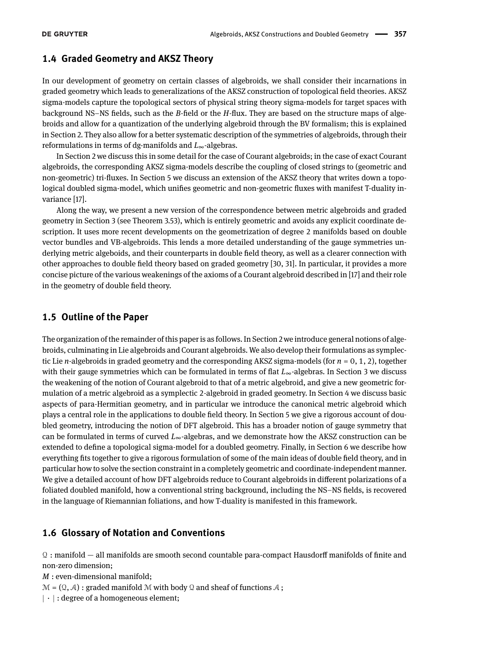# **1.4 Graded Geometry and AKSZ Theory**

In our development of geometry on certain classes of algebroids, we shall consider their incarnations in graded geometry which leads to generalizations of the AKSZ construction of topological field theories. AKSZ sigma-models capture the topological sectors of physical string theory sigma-models for target spaces with background NS–NS fields, such as the *B*-field or the *H*-flux. They are based on the structure maps of algebroids and allow for a quantization of the underlying algebroid through the BV formalism; this is explained in Section [2.](#page-5-0) They also allow for a better systematic description of the symmetries of algebroids, through their reformulations in terms of dg-manifolds and *L*∞-algebras.

In Section [2](#page-5-0) we discuss this in some detail for the case of Courant algebroids; in the case of exact Courant algebroids, the corresponding AKSZ sigma-models describe the coupling of closed strings to (geometric and non-geometric) tri-fluxes. In Section [5](#page-33-0) we discuss an extension of the AKSZ theory that writes down a topological doubled sigma-model, which unifies geometric and non-geometric fluxes with manifest T-duality invariance [\[17\]](#page-46-16).

Along the way, we present a new version of the correspondence between metric algebroids and graded geometry in Section [3](#page-16-0) (see Theorem [3.53\)](#page-24-0), which is entirely geometric and avoids any explicit coordinate description. It uses more recent developments on the geometrization of degree 2 manifolds based on double vector bundles and VB-algebroids. This lends a more detailed understanding of the gauge symmetries underlying metric algeboids, and their counterparts in double field theory, as well as a clearer connection with other approaches to double field theory based on graded geometry [\[30,](#page-47-10) [31\]](#page-47-11). In particular, it provides a more concise picture of the various weakenings of the axioms of a Courant algebroid described in [\[17\]](#page-46-16) and their role in the geometry of double field theory.

# **1.5 Outline of the Paper**

The organization of the remainder of this paper is as follows. In Section [2](#page-5-0) we introduce general notions of algebroids, culminating in Lie algebroids and Courant algebroids. We also develop their formulations as symplectic Lie *n*-algebroids in graded geometry and the corresponding AKSZ sigma-models (for *n* = 0, 1, 2), together with their gauge symmetries which can be formulated in terms of flat *L*<sub>∞</sub>-algebras. In Section [3](#page-16-0) we discuss the weakening of the notion of Courant algebroid to that of a metric algebroid, and give a new geometric formulation of a metric algebroid as a symplectic 2-algebroid in graded geometry. In Section [4](#page-26-0) we discuss basic aspects of para-Hermitian geometry, and in particular we introduce the canonical metric algebroid which plays a central role in the applications to double field theory. In Section [5](#page-33-0) we give a rigorous account of doubled geometry, introducing the notion of DFT algebroid. This has a broader notion of gauge symmetry that can be formulated in terms of curved *L*∞-algebras, and we demonstrate how the AKSZ construction can be extended to define a topological sigma-model for a doubled geometry. Finally, in Section [6](#page-40-0) we describe how everything fits together to give a rigorous formulation of some of the main ideas of double field theory, and in particular how to solve the section constraint in a completely geometric and coordinate-independent manner. We give a detailed account of how DFT algebroids reduce to Courant algebroids in different polarizations of a foliated doubled manifold, how a conventional string background, including the NS–NS fields, is recovered in the language of Riemannian foliations, and how T-duality is manifested in this framework.

# **1.6 Glossary of Notation and Conventions**

 $\Omega$ : manifold  $-$  all manifolds are smooth second countable para-compact Hausdorff manifolds of finite and non-zero dimension;

*M* : even-dimensional manifold;

 $M = (Q, A)$ : graded manifold M with body Q and sheaf of functions A;

 $|\cdot|$ : degree of a homogeneous element;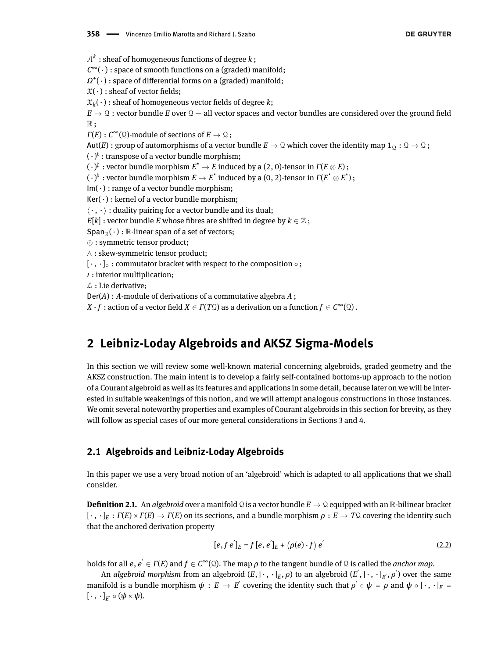$\mathcal{A}^k$  : sheaf of homogeneous functions of degree  $k$  ;

*C* <sup>∞</sup>(·) : space of smooth functions on a (graded) manifold;

 $\Omega ^{\bullet }(\,\cdot\,)$  : space of differential forms on a (graded) manifold;

 $\mathfrak{X}(\cdot)$  : sheaf of vector fields;

 $\mathfrak{X}_k (\cdot)$  : sheaf of homogeneous vector fields of degree  $k;$ 

 $E \rightarrow \Omega$ : vector bundle *E* over  $\Omega$  — all vector spaces and vector bundles are considered over the ground field  $\mathbb{R}$  ;

 $\Gamma(E): C^{\infty}(\mathfrak{Q})$ -module of sections of  $E \to \mathfrak{Q}$ ;

Aut(*E*) : group of automorphisms of a vector bundle  $E \to \Omega$  which cover the identity map  $1_\Omega$  :  $\Omega \to \Omega$ ;

 $(\cdot)^t$ : transpose of a vector bundle morphism;

(·) ] : vector bundle morphism *E* \* → *E* induced by a (2, 0)-tensor in *Γ*(*E* ⊗ *E*) ;

 $(\,\cdot\,)^{\flat}$  : vector bundle morphism  $E\to E^\star$  induced by a (0, 2)-tensor in  $\varGamma(E^\star\otimes E^\star);$ 

 $Im(\cdot)$ : range of a vector bundle morphism:

 $Ker(\cdot)$ : kernel of a vector bundle morphism;

 $\langle \cdot , \cdot \rangle$ : duality pairing for a vector bundle and its dual;

*E*[ $k$ ] : vector bundle *E* whose fibres are shifted in degree by  $k \in \mathbb{Z}$ ;

 $Span_{\mathbb{R}}(\cdot) : \mathbb{R}$ -linear span of a set of vectors;

 : symmetric tensor product;

∧ : skew-symmetric tensor product;

[ · , · ]。 : commutator bracket with respect to the composition ∘ ;

*ι* : interior multiplication;

 $L$  : Lie derivative;

Der(*A*) : *A*-module of derivations of a commutative algebra *A* ;

 $X \cdot f$  : action of a vector field  $X \in \varGamma(T \mathfrak{Q})$  as a derivation on a function  $f \in \varGamma^{\infty}(\mathfrak{Q})$  .

# <span id="page-5-0"></span>**2 Leibniz-Loday Algebroids and AKSZ Sigma-Models**

In this section we will review some well-known material concerning algebroids, graded geometry and the AKSZ construction. The main intent is to develop a fairly self-contained bottoms-up approach to the notion of a Courant algebroid as well as its features and applications in some detail, because later on we will be interested in suitable weakenings of this notion, and we will attempt analogous constructions in those instances. We omit several noteworthy properties and examples of Courant algebroids in this section for brevity, as they will follow as special cases of our more general considerations in Sections [3](#page-16-0) and [4.](#page-26-0)

## **2.1 Algebroids and Leibniz-Loday Algebroids**

In this paper we use a very broad notion of an 'algebroid' which is adapted to all applications that we shall consider.

<span id="page-5-2"></span>**Definition 2.1.** An *algebroid* over a manifold Q is a vector bundle  $E \to \mathbb{Q}$  equipped with an R-bilinear bracket  $[\cdot, \cdot]_E : \Gamma(E) \to \Gamma(E)$  on its sections, and a bundle morphism  $\rho : E \to T\mathfrak{Q}$  covering the identity such that the anchored derivation property

<span id="page-5-1"></span>
$$
[e, fe']_E = f[e, e']_E + (\rho(e) \cdot f) e'
$$
 (2.2)

holds for all  $e, e^{'} \in \Gamma(E)$  and  $f \in C^{\infty}(\Omega)$ . The map  $\rho$  to the tangent bundle of  $\Omega$  is called the *anchor map*.

An *algebroid morphism* from an algebroid  $(E, [\cdot,\cdot]_E, \rho)$  to an algebroid  $(E', [\cdot,\cdot]_E', \rho')$  over the same manifold is a bundle morphism  $\psi\,:\,E\,\to\,E^{'}$  covering the identity such that  $\rho^{'}\circ\psi\,=\,\rho$  and  $\psi\circ[\,\cdot\,,\,\cdot\,]_E\,=\,$  $[\cdot, \cdot]_{E} \circ (\psi \times \psi).$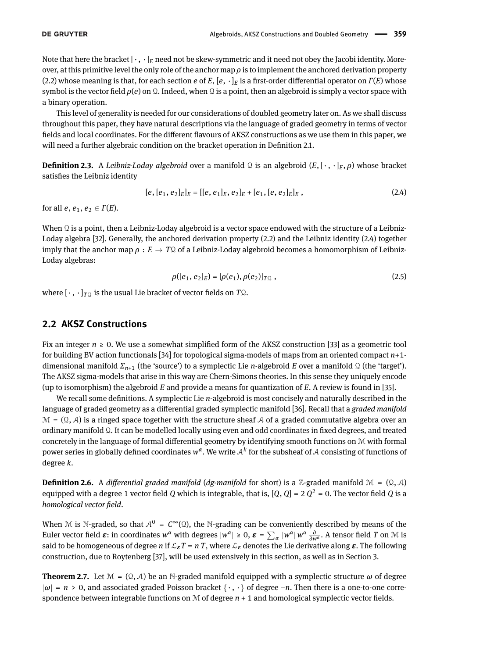Note that here the bracket  $[\cdot, \cdot]_E$  need not be skew-symmetric and it need not obey the Jacobi identity. Moreover, at this primitive level the only role of the anchor map *ρ* is to implement the anchored derivation property [\(2.2\)](#page-5-1) whose meaning is that, for each section *e* of *E*, [*e*, ·]<sub>*E*</sub> is a first-order differential operator on  $\Gamma(E)$  whose symbol is the vector field *ρ*(*e*) on  $\Omega$ . Indeed, when  $\Omega$  is a point, then an algebroid is simply a vector space with a binary operation.

This level of generality is needed for our considerations of doubled geometry later on. As we shall discuss throughout this paper, they have natural descriptions via the language of graded geometry in terms of vector fields and local coordinates. For the different flavours of AKSZ constructions as we use them in this paper, we will need a further algebraic condition on the bracket operation in Definition [2.1.](#page-5-2)

<span id="page-6-2"></span>**Definition 2.3.** A *Leibniz-Loday algebroid* over a manifold Q is an algebroid  $(E, [\cdot, \cdot]_E, \rho)$  whose bracket satisfies the Leibniz identity

$$
[e, [e_1, e_2]_E]_E = [[e, e_1]_E, e_2]_E + [e_1, [e, e_2]_E]_E,
$$
\n(2.4)

for all *e*,  $e_1, e_2 \in \Gamma(E)$ .

When  $\Omega$  is a point, then a Leibniz-Loday algebroid is a vector space endowed with the structure of a Leibniz-Loday algebra [\[32\]](#page-47-12). Generally, the anchored derivation property [\(2.2\)](#page-5-1) and the Leibniz identity [\(2.4\)](#page-6-0) together imply that the anchor map  $\rho : E \to T\mathfrak{Q}$  of a Leibniz-Loday algebroid becomes a homomorphism of Leibniz-Loday algebras:

<span id="page-6-3"></span><span id="page-6-0"></span>
$$
\rho([e_1, e_2]_E) = [\rho(e_1), \rho(e_2)]_{T\mathcal{Q}}, \qquad (2.5)
$$

where  $[\cdot, \cdot]_{T\Omega}$  is the usual Lie bracket of vector fields on *T*Q.

#### **2.2 AKSZ Constructions**

Fix an integer  $n \ge 0$ . We use a somewhat simplified form of the AKSZ construction [\[33\]](#page-47-13) as a geometric tool for building BV action functionals [\[34\]](#page-47-14) for topological sigma-models of maps from an oriented compact *n*+1 dimensional manifold *Σn*+1 (the 'source') to a symplectic Lie *n*-algebroid *E* over a manifold Q (the 'target'). The AKSZ sigma-models that arise in this way are Chern-Simons theories. In this sense they uniquely encode (up to isomorphism) the algebroid *E* and provide a means for quantization of *E*. A review is found in [\[35\]](#page-47-15).

We recall some definitions. A symplectic Lie *n*-algebroid is most concisely and naturally described in the language of graded geometry as a differential graded symplectic manifold [\[36\]](#page-47-16). Recall that a *graded manifold*  $\mathcal{M} = (\Omega, \mathcal{A})$  is a ringed space together with the structure sheaf A of a graded commutative algebra over an ordinary manifold Q. It can be modelled locally using even and odd coordinates in xed degrees, and treated concretely in the language of formal differential geometry by identifying smooth functions on  $M$  with formal power series in globally defined coordinates  $w^{\alpha}$ . We write  ${\cal A}^k$  for the subsheaf of  ${\cal A}$  consisting of functions of degree *k*.

**Definition 2.6.** A *differential graded manifold (dg-manifold for short)* is a Z-graded manifold  $\mathcal{M} = (\mathcal{Q}, \mathcal{A})$ equipped with a degree 1 vector field *Q* which is integrable, that is, [*Q*, *Q*] = 2 *Q*<sup>2</sup> = 0. The vector field *Q* is a *homological vector field.* 

When M is N-graded, so that  $A^0 = C^{\infty}(0)$ , the N-grading can be conveniently described by means of the Euler vector field  $\varepsilon$ : in coordinates  $w^{\alpha}$  with degrees  $|w^{\alpha}| \ge 0$ ,  $\varepsilon = \sum_{\alpha} |w^{\alpha}| w^{\alpha} \frac{\partial}{\partial w^{\alpha}}$ . A tensor field *T* on M is said to be homogeneous of degree *n* if  $\mathcal{L}_\epsilon T = nT$ , where  $\mathcal{L}_\epsilon$  denotes the Lie derivative along  $\epsilon$ . The following construction, due to Roytenberg [\[37\]](#page-47-17), will be used extensively in this section, as well as in Section [3.](#page-16-0)

<span id="page-6-1"></span>**Theorem 2.7.** Let  $\mathcal{M} = (\mathcal{Q}, \mathcal{A})$  be an N-graded manifold equipped with a symplectic structure  $\omega$  of degree |*ω*| = *n* > 0, and associated graded Poisson bracket { · , · } of degree −*n*. Then there is a one-to-one correspondence between integrable functions on  $M$  of degree  $n + 1$  and homological symplectic vector fields.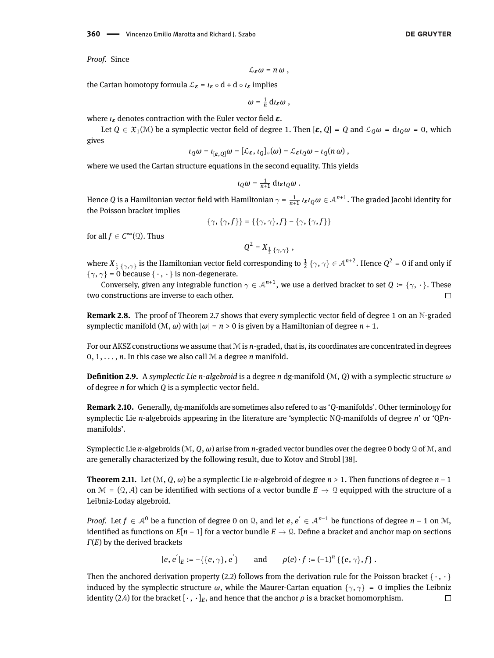$\mathcal{L}_{\mathbf{F}}\omega = n\,\omega$ ,

<span id="page-7-2"></span>the Cartan homotopy formula  $\mathcal{L}_{\epsilon} = \iota_{\epsilon} \circ d + d \circ \iota_{\epsilon}$  implies

$$
\omega=\tfrac{1}{n}\,\mathrm{d}\iota_{\varepsilon}\omega\;,
$$

where *ι*<sub>ε</sub> denotes contraction with the Euler vector field **ε**.

Let  $Q \in \mathfrak{X}_1(\mathcal{M})$  be a symplectic vector field of degree 1. Then  $[\varepsilon, Q] = Q$  and  $\mathcal{L}_Q \omega = d_l \omega = 0$ , which gives

$$
\iota_Q \omega = \iota_{[\varepsilon,Q]} \omega = [\mathcal{L}_{\varepsilon}, \iota_Q]_{\circ} (\omega) = \mathcal{L}_{\varepsilon} \iota_Q \omega - \iota_Q (n \omega) ,
$$

where we used the Cartan structure equations in the second equality. This yields

$$
\iota_Q \omega = \tfrac{1}{n+1} \, \mathrm{d} \iota_{\varepsilon} \iota_Q \omega \; .
$$

Hence  $Q$  is a Hamiltonian vector field with Hamiltonian  $\gamma=\frac{1}{n+1}$  *ιει* $_Q\omega\in\mathcal{A}^{n+1}.$  The graded Jacobi identity for the Poisson bracket implies

$$
\{\gamma, \{\gamma, f\}\} = \{\{\gamma, \gamma\}, f\} - \{\gamma, \{\gamma, f\}\}\
$$

for all  $f \in C^{\infty}(\Omega)$ . Thus

$$
Q^2 = X_{\frac{1}{2} \{\gamma,\gamma\}} \ ,
$$

where  $X_{\frac{1}{2}\{\gamma,\gamma\}}$  is the Hamiltonian vector field corresponding to  $\frac{1}{2}\{\gamma,\gamma\}\in\mathcal{A}^{n+2}$ . Hence  $Q^2$  = 0 if and only if  $\{\gamma, \gamma\} = 0$  because  $\{\cdot, \cdot\}$  is non-degenerate.

Conversely, given any integrable function  $\gamma \in \mathcal{A}^{n+1}$ , we use a derived bracket to set  $Q := \{\gamma, \cdot\}$ . These two constructions are inverse to each other.  $\Box$ 

**Remark 2.8.** The proof of Theorem [2.7](#page-6-1) shows that every symplectic vector field of degree 1 on an N-graded symplectic manifold  $(M, \omega)$  with  $|\omega| = n > 0$  is given by a Hamiltonian of degree  $n + 1$ .

For our AKSZ constructions we assume that M is *n*-graded, that is, its coordinates are concentrated in degrees 0, 1, *. . .* , *n*. In this case we also call M a degree *n* manifold.

<span id="page-7-1"></span>**Denition 2.9.** A *symplectic Lie n-algebroid* is a degree *n* dg-manifold (M, *Q*) with a symplectic structure *ω* of degree  $n$  for which  $Q$  is a symplectic vector field.

**Remark 2.10.** Generally, dg-manifolds are sometimes also refered to as '*Q*-manifolds'. Other terminology for symplectic Lie *n*-algebroids appearing in the literature are 'symplectic N*Q*-manifolds of degree *n*' or 'QP*n*manifolds'.

Symplectic Lie *n*-algebroids (M, *Q*, *ω*) arise from *n*-graded vector bundles over the degree 0 body Q of M, and are generally characterized by the following result, due to Kotov and Strobl [\[38\]](#page-47-18).

<span id="page-7-0"></span>**Theorem 2.11.** Let  $(\mathcal{M}, Q, \omega)$  be a symplectic Lie *n*-algebroid of degree *n* > 1. Then functions of degree *n* − 1 on  $\mathcal{M} = (\mathcal{Q}, \mathcal{A})$  can be identified with sections of a vector bundle  $E \to \mathcal{Q}$  equipped with the structure of a Leibniz-Loday algebroid.

*Proof.* Let  $f \in \mathcal{A}^0$  be a function of degree 0 on Q, and let  $e, e' \in \mathcal{A}^{n-1}$  be functions of degree  $n-1$  on M, identified as functions on *E*[*n* − 1] for a vector bundle  $E \rightarrow \Omega$ . Define a bracket and anchor map on sections *Γ*(*E*) by the derived brackets

$$
[e, e']_E := -\{\{e, \gamma\}, e'\}
$$
 and  $\rho(e) \cdot f := (-1)^n \{\{e, \gamma\}, f\}$ .

Then the anchored derivation property [\(2.2\)](#page-5-1) follows from the derivation rule for the Poisson bracket { $\cdot \cdot \cdot$ } induced by the symplectic structure  $\omega$ , while the Maurer-Cartan equation  $\{\gamma, \gamma\} = 0$  implies the Leibniz identity [\(2.4\)](#page-6-0) for the bracket  $[\cdot, \cdot]_E$ , and hence that the anchor  $\rho$  is a bracket homomorphism.  $\Box$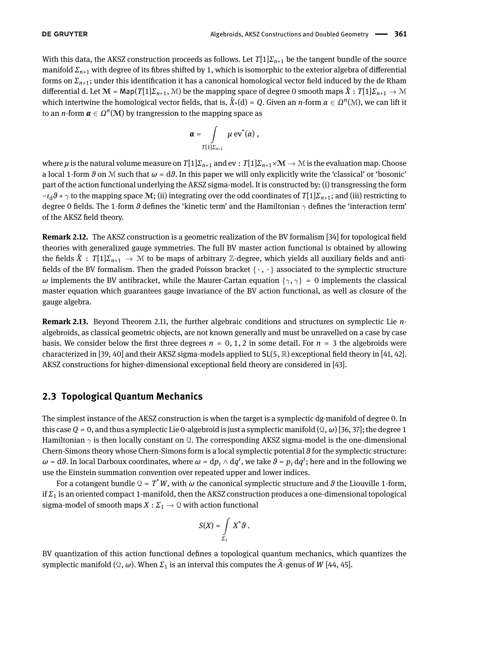With this data, the AKSZ construction proceeds as follows. Let *T*[1]*Σn*+1 be the tangent bundle of the source manifold  $\Sigma_{n+1}$  with degree of its fibres shifted by 1, which is isomorphic to the exterior algebra of differential forms on  $\Sigma_{n+1}$ ; under this identification it has a canonical homological vector field induced by the de Rham differential d. Let  $\mathcal{M} = \text{Map}(T[1]\Sigma_{n+1}, \mathcal{M})$  be the mapping space of degree 0 smooth maps  $\hat{X} : T[1]\Sigma_{n+1} \to \mathcal{M}$ which intertwine the homological vector fields, that is,  $\hat{X}_\star(\mathrm{d})=Q.$  Given an  $n$ -form  $\alpha\in\Omega^n(\mathcal{M}),$  we can lift it to an *n*-form  $\boldsymbol{\alpha} \in \Omega^n(\mathcal{M})$  by trangression to the mapping space as

$$
\pmb{\alpha} = \int\limits_{T[1]\Sigma_{n+1}} \mu \,\mathrm{ev}^\star(\pmb{\alpha}) \;,
$$

where *µ* is the natural volume measure on *T*[1]*Σn*+1 and ev : *T*[1]*Σn*+1×M → M is the evaluation map. Choose a local 1-form *ϑ* on M such that *ω* = d*ϑ*. In this paper we will only explicitly write the 'classical' or 'bosonic' part of the action functional underlying the AKSZ sigma-model. It is constructed by: (i) transgressing the form −*ι*d*ϑ* + γ to the mapping space M; (ii) integrating over the odd coordinates of *T*[1]*Σn*+1; and (iii) restricting to degree 0 fields. The 1-form  $\theta$  defines the 'kinetic term' and the Hamiltonian  $\gamma$  defines the 'interaction term' of the AKSZ field theory.

**Remark 2.12.** The AKSZ construction is a geometric realization of the BV formalism [\[34\]](#page-47-14) for topological field theories with generalized gauge symmetries. The full BV master action functional is obtained by allowing the fields  $\hat{X}$  :  $T[1]\Sigma_{n+1} \to \mathcal{M}$  to be maps of arbitrary  $\mathbb{Z}$ -degree, which yields all auxiliary fields and antifields of the BV formalism. Then the graded Poisson bracket  $\{\cdot,\cdot\}$  associated to the symplectic structure *ω* implements the BV antibracket, while the Maurer-Cartan equation { $\gamma$ ,  $\gamma$ } = 0 implements the classical master equation which guarantees gauge invariance of the BV action functional, as well as closure of the gauge algebra.

**Remark 2.13.** Beyond Theorem [2.11,](#page-7-0) the further algebraic conditions and structures on symplectic Lie *n*algebroids, as classical geometric objects, are not known generally and must be unravelled on a case by case basis. We consider below the first three degrees  $n = 0, 1, 2$  in some detail. For  $n = 3$  the algebroids were characterized in [\[39,](#page-47-19) [40\]](#page-47-20) and their AKSZ sigma-models applied to  $SL(5, \mathbb{R})$  exceptional field theory in [\[41,](#page-47-21) [42\]](#page-47-22). AKSZ constructions for higher-dimensional exceptional field theory are considered in [\[43\]](#page-47-23).

# **2.3 Topological Quantum Mechanics**

The simplest instance of the AKSZ construction is when the target is a symplectic dg-manifold of degree 0. In this case  $Q = 0$ , and thus a symplectic Lie 0-algebroid is just a symplectic manifold  $(Q, \omega)$  [\[36,](#page-47-16) [37\]](#page-47-17); the degree 1 Hamiltonian  $\gamma$  is then locally constant on Q. The corresponding AKSZ sigma-model is the one-dimensional Chern-Simons theory whose Chern-Simons form is a local symplectic potential *ϑ* for the symplectic structure:  $ω$  = dθ. In local Darboux coordinates, where  $ω$  = d $p_i$  ∧ d $q^i$ , we take  $θ$  =  $p_i$  d $q^i$ ; here and in the following we use the Einstein summation convention over repeated upper and lower indices.

For a cotangent bundle  $\mathcal{Q} = T^{\star}W$ , with  $\omega$  the canonical symplectic structure and  $\vartheta$  the Liouville 1-form, if  $\Sigma_1$  is an oriented compact 1-manifold, then the AKSZ construction produces a one-dimensional topological sigma-model of smooth maps  $X : \Sigma_1 \to \Omega$  with action functional

$$
S(X) = \int\limits_{\Sigma_1} X^* \vartheta.
$$

BV quantization of this action functional defines a topological quantum mechanics, which quantizes the symplectic manifold ( $\Omega$ , *ω*). When  $\Sigma_1$  is an interval this computes the  $\widehat{A}$ -genus of *W* [\[44,](#page-47-24) [45\]](#page-47-25).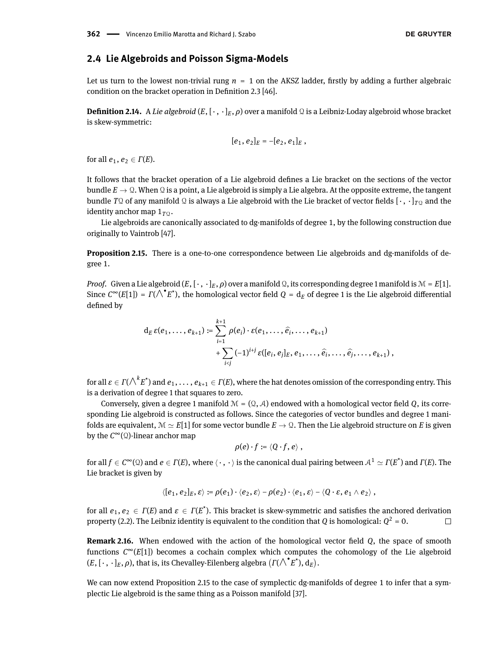#### **2.4 Lie Algebroids and Poisson Sigma-Models**

Let us turn to the lowest non-trivial rung  $n = 1$  on the AKSZ ladder, firstly by adding a further algebraic condition on the bracket operation in Definition [2.3](#page-6-2) [\[46\]](#page-47-26).

**Definition 2.14.** A *Lie algebroid*  $(E, [\cdot, \cdot]_E, \rho)$  over a manifold Q is a Leibniz-Loday algebroid whose bracket is skew-symmetric:

$$
[e_1,e_2]_E = -[e_2,e_1]_E,
$$

for all  $e_1, e_2 \in \Gamma(E)$ .

It follows that the bracket operation of a Lie algebroid defines a Lie bracket on the sections of the vector bundle  $E \to \Omega$ . When  $\Omega$  is a point, a Lie algebroid is simply a Lie algebra. At the opposite extreme, the tangent bundle *T*Q of any manifold Q is always a Lie algebroid with the Lie bracket of vector fields  $[\cdot, \cdot]_{TQ}$  and the identity anchor map  $1_{TQ}$ .

Lie algebroids are canonically associated to dg-manifolds of degree 1, by the following construction due originally to Vaintrob [\[47\]](#page-47-27).

<span id="page-9-0"></span>**Proposition 2.15.** There is a one-to-one correspondence between Lie algebroids and dg-manifolds of degree 1.

*Proof.* Given a Lie algebroid  $(E, [\cdot, \cdot]_E, \rho)$  over a manifold  $\Omega$ , its corresponding degree 1 manifold is  $\mathcal{M} = E[1]$ . Since  $C^{\infty}(E[1]) = \Gamma(\bigwedge^{\bullet} E^*)$ , the homological vector field  $Q = d_E$  of degree 1 is the Lie algebroid differential defined by

$$
d_E \,\varepsilon(e_1,\ldots,e_{k+1}) := \sum_{i=1}^{k+1} \rho(e_i) \cdot \varepsilon(e_1,\ldots,\widehat{e_i},\ldots,e_{k+1}) + \sum_{i < j} (-1)^{i+j} \, \varepsilon([e_i,e_j]_E,e_1,\ldots,\widehat{e_i},\ldots,\widehat{e_j},\ldots,e_{k+1}),
$$

for all  $\varepsilon\in\varGamma(\bigwedge^k E^*)$  and  $e_1,\ldots,e_{k+1}\in\varGamma(E)$ , where the hat denotes omission of the corresponding entry. This is a derivation of degree 1 that squares to zero.

Conversely, given a degree 1 manifold  $\mathcal{M} = (\mathcal{Q}, \mathcal{A})$  endowed with a homological vector field Q, its corresponding Lie algebroid is constructed as follows. Since the categories of vector bundles and degree 1 manifolds are equivalent,  $\mathcal{M} \simeq E[1]$  for some vector bundle  $E \to \mathcal{Q}$ . Then the Lie algebroid structure on E is given by the *C* <sup>∞</sup>(Q)-linear anchor map

$$
\rho(e) \cdot f \coloneqq \langle Q \cdot f, e \rangle,
$$

 $\text{for all } f \in \mathcal{C}^\infty(\Omega)$  and  $e \in \mathit{\Gamma}(E),$  where  $\langle \,\cdot\,,\,\cdot\,\rangle$  is the canonical dual pairing between  $\mathcal{A}^1 \simeq \mathit{\Gamma}(E^\star)$  and  $\mathit{\Gamma}(E).$  The Lie bracket is given by

$$
\langle [e_1,e_2]_E,\varepsilon\rangle := \rho(e_1)\cdot\langle e_2,\varepsilon\rangle - \rho(e_2)\cdot\langle e_1,\varepsilon\rangle - \langle Q\cdot\varepsilon,e_1\wedge e_2\rangle,
$$

for all  $e_1, e_2 \in \Gamma(E)$  and  $\varepsilon \in \Gamma(E^*)$ . This bracket is skew-symmetric and satisfies the anchored derivation property [\(2.2\)](#page-5-1). The Leibniz identity is equivalent to the condition that *Q* is homological:  $Q^2$  = 0.  $\Box$ 

**Remark 2.16.** When endowed with the action of the homological vector field Q, the space of smooth functions  $C^{\infty}(E[1])$  becomes a cochain complex which computes the cohomology of the Lie algebroid  $(E, [\cdot, \cdot]_E, \rho)$ , that is, its Chevalley-Eilenberg algebra  $(\Gamma(\bigwedge^{\bullet} E^{\star}), d_E)$ .

We can now extend Proposition [2.15](#page-9-0) to the case of symplectic dg-manifolds of degree 1 to infer that a symplectic Lie algebroid is the same thing as a Poisson manifold [\[37\]](#page-47-17).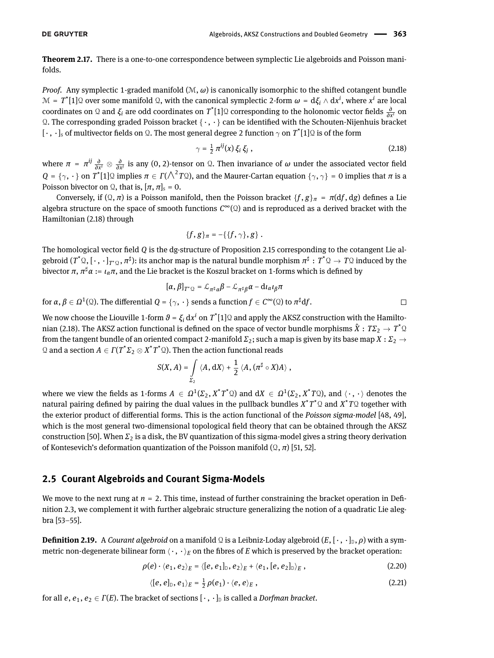**Theorem 2.17.** There is a one-to-one correspondence between symplectic Lie algebroids and Poisson manifolds.

*Proof.* Any symplectic 1-graded manifold (M, *ω*) is canonically isomorphic to the shifted cotangent bundle  $M = T^{*}[1]$  © over some manifold Ω, with the canonical symplectic 2-form  $ω = dξ<sub>i</sub> ∧ dx<sup>i</sup>$ , where  $x<sup>i</sup>$  are local coordinates on  $\Omega$  and  $\xi_i$  are odd coordinates on  $T^*[1]\Omega$  corresponding to the holonomic vector fields  $\frac{\partial}{\partial x^i}$  on Q. The corresponding graded Poisson bracket  $\{\cdot, \cdot\}$  can be identified with the Schouten-Nijenhuis bracket  $[\cdot,\cdot]_s$  of multivector fields on  $\Omega$ . The most general degree 2 function  $\gamma$  on  $T^*[1]\Omega$  is of the form

<span id="page-10-0"></span>
$$
\gamma = \frac{1}{2} \pi^{ij}(x) \, \xi_i \, \xi_j \tag{2.18}
$$

where  $\pi = \pi^{ij} \frac{\partial}{\partial x^i} \otimes \frac{\partial}{\partial x^j}$  is any (0, 2)-tensor on  $\Omega$ . Then invariance of  $\omega$  under the associated vector field  $Q = \{\gamma, \cdot\}$  on  $T^*[1]$  implies  $\pi \in \Gamma(\bigwedge^2 T)$ , and the Maurer-Cartan equation  $\{\gamma, \gamma\} = 0$  implies that  $\pi$  is a Poisson bivector on  $\Omega$ , that is,  $[\pi, \pi]_s = 0$ .

Conversely, if  $(Q, \pi)$  is a Poisson manifold, then the Poisson bracket  $\{f, g\}$ *π* =  $\pi(df, dg)$  defines a Lie algebra structure on the space of smooth functions *C* <sup>∞</sup>(Q) and is reproduced as a derived bracket with the Hamiltonian [\(2.18\)](#page-10-0) through

$$
\{f,g\}_{\pi}=-\{f,\gamma\},g\}.
$$

The homological vector field *Q* is the dg-structure of Proposition [2.15](#page-9-0) corresponding to the cotangent Lie algebroid  $(T^* \Omega, [\, \cdot \, , \, \cdot\, ]_{T^*\Omega}, \pi^\sharp)$ : its anchor map is the natural bundle morphism  $\pi^\sharp: T^*\Omega\to T\Omega$  induced by the  $\hbox{bivector}~\pi,$   $\pi^\sharp\alpha:=\iota_\alpha\pi,$  and the Lie bracket is the Koszul bracket on 1-forms which is defined by

$$
[\alpha, \beta]_{T^*\mathfrak{Q}} = \mathcal{L}_{\pi^\sharp \alpha} \beta - \mathcal{L}_{\pi^\sharp \beta} \alpha - d l_\alpha l_\beta \pi
$$
  
= { $\gamma$ , · } sends a function  $f \in C^\infty(\mathfrak{Q})$  to  $\pi^\sharp df$ .

 ${\rm for} \ \alpha,\beta \in \Omega^1({\mathbb Q}).$  The differential  $Q$  =  $\{\gamma, \, \cdot\,\}$  sends a function  $f \in \mathcal{C}^\infty({\mathbb Q})$  to  $\pi^\sharp{\rm d} f.$ 

We now choose the Liouville 1-form  $\theta = \xi_i dx^i$  on  $T^*[1] \mathbb{Q}$  and apply the AKSZ construction with the Hamilto-nian [\(2.18\)](#page-10-0). The AKSZ action functional is defined on the space of vector bundle morphisms  $\hat X: T\Sigma_2\to T^*\mathfrak{Q}$ from the tangent bundle of an oriented compact 2-manifold *Σ*2; such a map is given by its base map *X* : *Σ*<sup>2</sup> →  $\Omega$  and a section  $A \in \Gamma(T^{\star} \Sigma_2 \otimes X^{\star} T^{\star} \Omega)$ . Then the action functional reads

$$
S(X, A) = \int\limits_{\Sigma_2} \langle A, \mathrm{d}X \rangle + \frac{1}{2} \langle A, (\pi^{\sharp} \circ X) A \rangle ,
$$

where we view the fields as 1-forms  $A \in \Omega^1(\Sigma_2, X^*T^* \Omega)$  and  $\mathrm{d}X \in \Omega^1(\Sigma_2, X^*T \Omega)$ , and  $\langle \cdot, \cdot \rangle$  denotes the natural pairing defined by pairing the dual values in the pullback bundles  $X^*T^*\mathfrak{Q}$  and  $X^*T\mathfrak{Q}$  together with the exterior product of differential forms. This is the action functional of the *Poisson sigma-model* [\[48,](#page-47-28) [49\]](#page-47-29), which is the most general two-dimensional topological field theory that can be obtained through the AKSZ construction [\[50\]](#page-48-0). When *Σ*<sup>2</sup> is a disk, the BV quantization of this sigma-model gives a string theory derivation of Kontesevich's deformation quantization of the Poisson manifold (Q, *π*) [\[51,](#page-48-1) [52\]](#page-48-2).

## <span id="page-10-4"></span>**2.5 Courant Algebroids and Courant Sigma-Models**

We move to the next rung at  $n = 2$ . This time, instead of further constraining the bracket operation in Definition [2.3,](#page-6-2) we complement it with further algebraic structure generalizing the notion of a quadratic Lie alegbra [\[53–](#page-48-3)[55\]](#page-48-4).

<span id="page-10-1"></span>**Definition 2.19.** A *Courant algebroid* on a manifold Q is a Leibniz-Loday algebroid  $(E, [\cdot, \cdot]_D, \rho)$  with a symmetric non-degenerate bilinear form  $\langle \cdot, \cdot \rangle_E$  on the fibres of *E* which is preserved by the bracket operation:

$$
\rho(e) \cdot \langle e_1, e_2 \rangle_E = \langle [e, e_1]_{\mathbb{D}}, e_2 \rangle_E + \langle e_1, [e, e_2]_{\mathbb{D}} \rangle_E, \qquad (2.20)
$$

<span id="page-10-3"></span><span id="page-10-2"></span>
$$
\langle [e,e]_{\mathbb{D}},e_1\rangle_E = \frac{1}{2}\rho(e_1)\cdot\langle e,e\rangle_E,
$$
\n(2.21)

for all *e*, *e*<sub>1</sub>, *e*<sub>2</sub> ∈ *Γ*(*E*). The bracket of sections [ ⋅ , ⋅ ]<sub>D</sub> is called a *Dorfman bracket*.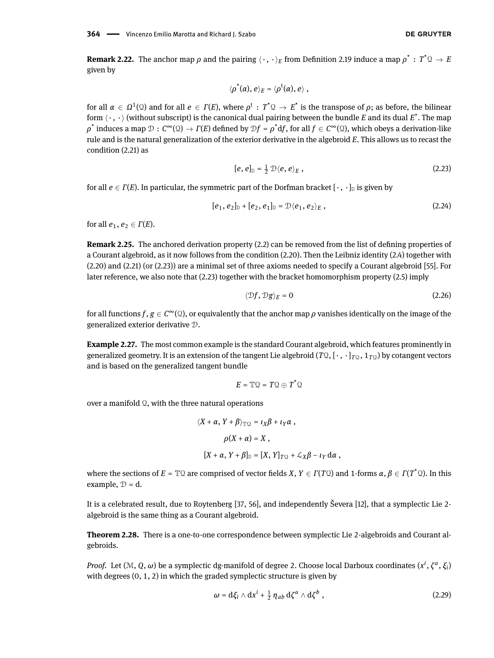<span id="page-11-4"></span>**Remark 2.22.** The anchor map  $\rho$  and the pairing  $\langle\,\cdot\,,\,\cdot\,\rangle_E$  from Definition [2.19](#page-10-1) induce a map  $\rho^\star\,:\,T^\star\mathfrak{Q}\to E$ given by

$$
\langle \rho^{\star}(\alpha), e \rangle_E = \langle \rho^{\rm t}(\alpha), e \rangle,
$$

for all  $\alpha \in \Omega^1({\mathbb Q})$  and for all  $e \in \Gamma(E)$ , where  $\rho^{\mathfrak{t}}:\, T^{\star}{\mathbb Q}\to E^{\star}$  is the transpose of  $\rho;$  as before, the bilinear form  $\langle\,\cdot\,,\,\cdot\,\rangle$  (without subscript) is the canonical dual pairing between the bundle  $E$  and its dual  $E^\star$ . The map  $\rho^{\star}$  induces a map  $\mathcal{D}:C^\infty(\mathfrak{Q})\to\varGamma(E)$  defined by  $\mathcal{D}f=\rho^{\star}\mathrm{d}f,$  for all  $f\in C^\infty(\mathfrak{Q}),$  which obeys a derivation-like rule and is the natural generalization of the exterior derivative in the algebroid *E*. This allows us to recast the condition [\(2.21\)](#page-10-2) as

<span id="page-11-3"></span><span id="page-11-0"></span>
$$
[e,e]_{\mathbb{D}} = \frac{1}{2} \mathcal{D}\langle e,e \rangle_E, \qquad (2.23)
$$

for all  $e \in \Gamma(E)$ . In particular, the symmetric part of the Dorfman bracket  $[\cdot, \cdot]_D$  is given by

$$
[e_1, e_2]_{\mathbb{D}} + [e_2, e_1]_{\mathbb{D}} = \mathcal{D}\langle e_1, e_2 \rangle_E, \qquad (2.24)
$$

for all  $e_1, e_2 \in \Gamma(E)$ .

<span id="page-11-7"></span>**Remark 2.25.** The anchored derivation property [\(2.2\)](#page-5-1) can be removed from the list of defining properties of a Courant algebroid, as it now follows from the condition [\(2.20\)](#page-10-3). Then the Leibniz identity [\(2.4\)](#page-6-0) together with [\(2.20\)](#page-10-3) and [\(2.21\)](#page-10-2) (or [\(2.23\)](#page-11-0)) are a minimal set of three axioms needed to specify a Courant algebroid [\[55\]](#page-48-4). For later reference, we also note that [\(2.23\)](#page-11-0) together with the bracket homomorphism property [\(2.5\)](#page-6-3) imply

<span id="page-11-6"></span>
$$
\langle \mathcal{D}f, \mathcal{D}g \rangle_E = 0 \tag{2.26}
$$

for all functions  $f, g \in C^\infty(\Omega)$ , or equivalently that the anchor map  $\rho$  vanishes identically on the image of the generalized exterior derivative D.

<span id="page-11-2"></span>**Example 2.27.** The most common example is the standard Courant algebroid, which features prominently in generalized geometry. It is an extension of the tangent Lie algebroid  $(TQ, [\cdot, \cdot]_{TQ}, 1_{TQ})$  by cotangent vectors and is based on the generalized tangent bundle

$$
E=\mathbb{TQ}=T\mathbb{Q}\oplus T^{\star}\mathbb{Q}
$$

over a manifold  $\Omega$ , with the three natural operations

$$
\langle X + \alpha, Y + \beta \rangle_{\mathbb{T}\Omega} = \iota_X \beta + \iota_Y \alpha ,
$$

$$
\rho(X + \alpha) = X ,
$$

$$
[X + \alpha, Y + \beta]_{\mathbb{D}} = [X, Y]_{T\Omega} + \mathcal{L}_X \beta - \iota_Y d\alpha ,
$$

where the sections of  $E = TQ$  are comprised of vector fields *X*,  $Y \in \Gamma(TQ)$  and 1-forms  $\alpha, \beta \in \Gamma(T^*Q)$ . In this example,  $\mathcal{D} = d$ .

It is a celebrated result, due to Roytenberg [\[37,](#page-47-17) [56\]](#page-48-5), and independently Ševera [\[12\]](#page-46-11), that a symplectic Lie 2 algebroid is the same thing as a Courant algebroid.

<span id="page-11-5"></span>**Theorem 2.28.** There is a one-to-one correspondence between symplectic Lie 2-algebroids and Courant algebroids.

*Proof.* Let  $(\mathcal{M}, Q, \omega)$  be a symplectic dg-manifold of degree 2. Choose local Darboux coordinates  $(x^i, \zeta^a, \xi_i)$ with degrees (0, 1, 2) in which the graded symplectic structure is given by

<span id="page-11-1"></span>
$$
\omega = d\xi_i \wedge dx^i + \frac{1}{2} \eta_{ab} d\zeta^a \wedge d\zeta^b , \qquad (2.29)
$$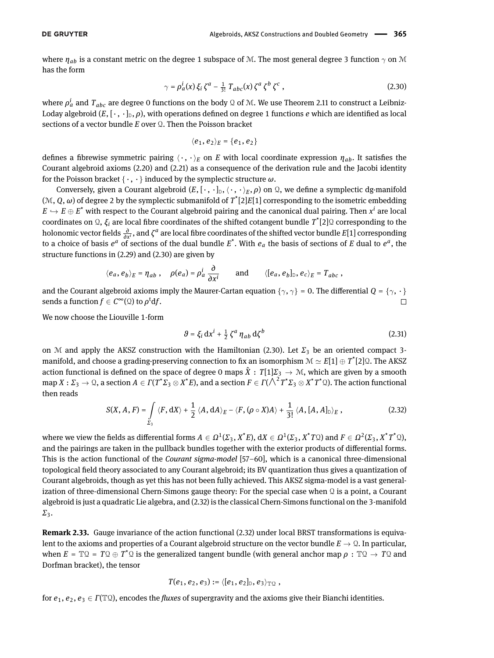where  $\eta_{ab}$  is a constant metric on the degree 1 subspace of M. The most general degree 3 function  $\gamma$  on M has the form

$$
\gamma = \rho_a^i(x) \xi_i \zeta^a - \frac{1}{3!} T_{abc}(x) \zeta^a \zeta^b \zeta^c , \qquad (2.30)
$$

where  $\rho_a^i$  and  $T_{abc}$  are degree 0 functions on the body  $\mathfrak d$  of M. We use Theorem [2.11](#page-7-0) to construct a Leibniz-Loday algebroid  $(E, [\cdot, \cdot]_{D}, \rho)$ , with operations defined on degree 1 functions *e* which are identified as local sections of a vector bundle *E* over Q. Then the Poisson bracket

<span id="page-12-0"></span>
$$
\langle e_1, e_2 \rangle_E = \{e_1, e_2\}
$$

defines a fibrewise symmetric pairing  $\langle \cdot, \cdot \rangle_E$  on *E* with local coordinate expression  $\eta_{ab}$ . It satisfies the Courant algebroid axioms [\(2.20\)](#page-10-3) and [\(2.21\)](#page-10-2) as a consequence of the derivation rule and the Jacobi identity for the Poisson bracket { · , · } induced by the symplectic structure *ω*.

Conversely, given a Courant algebroid  $(E, [\cdot, \cdot]_D, \langle \cdot, \cdot \rangle_F, \rho)$  on  $\Omega$ , we define a symplectic dg-manifold  $(M, Q, \omega)$  of degree 2 by the symplectic submanifold of  $T^*[2]E[1]$  corresponding to the isometric embedding  $E\hookrightarrow E\oplus E^\star$  with respect to the Courant algebroid pairing and the canonical dual pairing. Then  $x^i$  are local coordinates on  $\Omega$ ,  $\xi$ <sub>i</sub> are local fibre coordinates of the shifted cotangent bundle  $T^*[2]\Omega$  corresponding to the holonomic vector fields  $\frac{\partial}{\partial x^i}$ , and *ζ*<sup>α</sup> are local fibre coordinates of the shifted vector bundle *E*[1] corresponding to a choice of basis  $e^a$  of sections of the dual bundle  $E^*$ . With  $e_a$  the basis of sections of E dual to  $e^a$ , the structure functions in [\(2.29\)](#page-11-1) and [\(2.30\)](#page-12-0) are given by

$$
\langle e_a, e_b \rangle_E = \eta_{ab}
$$
,  $\rho(e_a) = \rho_a^i \frac{\partial}{\partial x^i}$  and  $\langle [e_a, e_b]_D, e_c \rangle_E = T_{abc}$ ,

and the Courant algebroid axioms imply the Maurer-Cartan equation  $\{\gamma, \gamma\} = 0$ . The differential  $Q = \{\gamma, \cdot\}$ sends a function  $f \in C^{\infty}(\Omega)$  to  $\rho^{\mathrm{t}} df$ .  $\Box$ 

We now choose the Liouville 1-form

<span id="page-12-2"></span><span id="page-12-1"></span>
$$
\theta = \xi_i \, \mathrm{d}x^i + \tfrac{1}{2} \, \zeta^a \, \eta_{ab} \, \mathrm{d}\zeta^b \tag{2.31}
$$

on M and apply the AKSZ construction with the Hamiltonian [\(2.30\)](#page-12-0). Let  $\Sigma_3$  be an oriented compact 3manifold, and choose a grading-preserving connection to fix an isomorphism  $\mathcal{M}\simeq E[1]\oplus T^{*}[2]\mathcal{Q}.$  The AKSZ action functional is defined on the space of degree 0 maps  $\hat{X}$  :  $T[1]\Sigma_3 \to \mathcal{M}$ , which are given by a smooth  $\max X: \Sigma_3 \to \Omega$ , a section  $A \in \varGamma(T^{\star}\Sigma_3 \otimes X^{\star}E)$ , and a section  $F \in \varGamma(\bigwedge^2 T^{\star}\Sigma_3 \otimes X^{\star}T^{\star}\Omega)$ . The action functional then reads

$$
S(X, A, F) = \int_{\Sigma_3} \langle F, \mathrm{d}X \rangle + \frac{1}{2} \langle A, \mathrm{d}A \rangle_E - \langle F, (\rho \circ X)A \rangle + \frac{1}{3!} \langle A, [A, A]_{\mathbb{D}} \rangle_E, \tag{2.32}
$$

where we view the fields as differential forms  $A\in\Omega^1(\Sigma_3,X^*E)$ , d $X\in\Omega^1(\Sigma_3,X^*T\mathfrak{Q})$  and  $F\in\Omega^2(\Sigma_3,X^*T^*\mathfrak{Q}),$ and the pairings are taken in the pullback bundles together with the exterior products of differential forms. This is the action functional of the *Courant sigma-model* [\[57–](#page-48-6)[60\]](#page-48-7), which is a canonical three-dimensional topological field theory associated to any Courant algebroid; its BV quantization thus gives a quantization of Courant algebroids, though as yet this has not been fully achieved. This AKSZ sigma-model is a vast generalization of three-dimensional Chern-Simons gauge theory: For the special case when  $\mathcal Q$  is a point, a Courant algebroid is just a quadratic Lie algebra, and [\(2.32\)](#page-12-1) is the classical Chern-Simons functional on the 3-manifold *Σ*3.

**Remark 2.33.** Gauge invariance of the action functional [\(2.32\)](#page-12-1) under local BRST transformations is equivalent to the axioms and properties of a Courant algebroid structure on the vector bundle  $E \to \mathcal{Q}$ . In particular, when  $E = \mathbb{TQ} = T\mathbb{Q} \oplus T^*\mathbb{Q}$  is the generalized tangent bundle (with general anchor map  $\rho : \mathbb{TQ} \to T\mathbb{Q}$  and Dorfman bracket), the tensor

$$
T(e_1,e_2,e_3):=\langle [e_1,e_2]_{\mathbb{D}},e_3\rangle_{\mathbb{TQ}},
$$

for  $e_1, e_2, e_3 \in \Gamma(\mathbb{T}\mathbb{Q})$ , encodes the *fluxes* of supergravity and the axioms give their Bianchi identities.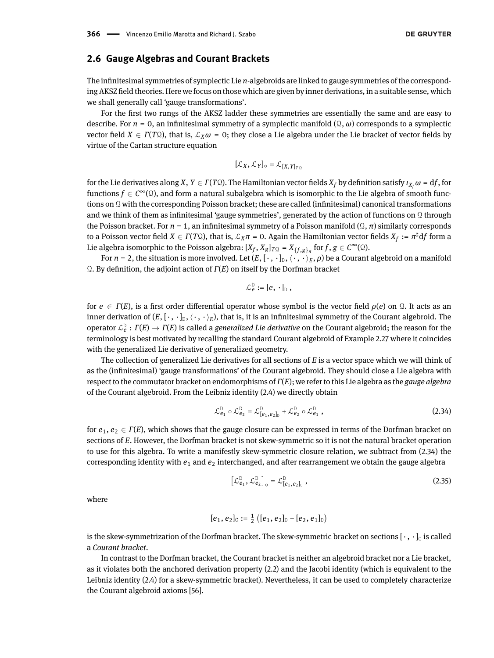#### <span id="page-13-2"></span>**2.6 Gauge Algebras and Courant Brackets**

The infinitesimal symmetries of symplectic Lie *n*-algebroids are linked to gauge symmetries of the corresponding AKSZ field theories. Here we focus on those which are given by inner derivations, in a suitable sense, which we shall generally call 'gauge transformations'.

For the first two rungs of the AKSZ ladder these symmetries are essentially the same and are easy to describe. For  $n = 0$ , an infinitesimal symmetry of a symplectic manifold  $(Q, \omega)$  corresponds to a symplectic vector field  $X \in \Gamma(T\mathcal{Q})$ , that is,  $\mathcal{L}_X \omega = 0$ ; they close a Lie algebra under the Lie bracket of vector fields by virtue of the Cartan structure equation

$$
[\mathcal{L}_X,\mathcal{L}_Y]_{\circ}=\mathcal{L}_{[X,Y]_{T\circledcirc}}
$$

for the Lie derivatives along *X*,  $Y \in \Gamma(T\mathfrak{Q})$ . The Hamiltonian vector fields  $X_f$  by definition satisfy  $\iota_X \omega = df$ , for functions  $f \in C^{\infty}(\Omega)$ , and form a natural subalgebra which is isomorphic to the Lie algebra of smooth functions on  $\Omega$  with the corresponding Poisson bracket; these are called (infinitesimal) canonical transformations and we think of them as infinitesimal 'gauge symmetries', generated by the action of functions on  $\Omega$  through the Poisson bracket. For  $n = 1$ , an infinitesimal symmetry of a Poisson manifold  $(Q, \pi)$  similarly corresponds to a Poisson vector field  $X\in \Gamma(T\mathbb{Q})$ , that is,  $\mathcal{L}_X\pi=0.$  Again the Hamiltonian vector fields  $X_f:=\pi^\sharp\mathrm{d} f$  form a Lie algebra isomorphic to the Poisson algebra:  $[X_f, X_g]_{T \Omega} = X_{\{f, g\}_\pi}$  for  $f, g \in C^\infty(\Omega)$ .

For  $n = 2$ , the situation is more involved. Let  $(E, [\cdot, \cdot]_D, \langle \cdot, \cdot \rangle_E, \rho)$  be a Courant algebroid on a manifold Q. By definition, the adjoint action of *Γ*(*E*) on itself by the Dorfman bracket

$$
\mathcal{L}_e^{\mathbb{D}}:=[e,\,\cdot\,]_{\mathbb{D}}\ ,
$$

for  $e \in \Gamma(E)$ , is a first order differential operator whose symbol is the vector field  $\rho(e)$  on Q. It acts as an inner derivation of  $(E, [\cdot, \cdot]_{\mathbb{D}}, \langle \cdot, \cdot \rangle_{E})$ , that is, it is an infinitesimal symmetry of the Courant algebroid. The operator L D *<sup>e</sup>* : *Γ*(*E*) → *Γ*(*E*) is called a *generalized Lie derivative* on the Courant algebroid; the reason for the terminology is best motivated by recalling the standard Courant algebroid of Example [2.27](#page-11-2) where it coincides with the generalized Lie derivative of generalized geometry.

The collection of generalized Lie derivatives for all sections of *E* is a vector space which we will think of as the (infinitesimal) 'gauge transformations' of the Courant algebroid. They should close a Lie algebra with respect to the commutator bracket on endomorphisms of *Γ*(*E*); we refer to this Lie algebra as the *gauge algebra* of the Courant algebroid. From the Leibniz identity [\(2.4\)](#page-6-0) we directly obtain

$$
\mathcal{L}_{e_1}^{\mathbb{D}} \circ \mathcal{L}_{e_2}^{\mathbb{D}} = \mathcal{L}_{[e_1, e_2]_{\mathbb{D}}}^{\mathbb{D}} + \mathcal{L}_{e_2}^{\mathbb{D}} \circ \mathcal{L}_{e_1}^{\mathbb{D}} , \qquad (2.34)
$$

for *e*1, *e*<sup>2</sup> ∈ *Γ*(*E*), which shows that the gauge closure can be expressed in terms of the Dorfman bracket on sections of *E*. However, the Dorfman bracket is not skew-symmetric so it is not the natural bracket operation to use for this algebra. To write a manifestly skew-symmetric closure relation, we subtract from [\(2.34\)](#page-13-0) the corresponding identity with  $e_1$  and  $e_2$  interchanged, and after rearrangement we obtain the gauge algebra

<span id="page-13-1"></span><span id="page-13-0"></span>
$$
\left[ \mathcal{L}_{e_1}^D, \mathcal{L}_{e_2}^D \right]_{\circ} = \mathcal{L}_{[e_1, e_2]_{\circ}}^D, \tag{2.35}
$$

where

$$
[e_1, e_2]_{\mathbb{C}} := \frac{1}{2} ([e_1, e_2]_{\mathbb{D}} - [e_2, e_1]_{\mathbb{D}})
$$

is the skew-symmetrization of the Dorfman bracket. The skew-symmetric bracket on sections  $[\cdot, \cdot]_C$  is called a *Courant bracket*.

In contrast to the Dorfman bracket, the Courant bracket is neither an algebroid bracket nor a Lie bracket, as it violates both the anchored derivation property [\(2.2\)](#page-5-1) and the Jacobi identity (which is equivalent to the Leibniz identity [\(2.4\)](#page-6-0) for a skew-symmetric bracket). Nevertheless, it can be used to completely characterize the Courant algebroid axioms [\[56\]](#page-48-5).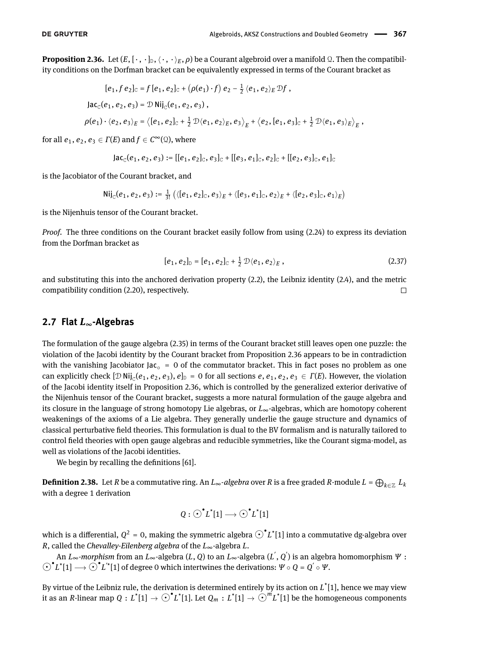<span id="page-14-0"></span>**Proposition 2.36.** Let  $(E, [\cdot, \cdot]_D, \langle \cdot, \cdot \rangle_E, \rho)$  be a Courant algebroid over a manifold Q. Then the compatibility conditions on the Dorfman bracket can be equivalently expressed in terms of the Courant bracket as

$$
[e_1, fe_2]_{\mathbb{C}} = f[e_1, e_2]_{\mathbb{C}} + (\rho(e_1) \cdot f) e_2 - \frac{1}{2} \langle e_1, e_2 \rangle_E \mathcal{D}f,
$$

$$
Jac_{C}(e_1, e_2, e_3) = \mathcal{D} Nij_{C}(e_1, e_2, e_3),
$$

$$
\rho(e_1)\cdot \langle e_2,e_3\rangle_E=\left\langle [e_1,e_2]_\mathbb{C}+\tfrac{1}{2}\mathcal{D}\langle e_1,e_2\rangle_E,e_3\right\rangle_E+\left\langle e_2,[e_1,e_3]_\mathbb{C}+\tfrac{1}{2}\mathcal{D}\langle e_1,e_3\rangle_E\right\rangle_E,
$$

for all  $e_1, e_2, e_3 \in \Gamma(E)$  and  $f \in C^{\infty}(\Omega)$ , where

$$
Jac_{\mathcal{C}}(e_1, e_2, e_3) := [[e_1, e_2]_{\mathcal{C}}, e_3]_{\mathcal{C}} + [[e_3, e_1]_{\mathcal{C}}, e_2]_{\mathcal{C}} + [[e_2, e_3]_{\mathcal{C}}, e_1]_{\mathcal{C}}
$$

is the Jacobiator of the Courant bracket, and

$$
\mathsf{Nij}_{\mathcal{C}}(e_1, e_2, e_3) := \frac{1}{3!} \left( \langle [e_1, e_2]_{\mathcal{C}}, e_3 \rangle_E + \langle [e_3, e_1]_{\mathcal{C}}, e_2 \rangle_E + \langle [e_2, e_3]_{\mathcal{C}}, e_1 \rangle_E \right)
$$

is the Nijenhuis tensor of the Courant bracket.

*Proof.* The three conditions on the Courant bracket easily follow from using [\(2.24\)](#page-11-3) to express its deviation from the Dorfman bracket as

$$
[e_1, e_2]_{\mathbb{D}} = [e_1, e_2]_{\mathbb{C}} + \frac{1}{2} \mathcal{D} \langle e_1, e_2 \rangle_E, \qquad (2.37)
$$

and substituting this into the anchored derivation property [\(2.2\)](#page-5-1), the Leibniz identity [\(2.4\)](#page-6-0), and the metric compatibility condition [\(2.20\)](#page-10-3), respectively.  $\Box$ 

#### **2.7 Flat** *L***∞-Algebras**

The formulation of the gauge algebra [\(2.35\)](#page-13-1) in terms of the Courant bracket still leaves open one puzzle: the violation of the Jacobi identity by the Courant bracket from Proposition [2.36](#page-14-0) appears to be in contradiction with the vanishing Jacobiator Jac<sub>○</sub> = 0 of the commutator bracket. This in fact poses no problem as one can explicitly check  $[D \text{ N}ij_C(e_1, e_2, e_3), e]_D = 0$  for all sections  $e, e_1, e_2, e_3 \in \Gamma(E)$ . However, the violation of the Jacobi identity itself in Proposition [2.36,](#page-14-0) which is controlled by the generalized exterior derivative of the Nijenhuis tensor of the Courant bracket, suggests a more natural formulation of the gauge algebra and its closure in the language of strong homotopy Lie algebras, or *L*∞-algebras, which are homotopy coherent weakenings of the axioms of a Lie algebra. They generally underlie the gauge structure and dynamics of classical perturbative eld theories. This formulation is dual to the BV formalism and is naturally tailored to control field theories with open gauge algebras and reducible symmetries, like the Courant sigma-model, as well as violations of the Jacobi identities.

We begin by recalling the definitions  $[61]$ .

Definition 2.38. Let *R* be a commutative ring. An *L*∞-algebra over *R* is a free graded *R*-module  $L = \bigoplus_{k \in \mathbb{Z}} L_k$ with a degree 1 derivation

$$
Q: \text{O}^\bullet L^\star[1] \longrightarrow \text{O}^\bullet L^\star[1]
$$

which is a differential,  $Q^2$  = 0, making the symmetric algebra  $\odot$   $L^\star[1]$  into a commutative dg-algebra over *R*, called the *Chevalley-Eilenberg algebra* of the *L*∞-algebra *L*.

An *L*∞*-morphism* from an *L*∞-algebra (*L*, *Q*) to an *L*∞-algebra (*L* ′ , *Q* ′ ) is an algebra homomorphism *Ψ* :  $\bigodot^{\bullet} L^{\star}[1] \longrightarrow \bigodot^{\bullet} L^{\star}[1]$  of degree 0 which intertwines the derivations:  $\Psi \circ Q = Q' \circ \Psi$ .

By virtue of the Leibniz rule, the derivation is determined entirely by its action on *L* \* [1], hence we may view it as an *R*-linear map  $Q:L^*[1]\to \odot^{\bullet} L^*[1].$  Let  $Q_m:L^*[1]\to \odot^m L^*[1]$  be the homogeneous components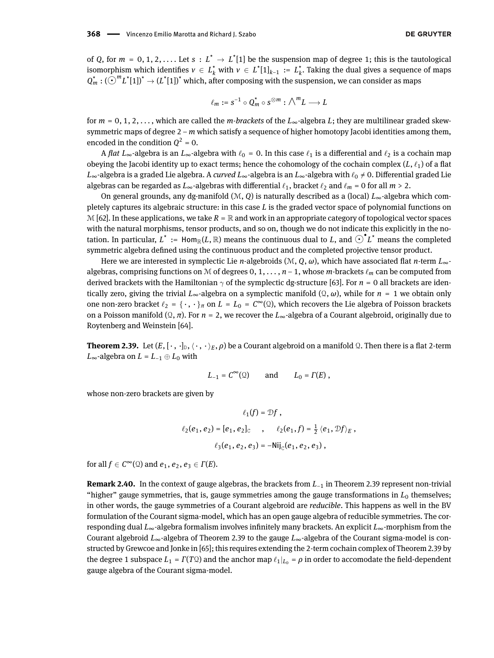of *Q*, for  $m = 0, 1, 2, \ldots$ . Let  $s : L^* \to L^*[1]$  be the suspension map of degree 1; this is the tautological isomorphism which identifies  $v \in L_k^*$  with  $v \in L^*[1]_{k-1} := L_k^*$ . Taking the dual gives a sequence of maps  $Q_m^*$  :  $\left(\bigodot^m L^*[1]\right)^* \to \left(L^*[1]\right)^*$  which, after composing with the suspension, we can consider as maps

$$
\ell_m:=s^{-1}\circ Q_m^{\star}\circ s^{\otimes m}:\textstyle\bigwedge^m L\longrightarrow L
$$

for  $m = 0, 1, 2, \ldots$ , which are called the *m-brackets* of the  $L_{\infty}$ -algebra L; they are multilinear graded skewsymmetric maps of degree 2 − *m* which satisfy a sequence of higher homotopy Jacobi identities among them, encoded in the condition  $Q^2 = 0$ .

A *flat*  $L_{\infty}$ -algebra is an  $L_{\infty}$ -algebra with  $\ell_0 = 0$ . In this case  $\ell_1$  is a differential and  $\ell_2$  is a cochain map obeying the Jacobi identity up to exact terms; hence the cohomology of the cochain complex  $(L, \ell_1)$  of a flat *L*∞-algebra is a graded Lie algebra. A *curved L*<sub>∞</sub>-algebra is an *L*<sub>∞</sub>-algebra with  $\ell_0 \neq 0$ . Differential graded Lie algebras can be regarded as  $L_{\infty}$ -algebras with differential  $\ell_1$ , bracket  $\ell_2$  and  $\ell_m = 0$  for all  $m > 2$ .

On general grounds, any dg-manifold (M, *Q*) is naturally described as a (local) *L*∞-algebra which completely captures its algebraic structure: in this case *L* is the graded vector space of polynomial functions on  $M$  [\[62\]](#page-48-9). In these applications, we take  $R = \mathbb{R}$  and work in an appropriate category of topological vector spaces with the natural morphisms, tensor products, and so on, though we do not indicate this explicitly in the notation. In particular,  $L^*$  :=  $\text{\tt Hom}_\mathbb{R}(L,\mathbb{R})$  means the continuous dual to  $L$ , and  $\odot$   $^*L^*$  means the completed symmetric algebra defined using the continuous product and the completed projective tensor product.

Here we are interested in symplectic Lie *n*-algebroids ( $M$ ,  $Q$ ,  $\omega$ ), which have associated flat *n*-term  $L_{\infty}$ algebras, comprising functions on M of degrees  $0, 1, \ldots, n-1$ , whose *m*-brackets  $\ell_m$  can be computed from derived brackets with the Hamiltonian γ of the symplectic dg-structure [\[63\]](#page-48-10). For *n* = 0 all brackets are identically zero, giving the trivial  $L_{\infty}$ -algebra on a symplectic manifold  $(Q, \omega)$ , while for  $n = 1$  we obtain only one non-zero bracket  $\ell_2 = \{\cdot,\cdot\}_\pi$  on  $L = L_0 = C^\infty(\Omega)$ , which recovers the Lie algebra of Poisson brackets on a Poisson manifold  $(Q, \pi)$ . For  $n = 2$ , we recover the  $L_{\infty}$ -algebra of a Courant algebroid, originally due to Roytenberg and Weinstein [\[64\]](#page-48-11).

<span id="page-15-0"></span>**Theorem 2.39.** Let  $(E, [\cdot, \cdot]_D, \langle \cdot, \cdot \rangle_E, \rho)$  be a Courant algebroid on a manifold Q. Then there is a flat 2-term *L*<sub>∞</sub>-algebra on *L* = *L*<sub>−1</sub> ⊕ *L*<sub>0</sub> with

$$
L_{-1}=C^\infty(\mathfrak{Q})\qquad\text{and}\qquad L_0=\varGamma(E)\;,
$$

whose non-zero brackets are given by

$$
\ell_1(f) = \mathcal{D}f,
$$
  
\n
$$
\ell_2(e_1, e_2) = [e_1, e_2]_C, \qquad \ell_2(e_1, f) = \frac{1}{2} \langle e_1, \mathcal{D}f \rangle_E,
$$
  
\n
$$
\ell_3(e_1, e_2, e_3) = -\text{Nij}_C(e_1, e_2, e_3),
$$

for all  $f \in C^{\infty}(\Omega)$  and  $e_1, e_2, e_3 \in \Gamma(E)$ .

**Remark 2.40.** In the context of gauge algebras, the brackets from *L*−1 in Theorem [2.39](#page-15-0) represent non-trivial "higher" gauge symmetries, that is, gauge symmetries among the gauge transformations in  $L_0$  themselves; in other words, the gauge symmetries of a Courant algebroid are *reducible*. This happens as well in the BV formulation of the Courant sigma-model, which has an open gauge algebra of reducible symmetries. The corresponding dual *L*∞-algebra formalism involves innitely many brackets. An explicit *L*∞-morphism from the Courant algebroid *L*∞-algebra of Theorem [2.39](#page-15-0) to the gauge *L*∞-algebra of the Courant sigma-model is constructed by Grewcoe and Jonke in [\[65\]](#page-48-12); this requires extending the 2-term cochain complex of Theorem [2.39](#page-15-0) by the degree 1 subspace  $L_1 = \Gamma(T \mathfrak{Q})$  and the anchor map  $\ell_1|_{L_0} = \rho$  in order to accomodate the field-dependent gauge algebra of the Courant sigma-model.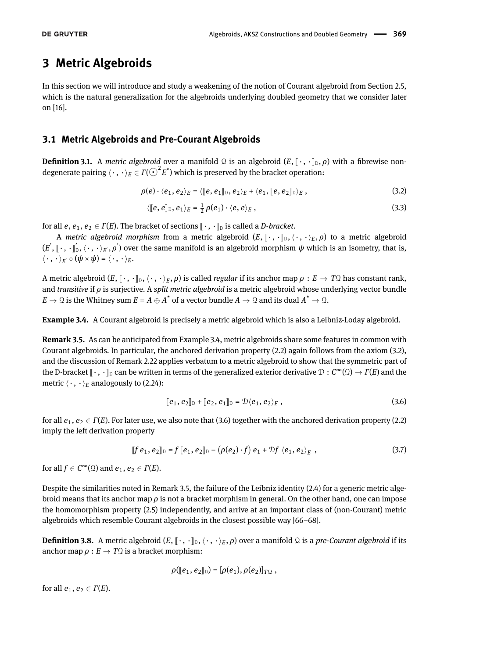# <span id="page-16-0"></span>**3 Metric Algebroids**

In this section we will introduce and study a weakening of the notion of Courant algebroid from Section [2.5,](#page-10-4) which is the natural generalization for the algebroids underlying doubled geometry that we consider later on [\[16\]](#page-46-15).

# **3.1 Metric Algebroids and Pre-Courant Algebroids**

<span id="page-16-6"></span>**Definition 3.1.** A *metric algebroid* over a manifold Q is an algebroid  $(E, \|\cdot\|_D, \rho)$  with a fibrewise nondegenerate pairing  $\langle\,\cdot\,,\,\cdot\,\rangle_E\in \varGamma(\bigodot^2 E^*)$  which is preserved by the bracket operation:

$$
\rho(e) \cdot \langle e_1, e_2 \rangle_E = \langle [e, e_1] \rangle_D, e_2 \rangle_E + \langle e_1, [e, e_2] \rangle_E,
$$
\n(3.2)

<span id="page-16-5"></span><span id="page-16-2"></span>
$$
\langle [e, e]_{\mathbb{D}}, e_1 \rangle_E = \frac{1}{2} \rho(e_1) \cdot \langle e, e \rangle_E, \qquad (3.3)
$$

for all *e*,  $e_1$ ,  $e_2 \in \Gamma(E)$ . The bracket of sections  $[\![ \cdot, \cdot ]\!]_D$  is called a *D-bracket*.

A *metric algebroid morphism* from a metric algebroid  $(E, [\![\cdot, \cdot]\!]_D, \langle \cdot, \cdot \rangle_E, \rho)$  to a metric algebroid  $(E', [\cdot, \cdot]_{D}^{\prime}, \langle \cdot, \cdot \rangle_{E'}, \rho')$  over the same manifold is an algebroid morphism  $\psi$  which is an isometry, that is,  $\langle \cdot , \cdot \rangle_E \circ (\psi \times \psi) = \langle \cdot , \cdot \rangle_E.$ 

A metric algebroid  $(E, [\![\cdot, \cdot]\!]_D, \langle \cdot, \cdot \rangle_E, \rho)$  is called *regular* if its anchor map  $\rho : E \to TQ$  has constant rank, and *transitive* if *ρ* is surjective. A *split metric algebroid* is a metric algebroid whose underlying vector bundle  $E\to\mathfrak{Q}$  is the Whitney sum  $E$  =  $A\oplus A^\star$  of a vector bundle  $A\to\mathfrak{Q}$  and its dual  $A^\star\to\mathfrak{Q}.$ 

<span id="page-16-1"></span>**Example 3.4.** A Courant algebroid is precisely a metric algebroid which is also a Leibniz-Loday algebroid.

<span id="page-16-4"></span>**Remark 3.5.** As can be anticipated from Example [3.4,](#page-16-1) metric algebroids share some features in common with Courant algebroids. In particular, the anchored derivation property [\(2.2\)](#page-5-1) again follows from the axiom [\(3.2\)](#page-16-2), and the discussion of Remark [2.22](#page-11-4) applies verbatum to a metric algebroid to show that the symmetric part of the D-bracket  $[\cdot, \cdot]_{\mathbb{D}}$  can be written in terms of the generalized exterior derivative  $\mathbb{D}: C^{\infty}(\mathbb{Q}) \to \Gamma(E)$  and the metric  $\langle \cdot , \cdot \rangle_E$  analogously to [\(2.24\)](#page-11-3):

<span id="page-16-7"></span><span id="page-16-3"></span>
$$
[e_1, e_2]_{\mathbb{D}} + [e_2, e_1]_{\mathbb{D}} = \mathcal{D}\langle e_1, e_2 \rangle_E, \qquad (3.6)
$$

for all  $e_1, e_2 \in \Gamma(E)$ . For later use, we also note that [\(3.6\)](#page-16-3) together with the anchored derivation property [\(2.2\)](#page-5-1) imply the left derivation property

$$
[f e_1, e_2]_{\mathbb{D}} = f [e_1, e_2]_{\mathbb{D}} - (\rho(e_2) \cdot f) e_1 + \mathcal{D}f \langle e_1, e_2 \rangle_E,
$$
 (3.7)

for all  $f \in C^{\infty}(\Omega)$  and  $e_1, e_2 \in \Gamma(E)$ .

Despite the similarities noted in Remark [3.5,](#page-16-4) the failure of the Leibniz identity [\(2.4\)](#page-6-0) for a generic metric algebroid means that its anchor map *ρ* is not a bracket morphism in general. On the other hand, one can impose the homomorphism property [\(2.5\)](#page-6-3) independently, and arrive at an important class of (non-Courant) metric algebroids which resemble Courant algebroids in the closest possible way [\[66–](#page-48-13)[68\]](#page-48-14).

<span id="page-16-8"></span>**Definition 3.8.** A metric algebroid  $(E, \|\cdot, \cdot\|_{D}, \langle \cdot, \cdot \rangle_{E}, \rho)$  over a manifold Q is a *pre-Courant algebroid* if its anchor map  $\rho : E \to T\mathfrak{Q}$  is a bracket morphism:

$$
\rho([\![e_1,e_2]\!]_D)=[\rho(e_1),\rho(e_2)]_{TQ},
$$

for all  $e_1, e_2 \in \Gamma(E)$ .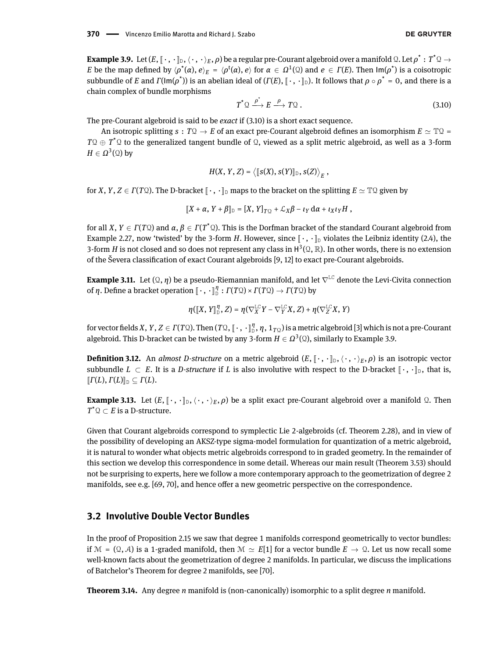<span id="page-17-2"></span><span id="page-17-0"></span>
$$
T^{\star} \mathcal{Q} \xrightarrow{\rho^{\star}} E \xrightarrow{\rho} T \mathcal{Q} . \tag{3.10}
$$

<span id="page-17-1"></span>The pre-Courant algebroid is said to be *exact* if [\(3.10\)](#page-17-0) is a short exact sequence.

An isotropic splitting  $s : TQ \to E$  of an exact pre-Courant algebroid defines an isomorphism  $E \simeq TQ =$ *T*Q ⊕ *T*<sup>\*</sup>Q to the generalized tangent bundle of Q, viewed as a split metric algebroid, as well as a 3-form  $H \in \Omega^3(\mathfrak{Q})$  by

$$
H(X, Y, Z) = \langle [[s(X), s(Y)]]_D, s(Z) \rangle_E,
$$

for *X*, *Y*, *Z*  $\in$  *Γ*(*T*Q). The D-bracket  $\lceil \cdot \cdot \cdot \rceil$  maps to the bracket on the splitting  $E \simeq \mathbb{TQ}$  given by

$$
[X+\alpha, Y+\beta]]_{\mathbb{D}}=[X, Y]_{T\mathbb{Q}}+\mathcal{L}_X\beta-\iota_Y\,d\alpha+\iota_X\iota_YH,
$$

for all *X*, *Y* ∈ *Γ*(*T*Q) and *α*, *β* ∈ *Γ*(*T* \*Q). This is the Dorfman bracket of the standard Courant algebroid from Example [2.27,](#page-11-2) now 'twisted' by the 3-form *H*. However, since  $\lceil \cdot \cdot \cdot \rceil$  violates the Leibniz identity [\(2.4\)](#page-6-0), the 3-form *H* is not closed and so does not represent any class in  $H^3(\Omega, \mathbb{R})$ . In other words, there is no extension of the Ševera classification of exact Courant algebroids [\[9,](#page-46-8) [12\]](#page-46-11) to exact pre-Courant algebroids.

**Example 3.11.** Let  $(Q, \eta)$  be a pseudo-Riemannian manifold, and let  $\nabla^{LC}$  denote the Levi-Civita connection of *η*. Define a bracket operation  $\lbrack\! \lbrack\cdot,\cdot\rbrack\! \rbrack_{D}^{n}: \varGamma(T \mathfrak{Q}) \times \varGamma(T \mathfrak{Q}) \to \varGamma(T \mathfrak{Q})$  by

$$
\eta([\![X, Y]\!]_D^{\eta}, Z) = \eta(\nabla_X^{\mathbb{L}C}Y - \nabla_Y^{\mathbb{L}C}X, Z) + \eta(\nabla_Z^{\mathbb{L}C}X, Y)
$$

for vector fields *X*, *Y*, *Z*  $\in$  *Γ*(*T*Q). Then (*T*Q, [ $\cdot$ ,  $\cdot$ ]<sup>*n*</sup>, *n*, 1<sub>*T*Q</sub>) is a metric algebroid [\[3\]](#page-46-2) which is not a pre-Courant algebroid. This D-bracket can be twisted by any 3-form  $H\in \Omega^3(\mathfrak{Q})$ , similarly to Example [3.9.](#page-17-1)

**Definition 3.12.** An *almost D-structure* on a metric algebroid  $(E, \lVert \cdot, \cdot \rVert_D, \langle \cdot, \cdot \rangle_E, \rho)$  is an isotropic vector subbundle  $L \subset E$ . It is a *D-structure* if *L* is also involutive with respect to the D-bracket  $\lbrack \lbrack \cdot, \cdot \rbrack \rbrack_D$ , that is,  $\llbracket \Gamma(L), \Gamma(L) \rrbracket_{\mathbb{D}} \subseteq \Gamma(L).$ 

**Example 3.13.** Let  $(E, \lceil \cdot, \cdot \rceil_D, \langle \cdot, \cdot \rangle_E, \rho)$  be a split exact pre-Courant algebroid over a manifold Q. Then  $T^{\star}$ Q  $\subset E$  is a D-structure.

Given that Courant algebroids correspond to symplectic Lie 2-algebroids (cf. Theorem [2.28\)](#page-11-5), and in view of the possibility of developing an AKSZ-type sigma-model formulation for quantization of a metric algebroid, it is natural to wonder what objects metric algebroids correspond to in graded geometry. In the remainder of this section we develop this correspondence in some detail. Whereas our main result (Theorem [3.53\)](#page-24-0) should not be surprising to experts, here we follow a more contemporary approach to the geometrization of degree 2 manifolds, see e.g. [\[69,](#page-48-15) [70\]](#page-48-16), and hence offer a new geometric perspective on the correspondence.

### **3.2 Involutive Double Vector Bundles**

In the proof of Proposition [2.15](#page-9-0) we saw that degree 1 manifolds correspond geometrically to vector bundles: if  $\mathcal{M} = (\mathcal{Q}, \mathcal{A})$  is a 1-graded manifold, then  $\mathcal{M} \simeq E[1]$  for a vector bundle  $E \to \mathcal{Q}$ . Let us now recall some well-known facts about the geometrization of degree 2 manifolds. In particular, we discuss the implications of Batchelor's Theorem for degree 2 manifolds, see [\[70\]](#page-48-16).

**Theorem 3.14.** Any degree *n* manifold is (non-canonically) isomorphic to a split degree *n* manifold.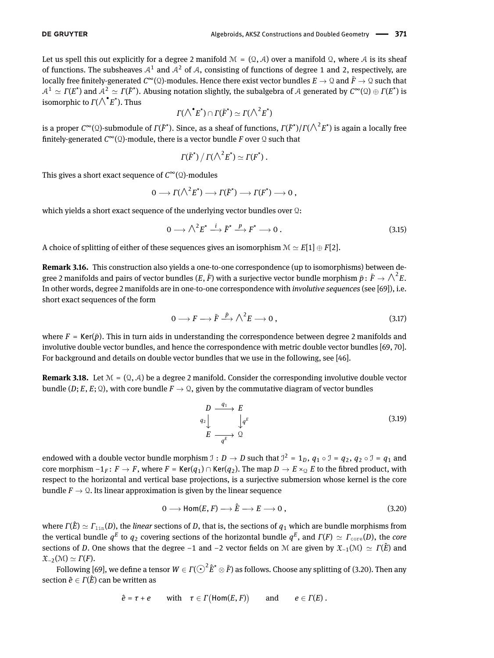Let us spell this out explicitly for a degree 2 manifold  $\mathcal{M} = (\mathcal{Q}, \mathcal{A})$  over a manifold  $\mathcal{Q}$ , where A is its sheaf of functions. The subsheaves  $A^1$  and  $A^2$  of A, consisting of functions of degree 1 and 2, respectively, are locally free finitely-generated  $C^\infty(\Omega)$ -modules. Hence there exist vector bundles  $E\to\Omega$  and  $\bar F\to\Omega$  such that  $A^1 \simeq \Gamma(E^\star)$  and  $A^2 \simeq \Gamma(\bar{F}^\star)$ . Abusing notation slightly, the subalgebra of A generated by  $C^\infty({\mathfrak{Q}}) \oplus \Gamma(E^\star)$  is isomorphic to *Γ*( $\bigwedge^{\bullet} E^*$ ). Thus

$$
\Gamma(\bigwedge\nolimits^{\bullet} E^{^{\star}}) \cap \Gamma(\bar{F}^{^{\star}}) \simeq \Gamma(\bigwedge\nolimits^2 E^{^{\star}})
$$

is a proper *C*∞(Q)-submodule of *Γ*( $\bar{F}$ \*). Since, as a sheaf of functions, *Γ*( $\bar{F}^*$ )/*Γ*( $\bigwedge^2 E^*$ ) is again a locally free nitely-generated *C* <sup>∞</sup>(Q)-module, there is a vector bundle *F* over Q such that

<span id="page-18-3"></span>
$$
\Gamma(\bar{F}^*) / \Gamma(\bigwedge{}^2 E^*) \simeq \Gamma(F^*) .
$$

This gives a short exact sequence of *C* <sup>∞</sup>(Q)-modules

$$
0 \longrightarrow \Gamma(\bigwedge^2 E^*) \longrightarrow \Gamma(\overline{F}^*) \longrightarrow \Gamma(F^*) \longrightarrow 0,
$$

which yields a short exact sequence of the underlying vector bundles over  $\Omega$ :

$$
0 \longrightarrow \bigwedge^2 E^* \stackrel{i}{\longrightarrow} \bar{F}^* \stackrel{p}{\longrightarrow} F^* \longrightarrow 0.
$$
\n(3.15)

A choice of splitting of either of these sequences gives an isomorphism  $M \simeq E[1] \oplus F[2]$ .

**Remark 3.16.** This construction also yields a one-to-one correspondence (up to isomorphisms) between degree 2 manifolds and pairs of vector bundles  $(E,\bar{F})$  with a surjective vector bundle morphism  $\bar{p}\colon \bar{F}\to \bigwedge^2 E.$ In other words, degree 2 manifolds are in one-to-one correspondence with *involutive sequences* (see [\[69\]](#page-48-15)), i.e. short exact sequences of the form

<span id="page-18-1"></span>
$$
0 \longrightarrow F \longrightarrow \bar{F} \stackrel{\bar{p}}{\longrightarrow} \bigwedge^2 E \longrightarrow 0 , \qquad (3.17)
$$

where  $F = \text{Ker}(\bar{p})$ . This in turn aids in understanding the correspondence between degree 2 manifolds and involutive double vector bundles, and hence the correspondence with metric double vector bundles [\[69,](#page-48-15) [70\]](#page-48-16). For background and details on double vector bundles that we use in the following, see [\[46\]](#page-47-26).

**Remark 3.18.** Let  $\mathcal{M} = (\mathcal{Q}, \mathcal{A})$  be a degree 2 manifold. Consider the corresponding involutive double vector bundle  $(D; E, E; \mathcal{Q})$ , with core bundle  $F \to \mathcal{Q}$ , given by the commutative diagram of vector bundles

<span id="page-18-2"></span><span id="page-18-0"></span>
$$
\begin{array}{ccc}\nD & \xrightarrow{q_1} & E \\
\downarrow^{q_2} & \downarrow^{q_E} & \\
E & \xrightarrow{q^E} & \mathcal{Q}\n\end{array} \tag{3.19}
$$

endowed with a double vector bundle morphism  $\mathbb{J}:D\to D$  such that  $\mathbb{J}^2=1_D,$   $q_1\circ\mathbb{J}=q_2,$   $q_2\circ\mathbb{J}=q_1$  and core morphism  $-1_F$ : *F* → *F*, where *F* = Ker(*q*<sub>1</sub>) ∩ Ker(*q*<sub>2</sub>). The map *D* → *E* ×<sub>Q</sub> *E* to the fibred product, with respect to the horizontal and vertical base projections, is a surjective submersion whose kernel is the core bundle  $F \to \Omega$ . Its linear approximation is given by the linear sequence

$$
0 \longrightarrow \text{Hom}(E, F) \longrightarrow \hat{E} \longrightarrow E \longrightarrow 0 , \qquad (3.20)
$$

where  $\Gamma(\hat{E}) \simeq \Gamma_{\text{lin}}(D)$ , the *linear* sections of *D*, that is, the sections of  $q_1$  which are bundle morphisms from the vertical bundle  $q^E$  to  $q_2$  covering sections of the horizontal bundle  $q^E$ , and  $\varGamma(F)\,\simeq\,\varGamma_\text{core}(D),$  the *core* sections of *D*. One shows that the degree −1 and −2 vector fields on M are given by  $\mathfrak{X}_{-1}(\mathcal{M}) \simeq \Gamma(\hat{E})$  and  $\mathfrak{X}_{-2}(\mathfrak{M}) \simeq \Gamma(F)$ .

Following [\[69\]](#page-48-15), we define a tensor  $W\in \varGamma(\bigodot^2\hat E^*\otimes\bar F)$  as follows. Choose any splitting of [\(3.20\)](#page-18-0). Then any section  $\hat{e} \in \Gamma(\hat{E})$  can be written as

$$
\hat{e} = \tau + e
$$
 with  $\tau \in \Gamma(\text{Hom}(E, F))$  and  $e \in \Gamma(E)$ .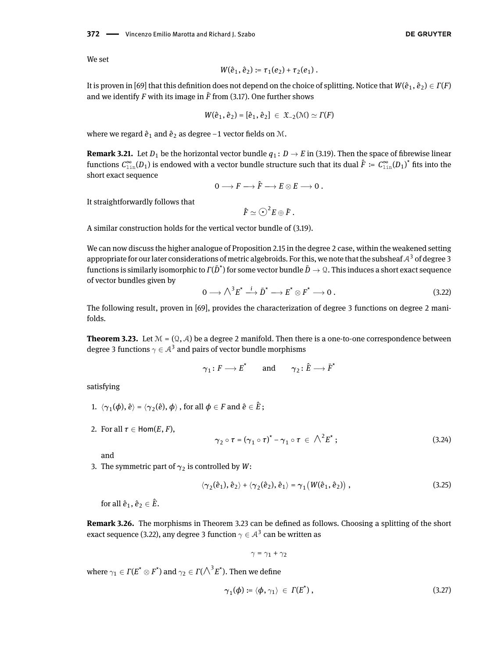We set

$$
W(\hat{e}_1, \hat{e}_2) \coloneqq \tau_1(e_2) + \tau_2(e_1).
$$

It is proven in [\[69\]](#page-48-15) that this definition does not depend on the choice of splitting. Notice that  $W(\hat{e}_1, \hat{e}_2) \in \Gamma(F)$ and we identify  $F$  with its image in  $\bar{F}$  from [\(3.17\)](#page-18-1). One further shows

$$
W(\hat{e}_1, \hat{e}_2) = [\hat{e}_1, \hat{e}_2] \in \mathfrak{X}_{-2}(\mathcal{M}) \simeq \Gamma(F)
$$

where we regard  $\hat{e}_1$  and  $\hat{e}_2$  as degree −1 vector fields on M.

**Remark 3.21.** Let  $D_1$  be the horizontal vector bundle  $q_1: D \to E$  in [\(3.19\)](#page-18-2). Then the space of fibrewise linear functions  $C^\infty_{1\rm in}(D_1)$  is endowed with a vector bundle structure such that its dual  $\hat F\coloneqq C^\infty_{1\rm in}(D_1)^\star$  fits into the short exact sequence

<span id="page-19-1"></span>
$$
0\longrightarrow F\longrightarrow \hat{F}\longrightarrow E\otimes E\longrightarrow 0\ .
$$

It straightforwardly follows that

$$
\hat{F} \simeq \bigodot^2 E \oplus \bar{F} .
$$

A similar construction holds for the vertical vector bundle of [\(3.19\)](#page-18-2).

We can now discuss the higher analogue of Proposition [2.15](#page-9-0) in the degree 2 case, within the weakened setting appropriate for our later considerations of metric algebroids. For this, we note that the subsheaf  $\mathcal{A}^3$  of degree 3 functions is similarly isomorphic to  $\varGamma(\bar D^*)$  for some vector bundle  $\bar D\to\mathfrak{Q}.$  This induces a short exact sequence of vector bundles given by

$$
0 \longrightarrow \bigwedge^3 E^* \stackrel{i}{\longrightarrow} \bar{D}^* \longrightarrow E^* \otimes F^* \longrightarrow 0.
$$
 (3.22)

The following result, proven in [\[69\]](#page-48-15), provides the characterization of degree 3 functions on degree 2 manifolds.

<span id="page-19-0"></span>**Theorem 3.23.** Let  $\mathcal{M} = (\mathcal{Q}, \mathcal{A})$  be a degree 2 manifold. Then there is a one-to-one correspondence between degree 3 functions  $\gamma\in\mathcal{A}^{3}$  and pairs of vector bundle morphisms

<span id="page-19-3"></span>
$$
{\gamma}_1\colon F\longrightarrow E^{^\star}\qquad \text{and}\qquad {\gamma}_2\colon \hat E\longrightarrow {\bar F}^{^\star}
$$

satisfying

- $1. \ \ \langle {\gamma}_1(\phi), \hat{e} \rangle = \langle {\gamma}_2(\hat{e}), \phi \rangle$  , for all  $\phi \in F$  and  $\hat{e} \in \hat{E}$  ;
- 2. For all  $\tau \in \text{Hom}(E, F)$ ,

<span id="page-19-4"></span>
$$
\gamma_2 \circ \tau = (\gamma_1 \circ \tau)^* - \gamma_1 \circ \tau \in \bigwedge^2 E^* ; \tag{3.24}
$$

and

3. The symmetric part of  $\gamma_2$  is controlled by W:

$$
\langle \gamma_2(\hat{e}_1), \hat{e}_2 \rangle + \langle \gamma_2(\hat{e}_2), \hat{e}_1 \rangle = \gamma_1 \big( W(\hat{e}_1, \hat{e}_2) \big) , \tag{3.25}
$$

for all  $\hat{e}_1, \hat{e}_2 \in \hat{E}$ .

**Remark 3.26.** The morphisms in Theorem [3.23](#page-19-0) can be defined as follows. Choosing a splitting of the short exact sequence [\(3.22\)](#page-19-1), any degree 3 function  $\gamma \in \mathcal{A}^3$  can be written as

<span id="page-19-2"></span>
$$
\gamma = \gamma_1 + \gamma_2
$$

where  $\gamma_1\in \varGamma(E^\star\otimes F^\star)$  and  $\gamma_2\in \varGamma(\bigwedge^3E^\star).$  Then we define

$$
\gamma_1(\phi) \coloneqq \langle \phi, \gamma_1 \rangle \in \Gamma(E^{\star}), \tag{3.27}
$$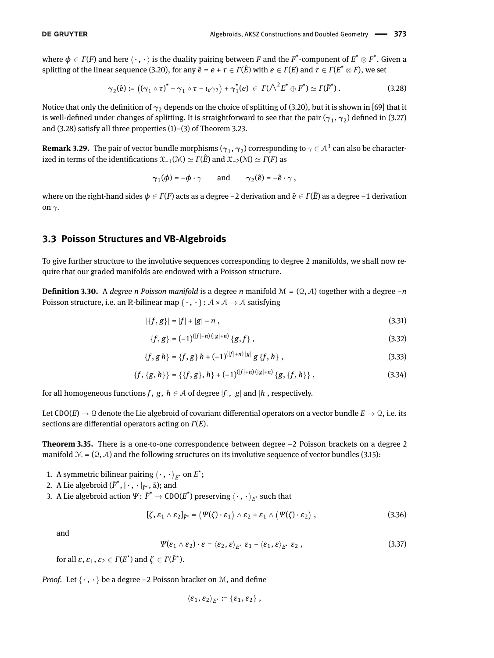where  $\phi \in \Gamma(F)$  and here  $\langle \cdot, \cdot \rangle$  is the duality pairing between *F* and the  $F^\star$ -component of  $E^\star \otimes F^\star$ . Given a splitting of the linear sequence [\(3.20\)](#page-18-0), for any  $\hat{e}=e+\tau\in\Gamma(\hat{E})$  with  $e\in\Gamma(E)$  and  $\tau\in\Gamma(E^{\star}\otimes F)$ , we set

$$
\gamma_2(\hat{e}) \coloneqq \left( \left( \gamma_1 \circ \tau \right)^{\star} - \gamma_1 \circ \tau - \iota_{e} \gamma_2 \right) + \gamma_1^{\star}(e) \in \Gamma(\bigwedge^2 E^{\star} \oplus F^{\star}) \simeq \Gamma(\bar{F}^{\star}). \tag{3.28}
$$

Notice that only the definition of  $\gamma_2$  depends on the choice of splitting of [\(3.20\)](#page-18-0), but it is shown in [\[69\]](#page-48-15) that it is well-defined under changes of splitting. It is straightforward to see that the pair  $(\gamma_1,\gamma_2)$  defined in [\(3.27\)](#page-19-2) and [\(3.28\)](#page-20-0) satisfy all three properties (1)–(3) of Theorem [3.23.](#page-19-0)

**Remark 3.29.** The pair of vector bundle morphisms ( $\gamma_1,\gamma_2$ ) corresponding to  $\gamma\in\mathcal A^3$  can also be characterized in terms of the identifications  $\mathfrak{X}_{-1}(\mathcal{M}) \simeq \Gamma(\hat{E})$  and  $\mathfrak{X}_{-2}(\mathcal{M}) \simeq \Gamma(F)$  as

<span id="page-20-0"></span>
$$
\gamma_1(\phi) = -\phi \cdot \gamma
$$
 and  $\gamma_2(\hat{e}) = -\hat{e} \cdot \gamma$ ,

where on the right-hand sides  $\phi \in \Gamma(F)$  acts as a degree –2 derivation and  $\hat{e} \in \Gamma(\hat{E})$  as a degree –1 derivation on  $γ$ .

# **3.3 Poisson Structures and VB-Algebroids**

To give further structure to the involutive sequences corresponding to degree 2 manifolds, we shall now require that our graded manifolds are endowed with a Poisson structure.

**Definition 3.30.** A *degree n Poisson manifold* is a degree *n* manifold  $\mathcal{M} = (\mathcal{Q}, \mathcal{A})$  together with a degree −*n* Poisson structure, i.e. an R-bilinear map  $\{\cdot, \cdot\} : \mathcal{A} \times \mathcal{A} \to \mathcal{A}$  satisfying

$$
|\{f, g\}| = |f| + |g| - n \tag{3.31}
$$

<span id="page-20-3"></span><span id="page-20-2"></span><span id="page-20-1"></span>
$$
\{f,g\} = (-1)^{(|f|+n)(|g|+n)} \{g,f\} \,, \tag{3.32}
$$

$$
\{f, g\,h\} = \{f, g\}\,h + (-1)^{(|f|+n)|g|}\,g\,\{f, h\}\,,\tag{3.33}
$$

$$
\{f, \{g, h\}\} = \{\{f, g\}, h\} + (-1)^{(|f|+n)(|g|+n)} \{g, \{f, h\}\}\,,\tag{3.34}
$$

for all homogeneous functions *f*, *g*, *h*  $\in$  *A* of degree  $|f|$ ,  $|g|$  and  $|h|$ , respectively.

Let CDO(*E*)  $\rightarrow \Omega$  denote the Lie algebroid of covariant differential operators on a vector bundle  $E \rightarrow \Omega$ , i.e. its sections are differential operators acting on *Γ*(*E*).

<span id="page-20-6"></span>**Theorem 3.35.** There is a one-to-one correspondence between degree −2 Poisson brackets on a degree 2 manifold  $\mathcal{M} = (\mathcal{Q}, \mathcal{A})$  and the following structures on its involutive sequence of vector bundles [\(3.15\)](#page-18-3):

- 1. A symmetric bilinear pairing  $\langle \, \cdot \, , \, \cdot \, \rangle_{E^{\star}}$  on  $E^{\star};$
- 2. A Lie algebroid  $(\bar{F}^{\star}, [\cdot, \cdot]_{\bar{F}^{\star}}, \bar{a})$ ; and
- 3. A Lie algebroid action  $\Psi\colon \bar{F}^\star \to \mathsf{CDO}(E^\star)$  preserving  $\langle\,\cdot\,,\,\cdot\,\rangle_{E^\star}$  such that

$$
[\zeta, \varepsilon_1 \wedge \varepsilon_2]_{\bar{F}^*} = (\Psi(\zeta) \cdot \varepsilon_1) \wedge \varepsilon_2 + \varepsilon_1 \wedge (\Psi(\zeta) \cdot \varepsilon_2), \qquad (3.36)
$$

<span id="page-20-5"></span>and

<span id="page-20-4"></span>
$$
\Psi(\varepsilon_1 \wedge \varepsilon_2) \cdot \varepsilon = \langle \varepsilon_2, \varepsilon \rangle_{E^*} \varepsilon_1 - \langle \varepsilon_1, \varepsilon \rangle_{E^*} \varepsilon_2 , \qquad (3.37)
$$

for all  $\varepsilon$ ,  $\varepsilon_1$ ,  $\varepsilon_2 \in \varGamma(E^\star)$  and  $\zeta \in \varGamma(\bar{F}^\star)$ .

*Proof.* Let  $\{\cdot, \cdot\}$  be a degree −2 Poisson bracket on  $M$ , and define

<span id="page-20-7"></span>
$$
\langle \varepsilon_1, \varepsilon_2 \rangle_{E^*} \coloneqq \{ \varepsilon_1, \varepsilon_2 \},
$$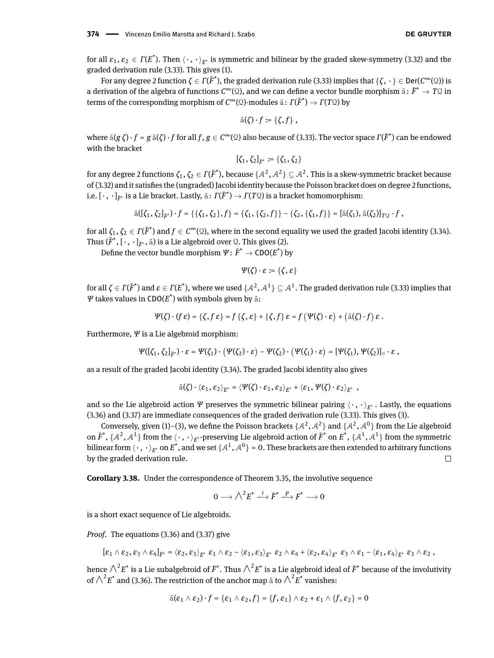for all  $\varepsilon_1, \varepsilon_2\in \varGamma(E^*).$  Then  $\langle\,\cdot\,,\,\cdot\,\rangle_{E^*}$  is symmetric and bilinear by the graded skew-symmetry [\(3.32\)](#page-20-1) and the graded derivation rule [\(3.33\)](#page-20-2). This gives (1).

For any degree 2 function  $\zeta\in\Gamma(\bar{F}^*)$ , the graded derivation rule [\(3.33\)](#page-20-2) implies that  $\{\zeta, \,\cdot\,\}\in$  Der( $C^\infty({\mathbb Q})$ ) is a derivation of the algebra of functions  $C^\infty(\Omega)$ , and we can define a vector bundle morphism  $\bar{\rm a}\colon \bar F^\star\to T\Omega$  in terms of the corresponding morphism of *C* <sup>∞</sup>(Q)-modules a¯ : *Γ*(*F*¯ \* ) → *Γ*(*T*Q) by

$$
\bar{\mathsf{a}}(\zeta)\cdot f\coloneqq\{\zeta,f\}\;,
$$

 $\text{where }\bar{\text{a}}(g\,\zeta)\cdot f=g\,\bar{\text{a}}(\zeta)\cdot f\text{ for all }f,g\in\mathcal{C}^\infty(\Omega)$  also because of [\(3.33\)](#page-20-2). The vector space  $\varGamma(\bar{F}^\star)$  can be endowed with the bracket

$$
[\zeta_1,\zeta_2]_{\bar{F}^*} \coloneqq \{\zeta_1,\zeta_2\}
$$

for any degree 2 functions  $\zeta_1,\zeta_2\in\varGamma(\bar F^\star)$ , because  $\{A^2,A^2\}\subseteq A^2.$  This is a skew-symmetric bracket because of [\(3.32\)](#page-20-1) and it satisfies the (ungraded) Jacobi identity because the Poisson bracket does on degree 2 functions, i.e.  $[\,\cdot\,,\,\cdot\,]_{\bar{F}^*}$  is a Lie bracket. Lastly,  $\bar{\mathrm{a}}\colon\varGamma(\bar{F}^{\star})\to\varGamma(T\mathfrak{Q})$  is a bracket homomorphism:

$$
\bar{a}([\zeta_1,\zeta_2]_{\bar{F}})\cdot f = \{\{\zeta_1,\zeta_2\},f\} = \{\zeta_1,\{\zeta_2,f\}\} - \{\zeta_2,\{\zeta_1,f\}\} = [\bar{a}(\zeta_1),\bar{a}(\zeta_2)]_{T\mathcal{Q}}\cdot f,
$$

for all  $\zeta_1,\zeta_2\in\varGamma(\bar{F}^*)$  and  $f\in C^\infty(\Omega)$ , where in the second equality we used the graded Jacobi identity [\(3.34\)](#page-20-3). Thus  $(\bar{F}^*,[\cdot,\cdot]_{\bar{F}^*},\bar{a})$  is a Lie algebroid over  $\mathcal{Q}$ . This gives (2).

Define the vector bundle morphism  $\Psi\colon \bar{F}^\star \to \mathsf{CDO}(E^\star)$  by

$$
\Psi(\zeta)\cdot \varepsilon\coloneqq \{\zeta,\varepsilon\}
$$

for all  $\zeta\in\varGamma(\bar F^*)$  and  $\varepsilon\in\varGamma(E^*)$ , where we used  $\{ {\cal A}^2,{\cal A}^1\}\subseteq{\cal A}^1.$  The graded derivation rule [\(3.33\)](#page-20-2) implies that  $\Psi$  takes values in CDO( $E^{\star}$ ) with symbols given by  $\bar{\text{a}}$ :

$$
\Psi(\zeta)\cdot(f\,\varepsilon)=\{\zeta,f\,\varepsilon\}=f\{\zeta,\varepsilon\}+\{\zeta,f\}\,\varepsilon=f\,\big(\Psi(\zeta)\cdot\varepsilon\big)+\big(\bar{a}(\zeta)\cdot f\big)\,\varepsilon\,.
$$

Furthermore, *Ψ* is a Lie algebroid morphism:

$$
\Psi([\zeta_1,\zeta_2]_{\bar{F}^*})\cdot \varepsilon=\Psi(\zeta_1)\cdot\big(\Psi(\zeta_2)\cdot \varepsilon\big)-\Psi(\zeta_2)\cdot\big(\Psi(\zeta_1)\cdot \varepsilon\big)=[\Psi(\zeta_1),\Psi(\zeta_2)]_{\circ}\cdot \varepsilon,
$$

as a result of the graded Jacobi identity [\(3.34\)](#page-20-3). The graded Jacobi identity also gives

$$
\bar{\mathrm{a}}(\zeta) \cdot \langle \varepsilon_1, \varepsilon_2 \rangle_{E^*} = \langle \Psi(\zeta) \cdot \varepsilon_1, \varepsilon_2 \rangle_{E^*} + \langle \varepsilon_1, \Psi(\zeta) \cdot \varepsilon_2 \rangle_{E^*} ,
$$

and so the Lie algebroid action *Ψ* preserves the symmetric bilinear pairing  $\langle \cdot, \cdot \rangle_{F^*}$ . Lastly, the equations [\(3.36\)](#page-20-4) and [\(3.37\)](#page-20-5) are immediate consequences of the graded derivation rule [\(3.33\)](#page-20-2). This gives (3).

Conversely, given (1)–(3), we define the Poisson brackets  $\{A^2, A^2\}$  and  $\{A^2, A^0\}$  from the Lie algebroid on  $\bar{F}^{\star}$ ,  $\{ \mathcal{A}^2, \mathcal{A}^1 \}$  from the  $\langle\,\cdot\,,\,\cdot\,\rangle_{E^{\star}}$ -preserving Lie algebroid action of  $\bar{F}^{\star}$  on  $E^{\star}$ ,  $\{ \mathcal{A}^1, \mathcal{A}^1 \}$  from the symmetric bilinear form  $\langle\,\cdot\,,\,\cdot\,\rangle_{E^*}$  on  $E^*$ , and we set  $\{A^1,\mathcal{A}^0\}=0.$  These brackets are then extended to arbitrary functions by the graded derivation rule.  $\Box$ 

**Corollary 3.38.** Under the correspondence of Theorem [3.35,](#page-20-6) the involutive sequence

<span id="page-21-0"></span>
$$
0\longrightarrow \bigwedge {}^2E^{\star}\stackrel{i}{\longrightarrow} \bar{F}^{\star}\stackrel{p}{\longrightarrow} F^{\star}\longrightarrow 0
$$

is a short exact sequence of Lie algebroids.

*Proof.* The equations [\(3.36\)](#page-20-4) and [\(3.37\)](#page-20-5) give

$$
[\varepsilon_1 \wedge \varepsilon_2, \varepsilon_3 \wedge \varepsilon_4]_{\bar{F}^*} = \langle \varepsilon_2, \varepsilon_3 \rangle_{E^*} \varepsilon_1 \wedge \varepsilon_2 - \langle \varepsilon_1, \varepsilon_3 \rangle_{E^*} \varepsilon_2 \wedge \varepsilon_4 + \langle \varepsilon_2, \varepsilon_4 \rangle_{E^*} \varepsilon_3 \wedge \varepsilon_1 - \langle \varepsilon_1, \varepsilon_4 \rangle_{E^*} \varepsilon_3 \wedge \varepsilon_2,
$$

hence  $\bigwedge^2E^\star$  is a Lie subalgebroid of  $\bar{F}^\star.$  Thus  $\bigwedge^2E^\star$  is a Lie algebroid ideal of  $\bar{F}^\star$  because of the involutivity of  $\bigwedge^2 E^*$  and [\(3.36\)](#page-20-4). The restriction of the anchor map  $\bar{a}$  to  $\bigwedge^2 E^*$  vanishes:

$$
\bar{a}(\varepsilon_1 \wedge \varepsilon_2) \cdot f = \{\varepsilon_1 \wedge \varepsilon_2, f\} = \{f, \varepsilon_1\} \wedge \varepsilon_2 + \varepsilon_1 \wedge \{f, \varepsilon_2\} = 0
$$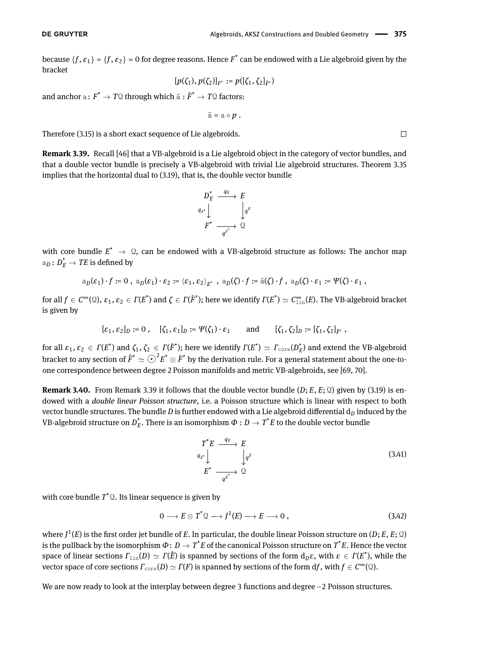because  $\{f, \varepsilon_1\} = \{f, \varepsilon_2\} = 0$  for degree reasons. Hence  $F^*$  can be endowed with a Lie algebroid given by the bracket

$$
[p(\zeta_1), p(\zeta_2)]_{F^*} := p([\zeta_1, \zeta_2]_{F^*})
$$

and anchor  $\alpha\colon F^\star\to T\mathfrak{Q}$  through which  $\bar{\alpha}:\bar{F}^\star\to T\mathfrak{Q}$  factors:

$$
\bar{\mathbf{a}} = \mathbf{a} \circ p \; .
$$

Therefore [\(3.15\)](#page-18-3) is a short exact sequence of Lie algebroids.

**Remark 3.39.** Recall [\[46\]](#page-47-26) that a VB-algebroid is a Lie algebroid object in the category of vector bundles, and that a double vector bundle is precisely a VB-algebroid with trivial Lie algebroid structures. Theorem [3.35](#page-20-6) implies that the horizontal dual to [\(3.19\)](#page-18-2), that is, the double vector bundle



with core bundle  $E^* \to \Omega$ , can be endowed with a VB-algebroid structure as follows: The anchor map  $\mathbf{a}_D\colon D_E^{\star}\to TE$  is defined by

$$
\mathbf{a}_D(\varepsilon_1)\cdot f \coloneqq 0\,,\ \mathbf{a}_D(\varepsilon_1)\cdot \varepsilon_2 \coloneqq \langle \varepsilon_1, \varepsilon_2 \rangle_{E^*}\,,\ \mathbf{a}_D(\zeta)\cdot f \coloneqq \bar{\mathbf{a}}(\zeta)\cdot f\,,\ \mathbf{a}_D(\zeta)\cdot \varepsilon_1 \coloneqq \Psi(\zeta)\cdot \varepsilon_1\,,
$$

 $\mathcal{L}$  *f* or all  $f \in \mathcal{C}^{\infty}(\Omega)$ ,  $\varepsilon_1$ ,  $\varepsilon_2 \in \mathit{\Gamma}(E^\star)$  and  $\zeta \in \mathit{\Gamma}(\bar{F}^\star)$ ; here we identify  $\mathit{\Gamma}(E^\star) \simeq \mathcal{C}^\infty_{\text{lin}}(E)$ . The VB-algebroid bracket is given by

$$
[\varepsilon_1,\varepsilon_2]_D:=0\ ,\quad [\zeta_1,\varepsilon_1]_D:=\Psi(\zeta_1)\cdot\varepsilon_1\qquad\text{and}\qquad [\zeta_1,\zeta_2]_D:=[\zeta_1,\zeta_2]_{\bar{F}^*}\ ,
$$

 ${\rm for\ all\ } \varepsilon_1, \varepsilon_2 \in \varGamma(E^\star)$  and  $\zeta_1, \zeta_2 \in \varGamma(\bar{F}^\star);$  here we identify  $\varGamma(E^\star) \simeq \varGamma_{\rm core}(D_E^\star)$  and extend the VB-algebroid bracket to any section of  $\hat F^*\simeq\bigodot^2E^*\otimes\bar F^*$  by the derivation rule. For a general statement about the one-toone correspondence between degree 2 Poisson manifolds and metric VB-algebroids, see [\[69,](#page-48-15) [70\]](#page-48-16).

**Remark 3.40.** From Remark [3.39](#page-21-0) it follows that the double vector bundle  $(D; E, E; Q)$  given by [\(3.19\)](#page-18-2) is endowed with a *double linear Poisson structure*, i.e. a Poisson structure which is linear with respect to both vector bundle structures. The bundle *D* is further endowed with a Lie algebroid differential  $d<sub>D</sub>$  induced by the VB-algebroid structure on  $D_E^\star.$  There is an isomorphism  $\varPhi: D \to T^\star E$  to the double vector bundle

<span id="page-22-0"></span>
$$
T^*E \xrightarrow{q_E} E
$$
  
\n
$$
q_{E^*} \downarrow \qquad \qquad \downarrow q^E
$$
  
\n
$$
E^* \xrightarrow{q_{E^*}} Q
$$
  
\n(3.41)

with core bundle  $T^*\mathfrak{Q}$ . Its linear sequence is given by

$$
0 \longrightarrow E \otimes T^* \mathfrak{Q} \longrightarrow J^1(E) \longrightarrow E \longrightarrow 0 , \qquad (3.42)
$$

where  $J^1(E)$  is the first order jet bundle of  $E$ . In particular, the double linear Poisson structure on  $(D; E, E; \mathcal{Q})$ is the pullback by the isomorphism  $\Phi\colon D\to T^{\star}E$  of the canonical Poisson structure on  $T^{\star}E.$  Hence the vector space of linear sections  $\Gamma_{\rm lin}(D)\simeq\Gamma(\hat E)$  is spanned by sections of the form  ${\rm d}_D\varepsilon$ , with  $\varepsilon\in\Gamma(E^*),$  while the vector space of core sections  $\Gamma_{\text{core}}(D) \simeq \Gamma(F)$  is spanned by sections of the form df, with  $f \in C^{\infty}(\Omega)$ .

We are now ready to look at the interplay between degree 3 functions and degree −2 Poisson structures.

 $\Box$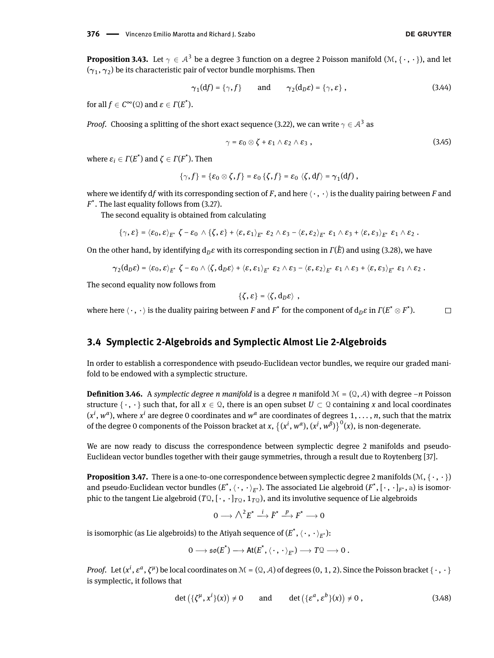<span id="page-23-2"></span>**Proposition 3.43.** Let  $\gamma \in A^3$  be a degree 3 function on a degree 2 Poisson manifold  $(\mathcal{M},\{\cdot\,,\,\cdot\}),$  and let  $(\gamma_1,\gamma_2)$  be its characteristic pair of vector bundle morphisms. Then

$$
\gamma_1(\mathrm{d}f) = \{ \gamma, f \} \qquad \text{and} \qquad \gamma_2(\mathrm{d}_D \varepsilon) = \{ \gamma, \varepsilon \} \;, \tag{3.44}
$$

for all  $f \in C^{\infty}(\Omega)$  and  $\varepsilon \in \Gamma(E^*)$ .

*Proof.* Choosing a splitting of the short exact sequence [\(3.22\)](#page-19-1), we can write  $\gamma \in \mathcal{A}^3$  as

$$
\gamma = \varepsilon_0 \otimes \zeta + \varepsilon_1 \wedge \varepsilon_2 \wedge \varepsilon_3 , \qquad (3.45)
$$

 $\text{where } ε_i \in \Gamma(E^*) \text{ and } \zeta \in \Gamma(F^*)$ . Then

$$
\{\gamma, f\} = \{\varepsilon_0 \otimes \zeta, f\} = \varepsilon_0 \{\zeta, f\} = \varepsilon_0 \langle \zeta, df \rangle = \gamma_1(df) ,
$$

where we identify df with its corresponding section of *F*, and here  $\langle \cdot, \cdot \rangle$  is the duality pairing between *F* and  $F^*$ . The last equality follows from [\(3.27\)](#page-19-2).

The second equality is obtained from calculating

$$
\{\gamma,\epsilon\}=\langle \epsilon_0,\epsilon\rangle_{E^*}\ \zeta-\epsilon_0\ \wedge\ \{\zeta,\epsilon\}+\langle \epsilon,\epsilon_1\rangle_{E^*}\ \epsilon_2\ \wedge\ \epsilon_3-\langle \epsilon,\epsilon_2\rangle_{E^*}\ \epsilon_1\ \wedge\ \epsilon_3+\langle \epsilon,\epsilon_3\rangle_{E^*}\ \epsilon_1\ \wedge\ \epsilon_2\ .
$$

On the other hand, by identifying d*Dε* with its corresponding section in *Γ*(*E*ˆ) and using [\(3.28\)](#page-20-0), we have

$$
\gamma_2(d_D \epsilon)=\langle \epsilon_0, \epsilon\rangle_{E^*} \ \zeta-\epsilon_0 \wedge \langle \zeta, d_D \epsilon\rangle + \langle \epsilon, \epsilon_1\rangle_{E^*} \ \epsilon_2 \wedge \epsilon_3-\langle \epsilon, \epsilon_2\rangle_{E^*} \ \epsilon_1 \wedge \epsilon_3+\langle \epsilon, \epsilon_3\rangle_{E^*} \ \epsilon_1 \wedge \epsilon_2 \ .
$$

The second equality now follows from

$$
\{\zeta,\varepsilon\}=\langle\zeta,\mathbf{d}_D\varepsilon\rangle\ ,
$$

where here  $\langle\,\cdot\,,\,\cdot\,\rangle$  is the duality pairing between  $F$  and  $F^\star$  for the component of  $\mathrm{d}_D\varepsilon$  in  $\varGamma(E^\star\otimes F^\star).$  $\Box$ 

#### <span id="page-23-3"></span>**3.4 Symplectic 2-Algebroids and Symplectic Almost Lie 2-Algebroids**

In order to establish a correspondence with pseudo-Euclidean vector bundles, we require our graded manifold to be endowed with a symplectic structure.

**Definition 3.46.** A *symplectic degree n manifold* is a degree *n* manifold  $M = (Q, A)$  with degree −*n* Poisson structure  $\{\cdot, \cdot\}$  such that, for all  $x \in \Omega$ , there is an open subset  $U \subset \Omega$  containing x and local coordinates  $(x^i, w^{\alpha})$ , where  $x^i$  are degree 0 coordinates and  $w^{\alpha}$  are coordinates of degrees 1, . . . , n, such that the matrix of the degree 0 components of the Poisson bracket at *x*,  $\{(x^i, w^\alpha), (x^j, w^\beta)\}^0(x)$ , is non-degenerate.

We are now ready to discuss the correspondence between symplectic degree 2 manifolds and pseudo-Euclidean vector bundles together with their gauge symmetries, through a result due to Roytenberg [\[37\]](#page-47-17).

<span id="page-23-1"></span>**Proposition 3.47.** There is a one-to-one correspondence between symplectic degree 2 manifolds  $(\mathcal{M}, \{\cdot, \cdot\})$ and pseudo-Euclidean vector bundles  $(E^*,\langle\,\cdot\,,\,\cdot\,\rangle_{E^*})$ . The associated Lie algebroid  $(F^*,[\,\cdot\,,\,\cdot\,]_{F^*},$  a) is isomorphic to the tangent Lie algebroid  $(TQ, [\cdot, \cdot]_{TQ}, 1_{TQ})$ , and its involutive sequence of Lie algebroids

<span id="page-23-0"></span> $0 \longrightarrow \bigwedge^2 E^* \stackrel{i}{\longrightarrow} \bar{F}^* \stackrel{p}{\longrightarrow} F^* \longrightarrow 0$ 

is isomorphic (as Lie algebroids) to the Atiyah sequence of  $(E^\star, \langle\,\cdot\,,\,\cdot\,\rangle_{E^\star})$ :

$$
0\longrightarrow \mathfrak{so}(E^*)\longrightarrow \mathsf{At}(E^*,\langle\,\cdot\,,\,\cdot\,\rangle_{E^*})\longrightarrow T\mathfrak{Q}\longrightarrow 0\ .
$$

*Proof.* Let  $(x^i, \varepsilon^a, \zeta^{\mu})$  be local coordinates on  $\mathcal{M} = (Q, \mathcal{A})$  of degrees  $(0, 1, 2)$ . Since the Poisson bracket  $\{\cdot, \cdot\}$ is symplectic, it follows that

$$
\det\left(\{\zeta^{\mu}, x^{i}\}(x)\right) \neq 0 \quad \text{and} \quad \det\left(\{\varepsilon^{a}, \varepsilon^{b}\}(x)\right) \neq 0 , \tag{3.48}
$$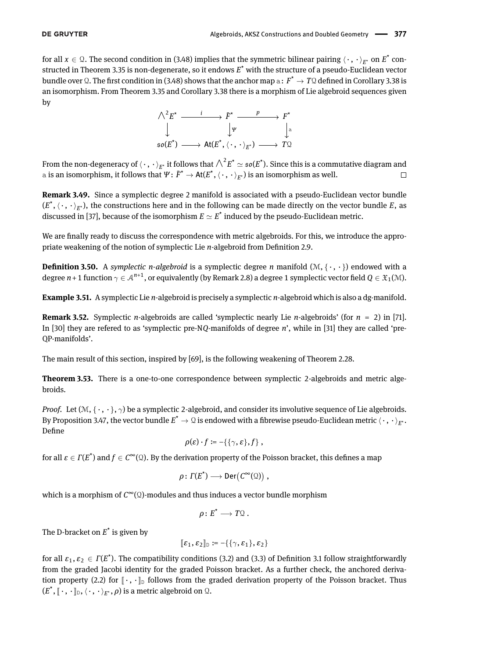for all  $x \in \Omega$ . The second condition in [\(3.48\)](#page-23-0) implies that the symmetric bilinear pairing  $\langle \cdot, \cdot \rangle_{E^*}$  on  $E^*$  constructed in Theorem [3.35](#page-20-6) is non-degenerate, so it endows *E* \* with the structure of a pseudo-Euclidean vector bundle over Q. The first condition in [\(3.48\)](#page-23-0) shows that the anchor map  $\rm _a\colon$   $\rm F^{\star}\to$   $T\rm Q$  defined in Corollary [3.38](#page-20-7) is an isomorphism. From Theorem [3.35](#page-20-6) and Corollary [3.38](#page-20-7) there is a morphism of Lie algebroid sequences given by



From the non-degeneracy of  $\langle\,\cdot\,,\,\cdot\,\rangle_{E^*}$  it follows that  $\triangle^2E^*\simeq\mathfrak{so}(E^*).$  Since this is a commutative diagram and a is an isomorphism, it follows that  $\Psi\colon \bar F^\star\to \sf{At}(E^\star,\langle\,\cdot\,,\,\cdot\,\rangle_{E^\star})$  is an isomorphism as well.  $\Box$ 

**Remark 3.49.** Since a symplectic degree 2 manifold is associated with a pseudo-Euclidean vector bundle  $(E^*, \langle \cdot, \cdot \rangle_{E^*})$ , the constructions here and in the following can be made directly on the vector bundle *E*, as discussed in [\[37\]](#page-47-17), because of the isomorphism  $E \simeq E^\star$  induced by the pseudo-Euclidean metric.

We are finally ready to discuss the correspondence with metric algebroids. For this, we introduce the appropriate weakening of the notion of symplectic Lie *n*-algebroid from Definition [2.9.](#page-7-1)

**Definition 3.50.** A *symplectic n-algebroid* is a symplectic degree *n* manifold  $(\mathcal{M}, \{\cdot, \cdot\})$  endowed with a degree  $n+1$  function  $\gamma\in\mathcal{A}^{n+1}$ , or equivalently (by Remark [2.8\)](#page-7-2) a degree 1 symplectic vector field  $Q\in\mathfrak{X}_1(\mathcal{M}).$ 

**Example 3.51.** A symplectic Lie *n*-algebroid is precisely a symplectic *n*-algebroid which is also a dg-manifold.

**Remark 3.52.** Symplectic *n*-algebroids are called 'symplectic nearly Lie *n*-algebroids' (for *n* = 2) in [\[71\]](#page-48-17). In [\[30\]](#page-47-10) they are refered to as 'symplectic pre-N*Q*-manifolds of degree *n*', while in [\[31\]](#page-47-11) they are called 'pre-QP-manifolds'.

The main result of this section, inspired by [\[69\]](#page-48-15), is the following weakening of Theorem [2.28.](#page-11-5)

<span id="page-24-0"></span>**Theorem 3.53.** There is a one-to-one correspondence between symplectic 2-algebroids and metric algebroids.

<span id="page-24-1"></span>*Proof.* Let  $(\mathcal{M}, \{\cdot, \cdot\}, \gamma)$  be a symplectic 2-algebroid, and consider its involutive sequence of Lie algebroids. By Proposition [3.47,](#page-23-1) the vector bundle  $E^\star\to\mathfrak{Q}$  is endowed with a fibrewise pseudo-Euclidean metric  $\langle\,\cdot\,,\,\cdot\,\rangle_{E^\star}.$ Define

$$
\rho(\varepsilon)\cdot f:=\{-\{\gamma,\varepsilon\},f\}\,,
$$

for all  $\varepsilon \in \Gamma(E^*)$  and  $f \in C^\infty(\Omega)$ . By the derivation property of the Poisson bracket, this defines a map

$$
\rho\colon \Gamma(E^*)\longrightarrow \mathsf{Der}(\mathcal{C}^\infty(\mathfrak{Q}))\;,
$$

which is a morphism of *C* <sup>∞</sup>(Q)-modules and thus induces a vector bundle morphism

$$
\rho\colon E^*\longrightarrow T\Omega\ .
$$

The D-bracket on  $E^*$  is given by

$$
[\![\varepsilon_1,\varepsilon_2]\!]_{{\mathbb D}}\coloneqq -\{\{\gamma,\varepsilon_1\},\varepsilon_2\}
$$

for all  $\varepsilon_1$ ,  $\varepsilon_2 \in \Gamma(E^*)$ . The compatibility conditions [\(3.2\)](#page-16-2) and [\(3.3\)](#page-16-5) of Definition [3.1](#page-16-6) follow straightforwardly from the graded Jacobi identity for the graded Poisson bracket. As a further check, the anchored deriva-tion property [\(2.2\)](#page-5-1) for  $\lbrack \cdot, \cdot \rbrack$  follows from the graded derivation property of the Poisson bracket. Thus  $(E^*, \llbracket \cdot, \cdot \rrbracket_{\mathbb{D}}, \langle \cdot, \cdot \rangle_{E^*}, \rho)$  is a metric algebroid on  $\mathcal{Q}$ .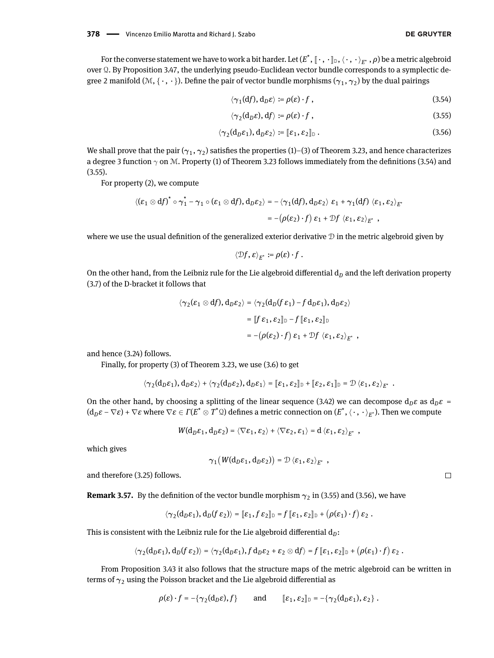For the converse statement we have to work a bit harder. Let  $(E^*, [\cdot, \cdot]_{\mathbb{D}}, \langle \cdot, \cdot \rangle_{E^*}, \rho)$  be a metric algebroid over Q. By Proposition [3.47,](#page-23-1) the underlying pseudo-Euclidean vector bundle corresponds to a symplectic degree 2 manifold (M, {  $\cdot$  ,  $\cdot$  }). Define the pair of vector bundle morphisms ( $\gamma_1,\gamma_2$ ) by the dual pairings

$$
\langle \gamma_1(\mathrm{d}f), \mathrm{d}_D \varepsilon \rangle \coloneqq \rho(\varepsilon) \cdot f \,, \tag{3.54}
$$

<span id="page-25-1"></span><span id="page-25-0"></span>
$$
\langle \gamma_2(\mathbf{d}_D \varepsilon), \mathbf{d} f \rangle := \rho(\varepsilon) \cdot f \tag{3.55}
$$

$$
\langle \gamma_2(\mathbf{d}_D \varepsilon_1), \mathbf{d}_D \varepsilon_2 \rangle := [\![ \varepsilon_1, \varepsilon_2 ]\!]_D. \tag{3.56}
$$

We shall prove that the pair  $(\gamma_1,\gamma_2)$  satisfies the properties (1)–(3) of Theorem [3.23,](#page-19-0) and hence characterizes a degree 3 function  $\gamma$  on M. Property (1) of Theorem [3.23](#page-19-0) follows immediately from the definitions [\(3.54\)](#page-24-1) and [\(3.55\)](#page-25-0).

For property (2), we compute

$$
\langle (\varepsilon_1 \otimes df)^{\star} \circ \gamma_1^{\star} - \gamma_1 \circ (\varepsilon_1 \otimes df), d_D \varepsilon_2 \rangle = - \langle \gamma_1(df), d_D \varepsilon_2 \rangle \varepsilon_1 + \gamma_1(df) \langle \varepsilon_1, \varepsilon_2 \rangle_{E^*}
$$
  
=  $-(\rho(\varepsilon_2) \cdot f) \varepsilon_1 + \mathcal{D}f \langle \varepsilon_1, \varepsilon_2 \rangle_{E^*}$ ,

where we use the usual definition of the generalized exterior derivative  $D$  in the metric algebroid given by

 $\langle \mathcal{D}f, \varepsilon \rangle_{F^*} := \rho(\varepsilon) \cdot f$ .

On the other hand, from the Leibniz rule for the Lie algebroid differential  $d<sub>D</sub>$  and the left derivation property [\(3.7\)](#page-16-7) of the D-bracket it follows that

$$
\langle \gamma_2(\varepsilon_1 \otimes df), d_D \varepsilon_2 \rangle = \langle \gamma_2(d_D(f \varepsilon_1) - f d_D \varepsilon_1), d_D \varepsilon_2 \rangle
$$
  
= 
$$
[f \varepsilon_1, \varepsilon_2]_{\mathbb{D}} - f [ \varepsilon_1, \varepsilon_2 ]_{\mathbb{D}}
$$
  
= 
$$
- (\rho(\varepsilon_2) \cdot f) \varepsilon_1 + \mathcal{D}f \langle \varepsilon_1, \varepsilon_2 \rangle_{E^*},
$$

and hence [\(3.24\)](#page-19-3) follows.

Finally, for property (3) of Theorem [3.23,](#page-19-0) we use [\(3.6\)](#page-16-3) to get

$$
\langle \gamma_2(\mathbf{d}_D \varepsilon_1), \mathbf{d}_D \varepsilon_2 \rangle + \langle \gamma_2(\mathbf{d}_D \varepsilon_2), \mathbf{d}_D \varepsilon_1 \rangle = [\![ \varepsilon_1, \varepsilon_2 ]\!]_{\mathbb{D}} + [\![ \varepsilon_2, \varepsilon_1 ]\!]_{\mathbb{D}} = \mathcal{D} \langle \varepsilon_1, \varepsilon_2 \rangle_{E^*}.
$$

On the other hand, by choosing a splitting of the linear sequence [\(3.42\)](#page-22-0) we can decompose  $d_D \varepsilon$  as  $d_D \varepsilon$  =  $({\rm d}_D\varepsilon-\nabla\varepsilon)+\nabla\varepsilon$  where  $\nabla\varepsilon\in\varGamma(E^\star\otimes T^\star\mathfrak{Q})$  defines a metric connection on  $(E^\star,\langle\,\cdot\,,\,\cdot\,\rangle_{E^\star}).$  Then we compute

$$
W(\mathrm{d}_D\varepsilon_1,\mathrm{d}_D\varepsilon_2)=\langle\nabla\varepsilon_1,\varepsilon_2\rangle+\langle\nabla\varepsilon_2,\varepsilon_1\rangle=\mathrm{d}\,\langle\varepsilon_1,\varepsilon_2\rangle_{E^*}\ ,
$$

which gives

$$
\gamma_1\big(W(d_0\varepsilon_1,d_0\varepsilon_2)\big)=\mathcal{D}\,\langle\varepsilon_1,\varepsilon_2\rangle_{E^*}\ ,
$$

and therefore [\(3.25\)](#page-19-4) follows.

**Remark 3.57.** By the definition of the vector bundle morphism  $\gamma_2$  in [\(3.55\)](#page-25-0) and [\(3.56\)](#page-25-1), we have

$$
\langle \gamma_2(\mathbf{d}_D \varepsilon_1), \mathbf{d}_D(f \varepsilon_2) \rangle = [\![ \varepsilon_1, f \varepsilon_2 ]\!]_D = f [\![ \varepsilon_1, \varepsilon_2 ]\!]_D + ( \rho(\varepsilon_1) \cdot f ) \varepsilon_2.
$$

This is consistent with the Leibniz rule for the Lie algebroid differential  $d_D$ :

$$
\langle \gamma_2(\mathbf{d}_D \varepsilon_1), \mathbf{d}_D(f \varepsilon_2) \rangle = \langle \gamma_2(\mathbf{d}_D \varepsilon_1), f \mathbf{d}_D \varepsilon_2 + \varepsilon_2 \otimes \mathbf{d} f \rangle = f \, [\![ \varepsilon_1, \varepsilon_2 ]\!]_{\mathbb{D}} + ( \rho(\varepsilon_1) \cdot f ) \, \varepsilon_2 \, .
$$

From Proposition [3.43](#page-23-2) it also follows that the structure maps of the metric algebroid can be written in terms of  $\gamma_2$  using the Poisson bracket and the Lie algebroid differential as

$$
\rho(\varepsilon) \cdot f = -\{\gamma_2(\mathbf{d}_D\varepsilon), f\} \quad \text{and} \quad [\![\varepsilon_1, \varepsilon_2]\!]_D = -\{\gamma_2(\mathbf{d}_D\varepsilon_1), \varepsilon_2\} \; .
$$

<span id="page-25-2"></span> $\Box$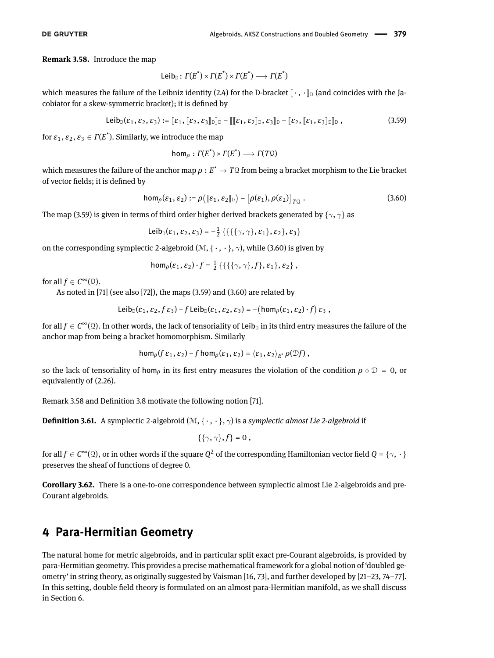**Remark 3.58.** Introduce the map

<span id="page-26-1"></span>Leib<sub>D</sub>: 
$$
\Gamma(E^*) \times \Gamma(E^*) \times \Gamma(E^*) \longrightarrow \Gamma(E^*)
$$

which measures the failure of the Leibniz identity [\(2.4\)](#page-6-0) for the D-bracket  $\|\cdot\|$ ,  $\cdot\|_D$  (and coincides with the Jacobiator for a skew-symmetric bracket); it is defined by

$$
\mathsf{Leib}_{\mathbb{D}}(\varepsilon_1,\varepsilon_2,\varepsilon_3):=[\![\varepsilon_1,[\![\varepsilon_2,\varepsilon_3]\!]_{\mathbb{D}}]-[[\![\![\varepsilon_1,\varepsilon_2]\!]_{\mathbb{D}},\varepsilon_3]\!]_{\mathbb{D}}-[\![\varepsilon_2,[\![\varepsilon_1,\varepsilon_3]\!]_{\mathbb{D}}]_{\mathbb{D}},
$$
\n(3.59)

for  $\varepsilon_1, \varepsilon_2, \varepsilon_3 \in \Gamma(E^*).$  Similarly, we introduce the map

<span id="page-26-3"></span><span id="page-26-2"></span>
$$
\mathsf{hom}_{\rho}: \Gamma(E^\star) \times \Gamma(E^\star) \longrightarrow \Gamma(T\mathfrak{Q})
$$

which measures the failure of the anchor map  $\rho:E^{\star}\to T{\mathfrak{Q}}$  from being a bracket morphism to the Lie bracket of vector fields; it is defined by

$$
\mathsf{hom}_{\rho}(\varepsilon_1,\varepsilon_2):=\rho\big(\big[\!\![\varepsilon_1,\varepsilon_2]\!\!]_\mathbb{D}\big)-\big[\rho(\varepsilon_1),\rho(\varepsilon_2)\big]_{T\mathbb{Q}}.\hspace{1.5cm} (3.60)
$$

The map [\(3.59\)](#page-26-1) is given in terms of third order higher derived brackets generated by  $\{\gamma, \gamma\}$  as

$$
Leib_{D}(\varepsilon_{1},\varepsilon_{2},\varepsilon_{3})=-\frac{1}{2}\left\{\{\{\{\gamma,\gamma\},\varepsilon_{1}\},\varepsilon_{2}\},\varepsilon_{3}\right\}
$$

on the corresponding symplectic 2-algebroid  $(\mathcal{M}, \{\cdot, \cdot\}, \gamma)$ , while [\(3.60\)](#page-26-2) is given by

$$
\mathsf{hom}_\rho(\varepsilon_1,\varepsilon_2)\cdot f=\tfrac{1}{2}\left\{\{\{\{\gamma,\gamma\},f\},\varepsilon_1\},\varepsilon_2\right\},\,
$$

for all  $f \in C^{\infty}(\Omega)$ .

As noted in [\[71\]](#page-48-17) (see also [\[72\]](#page-48-18)), the maps [\(3.59\)](#page-26-1) and [\(3.60\)](#page-26-2) are related by

Leib<sub>D</sub>(
$$
\varepsilon_1
$$
,  $\varepsilon_2$ ,  $f \varepsilon_3$ ) –  $f$  Leib<sub>D</sub>( $\varepsilon_1$ ,  $\varepsilon_2$ ,  $\varepsilon_3$ ) = – $($ hom <sub>$\rho$</sub> ( $\varepsilon_1$ ,  $\varepsilon_2$ ) ·  $f$ )  $\varepsilon_3$ ,

for all  $f\in\mathcal{C}^\infty(\mathfrak{Q})$ . In other words, the lack of tensoriality of Leib<sub>D</sub> in its third entry measures the failure of the anchor map from being a bracket homomorphism. Similarly

$$
\text{hom}_{\rho}(f \varepsilon_1, \varepsilon_2) - f \text{hom}_{\rho}(\varepsilon_1, \varepsilon_2) = \langle \varepsilon_1, \varepsilon_2 \rangle_{E^*} \rho(\mathcal{D}f) ,
$$

so the lack of tensoriality of hom<sub>*ρ*</sub> in its first entry measures the violation of the condition  $\rho \circ \mathcal{D} = 0$ , or equivalently of [\(2.26\)](#page-11-6).

Remark [3.58](#page-25-2) and Definition [3.8](#page-16-8) motivate the following notion [\[71\]](#page-48-17).

**Definition 3.61.** A symplectic 2-algebroid (Μ, { · , · },  $\gamma$ ) is a *symplectic almost Lie 2-algebroid* if

$$
\{\{\gamma,\gamma\},f\}=0\ ,
$$

for all  $f\in\mathcal C^\infty(\mathfrak{Q})$ , or in other words if the square  $Q^2$  of the corresponding Hamiltonian vector field  $Q$  =  $\{\gamma,\,\cdot\,\}$ preserves the sheaf of functions of degree 0.

**Corollary 3.62.** There is a one-to-one correspondence between symplectic almost Lie 2-algebroids and pre-Courant algebroids.

# <span id="page-26-0"></span>**4 Para-Hermitian Geometry**

The natural home for metric algebroids, and in particular split exact pre-Courant algebroids, is provided by para-Hermitian geometry. This provides a precise mathematical framework for a global notion of 'doubled geometry' in string theory, as originally suggested by Vaisman [\[16,](#page-46-15) [73\]](#page-48-19), and further developed by [\[21–](#page-47-3)[23,](#page-47-30) [74](#page-48-20)[–77\]](#page-48-21). In this setting, double field theory is formulated on an almost para-Hermitian manifold, as we shall discuss in Section [6.](#page-40-0)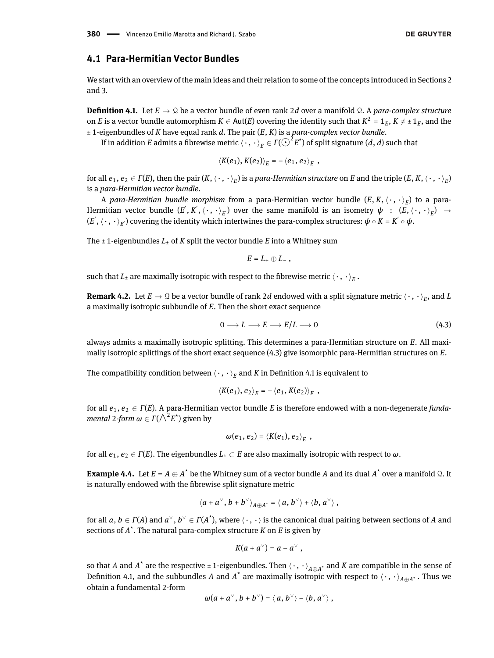## **4.1 Para-Hermitian Vector Bundles**

We start with an overview of the main ideas and their relation to some of the concepts introduced in Sections [2](#page-5-0) and [3.](#page-16-0)

<span id="page-27-1"></span>**Definition 4.1.** Let  $E \to \mathcal{Q}$  be a vector bundle of even rank 2*d* over a manifold  $\mathcal{Q}$ . A *para-complex structure* on *E* is a vector bundle automorphism  $K \in$  Aut(*E*) covering the identity such that  $K^2 = 1_E$ ,  $K \neq \pm 1_E$ , and the ± 1-eigenbundles of *K* have equal rank *d*. The pair (*E*, *K*) is a *para-complex vector bundle*.

If in addition  $E$  admits a fibrewise metric  $\langle\,\cdot\,,\,\cdot\,\rangle_E\in \Gamma(\bigodot^2 E^{\star})$  of split signature  $(d,d)$  such that

$$
\langle K(e_1), K(e_2) \rangle_E = - \langle e_1, e_2 \rangle_E ,
$$

for all  $e_1,e_2\in \Gamma(E),$  then the pair  $(K,\langle\,\cdot\,,\,\cdot\,\rangle_E)$  is a *para-Hermitian structure* on  $E$  and the triple  $(E,K,\langle\,\cdot\,,\,\cdot\,\rangle_E)$ is a *para-Hermitian vector bundle*.

A *para-Hermitian bundle morphism* from a para-Hermitian vector bundle  $(E, K, \langle \cdot, \cdot \rangle_E)$  to a para-Hermitian vector bundle  $(E',K',\langle\,\cdot\,,\,\cdot\,\rangle_E)$  over the same manifold is an isometry  $\psi$  :  $(E,\langle\,\cdot\,,\,\cdot\,\rangle_E)\,\,\rightarrow\,\,$  $(E', \langle \, \cdot \, , \, \cdot \, \rangle_E)$  covering the identity which intertwines the para-complex structures:  $\psi \circ K = K^{'} \circ \psi.$ 

The  $\pm$  1-eigenbundles  $L_{\pm}$  of  $K$  split the vector bundle  $E$  into a Whitney sum

<span id="page-27-0"></span>
$$
E=L_+\oplus L_-\ ,
$$

such that  $L_{\pm}$  are maximally isotropic with respect to the fibrewise metric  $\langle\,\cdot\,,\,\cdot\,\rangle_E$  .

<span id="page-27-3"></span>**Remark 4.2.** Let  $E \to \mathcal{Q}$  be a vector bundle of rank 2*d* endowed with a split signature metric  $\langle \cdot, \cdot \rangle_E$ , and  $L$ a maximally isotropic subbundle of *E*. Then the short exact sequence

$$
0 \longrightarrow L \longrightarrow E \longrightarrow E/L \longrightarrow 0 \tag{4.3}
$$

always admits a maximally isotropic splitting. This determines a para-Hermitian structure on *E*. All maximally isotropic splittings of the short exact sequence [\(4.3\)](#page-27-0) give isomorphic para-Hermitian structures on *E*.

The compatibility condition between  $\left<\,\cdot\,,\,\cdot\,\right>_E$  and  $K$  in Definition [4.1](#page-27-1) is equivalent to

$$
\langle K(e_1), e_2 \rangle_E = -\langle e_1, K(e_2) \rangle_E,
$$

for all *e*1, *e*<sup>2</sup> ∈ *Γ*(*E*). A para-Hermitian vector bundle *E* is therefore endowed with a non-degenerate *funda* $m$ ental 2*-form*  $\omega \in \Gamma(\bigwedge \nolimits^{\widehat{2}} E^\star)$  given by

$$
\omega(e_1,e_2)=\langle K(e_1),e_2\rangle_E,
$$

for all  $e_1, e_2 \in \Gamma(E)$ . The eigenbundles  $L_{\pm} \subset E$  are also maximally isotropic with respect to  $\omega$ .

<span id="page-27-2"></span>**Example 4.4.** Let  $E = A \oplus A^*$  be the Whitney sum of a vector bundle *A* and its dual  $A^*$  over a manifold Q. It is naturally endowed with the fibrewise split signature metric

$$
\langle a+a^{\vee},b+b^{\vee}\rangle_{A\oplus A^*}=\langle a,b^{\vee}\rangle+\langle b,a^{\vee}\rangle,
$$

for all  $a, b \in \Gamma(A)$  and  $a^{\vee}, b^{\vee} \in \Gamma(A^*)$ , where  $\langle \cdot, \cdot \rangle$  is the canonical dual pairing between sections of *A* and sections of *A* \* . The natural para-complex structure *K* on *E* is given by

$$
K(a+a^{\vee})=a-a^{\vee}\ ,
$$

so that *A* and *A*<sup>\*</sup> are the respective ± 1-eigenbundles. Then  $\langle\,\cdot\,,\,\cdot\,\rangle_{A\oplus A^*}$  and *K* are compatible in the sense of Definition [4.1,](#page-27-1) and the subbundles *A* and  $A^*$  are maximally isotropic with respect to  $\langle\,\cdot\,,\,\cdot\,\rangle_{A\oplus A^*}$ . Thus we obtain a fundamental 2-form

$$
\omega(a+a^{\vee},b+b^{\vee})=\langle a,b^{\vee}\rangle-\langle b,a^{\vee}\rangle,
$$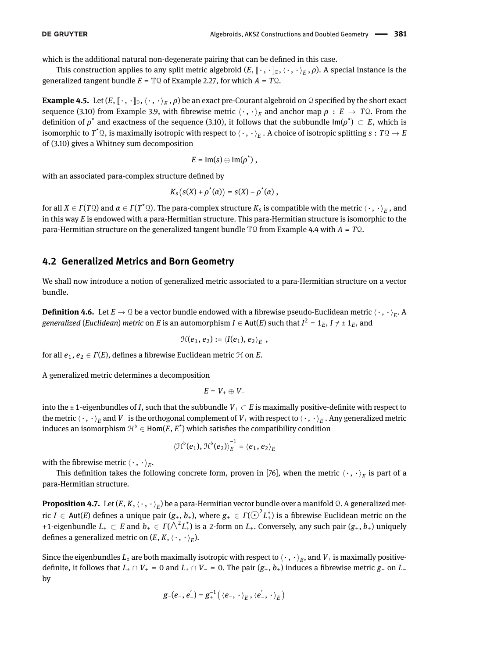which is the additional natural non-degenerate pairing that can be defined in this case.

This construction applies to any split metric algebroid  $(E, [\cdot, \cdot]_{\mathbb{D}}, \langle \cdot, \cdot \rangle_E, \rho)$ . A special instance is the generalized tangent bundle  $E = TQ$  of Example [2.27,](#page-11-2) for which  $A = TQ$ .

<span id="page-28-0"></span>**Example 4.5.** Let  $(E, [\cdot, \cdot]_{D}, \langle \cdot, \cdot \rangle_{E}, \rho)$  be an exact pre-Courant algebroid on Q specified by the short exact sequence [\(3.10\)](#page-17-0) from Example [3.9,](#page-17-1) with fibrewise metric  $\langle\,\cdot\,,\,\cdot\,\rangle_E$  and anchor map  $\rho\,:\,E\,\to\,T\mathfrak{Q}.$  From the definition of  $\rho^*$  and exactness of the sequence [\(3.10\)](#page-17-0), it follows that the subbundle  $\textsf{Im}(\rho^*) \subset E$ , which is isomorphic to  $T^*\mathfrak{Q}$ , is maximally isotropic with respect to  $\langle\,\cdot\,,\,\cdot\,\rangle_E$  . A choice of isotropic splitting  $s:T\mathfrak{Q}\to E$ of [\(3.10\)](#page-17-0) gives a Whitney sum decomposition

$$
E=\mathsf{Im}(s)\oplus\mathsf{Im}(\rho^*)\,,
$$

with an associated para-complex structure defined by

$$
K_S(S(X) + \rho^{\star}(\alpha)) = S(X) - \rho^{\star}(\alpha) ,
$$

for all  $X \in \Gamma(T \Omega)$  and  $\alpha \in \Gamma(T^* \Omega)$ . The para-complex structure  $K_s$  is compatible with the metric  $\langle \cdot, \cdot \rangle_E$  , and in this way *E* is endowed with a para-Hermitian structure. This para-Hermitian structure is isomorphic to the para-Hermitian structure on the generalized tangent bundle  $\mathbb{TQ}$  from Example [4.4](#page-27-2) with  $A = TQ$ .

### **4.2 Generalized Metrics and Born Geometry**

We shall now introduce a notion of generalized metric associated to a para-Hermitian structure on a vector bundle.

**Definition 4.6.** Let  $E \to \mathcal{Q}$  be a vector bundle endowed with a fibrewise pseudo-Euclidean metric  $\langle\,\cdot\,,\,\cdot\,\rangle_E$ . A  $g$ eneralized (Euclidean) metric on  $E$  is an automorphism  $I \in$  Aut( $E$ ) such that  $I^2 = 1_E, I \neq \pm 1_E,$  and

$$
\mathfrak{H}(e_1,e_2):=\langle I(e_1),e_2\rangle_E,
$$

for all  $e_1, e_2 \in \Gamma(E)$ , defines a fibrewise Euclidean metric  $\mathcal H$  on  $E$ .

A generalized metric determines a decomposition

<span id="page-28-1"></span>
$$
E=V_+\oplus V_-
$$

into the  $\pm$  1-eigenbundles of *I*, such that the subbundle  $V_+ \subset E$  is maximally positive-definite with respect to the metric  $\langle\,\cdot\,,\,\cdot\,\rangle_E$  and *V*− is the orthogonal complement of *V*+ with respect to  $\langle\,\cdot\,,\,\cdot\,\rangle_E$  . Any generalized metric induces an isomorphism  $\mathfrak{H}^{\flat} \in \mathsf{Hom}(E,E^{\star})$  which satisfies the compatibility condition

$$
\langle \mathcal{H}^\flat(e_1), \mathcal{H}^\flat(e_2) \rangle_E^{-1} = \langle e_1, e_2 \rangle_E
$$

with the fibrewise metric  $\langle \cdot , \cdot \rangle_{E}$ .

This definition takes the following concrete form, proven in [\[76\]](#page-48-22), when the metric  $\langle\,\cdot\,,\,\cdot\,\rangle_E$  is part of a para-Hermitian structure.

**Proposition 4.7.** Let  $(E, K, \langle \cdot, \cdot \rangle_E)$  be a para-Hermitian vector bundle over a manifold Q. A generalized metric  $I\in$  Aut(*E*) defines a unique pair (g<sub>+</sub>, b<sub>+</sub>), where  $g_+\in \mathit{\Gamma}(\bigodot^2 L_+^{\star})$  is a fibrewise Euclidean metric on the +1-eigenbundle  $L_+ \subset E$  and  $b_+ \in \Gamma(\bigwedge^2 L_+^*)$  is a 2-form on  $L_+$ . Conversely, any such pair  $(g_+, b_+)$  uniquely defines a generalized metric on  $(E, K, \langle\,\cdot\,,\,\cdot\,\rangle_E).$ 

Since the eigenbundles  $L_\pm$  are both maximally isotropic with respect to  $\langle\,\cdot\,,\,\cdot\,\rangle_E$ , and  $V_+$  is maximally positivedefinite, it follows that  $L_{\pm} \cap V_{+} = 0$  and  $L_{\pm} \cap V_{-} = 0$ . The pair  $(g_{+}, b_{+})$  induces a fibrewise metric *g*− on *L*− by

$$
g_{-}(e_{-}, e_{-}^{'}) = g_{+}^{-1}(\langle e_{-}, \cdot \rangle_{E}, \langle e_{-}^{'}, \cdot \rangle_{E})
$$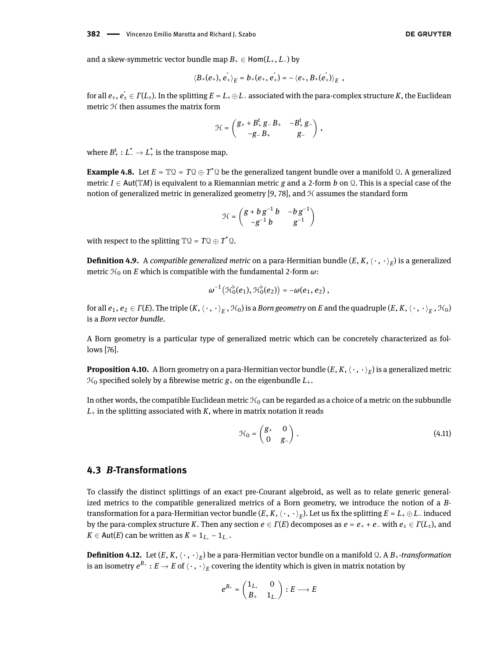and a skew-symmetric vector bundle map  $B_+ \in$  Hom( $L_+$ ,  $L_-$ ) by

$$
\langle B_{+}(e_{+}), e_{+}' \rangle_{E} = b_{+}(e_{+}, e_{+}') = -\langle e_{+}, B_{+}(e_{+}') \rangle_{E}
$$

for all  $e_\pm$  ,  $e_\pm^{'}\in \varGamma(L_\pm)$ . In the splitting  $E=L_+\oplus L_-$  associated with the para-complex structure  $K$ , the Euclidean metric  $H$  then assumes the matrix form

$$
\mathcal{H}=\begin{pmatrix}g_++B_+^t\,g_- \,B_+ & -B_+^t\,g_-\\[1mm] -g_- \,B_+ & g_- \end{pmatrix}\,,
$$

where  $B_+^{\mathbf{t}}: L_-^{\star} \to L_+^{\star}$  is the transpose map.

<span id="page-29-2"></span>**Example 4.8.** Let  $E = TQ = TQ \oplus T^*Q$  be the generalized tangent bundle over a manifold Q. A generalized metric *I* ∈ Aut(T*M*) is equivalent to a Riemannian metric *g* and a 2-form *b* on Q. This is a special case of the notion of generalized metric in generalized geometry [\[9,](#page-46-8) [78\]](#page-48-23), and  $H$  assumes the standard form

$$
\mathcal{H}=\begin{pmatrix}g+b\,g^{-1}\,b&-b\,g^{-1}\\-g^{-1}\,b&g^{-1}\end{pmatrix}
$$

with respect to the splitting  $\mathbb{TQ} = T \mathbb{Q} \oplus T^* \mathbb{Q}.$ 

**Definition 4.9.** A *compatible generalized metric* on a para-Hermitian bundle  $(E, K, \langle\,\cdot\,,\,\cdot\,\rangle_E)$  is a generalized metric  $H_0$  on *E* which is compatible with the fundamental 2-form  $\omega$ :

$$
\omega^{-1}\bigl(\mathfrak{H}_0^\flat(e_1),\mathfrak{H}_0^\flat(e_2)\bigr)=-\omega(e_1,e_2)\,,
$$

for all  $e_1,e_2\in \Gamma(E).$  The triple  $(K,\langle\,\cdot\,,\,\cdot\,\rangle_E$  ,  $\mathfrak{H}_0)$  is a *Born geometry* on  $E$  and the quadruple  $(E,K,\langle\,\cdot\,,\,\cdot\,\rangle_E$  ,  $\mathfrak{H}_0)$ is a *Born vector bundle*.

A Born geometry is a particular type of generalized metric which can be concretely characterized as follows [\[76\]](#page-48-22).

**Proposition 4.10.** A Born geometry on a para-Hermitian vector bundle  $(E, K, \langle\,\cdot\,,\,\cdot\,\rangle_E)$  is a generalized metric  $\mathcal{H}_0$  specified solely by a fibrewise metric  $g_{+}$  on the eigenbundle  $L_{+}$ .

In other words, the compatible Euclidean metric  $H_0$  can be regarded as a choice of a metric on the subbundle  $L_{+}$  in the splitting associated with  $K$ , where in matrix notation it reads

<span id="page-29-1"></span>
$$
\mathcal{H}_0 = \begin{pmatrix} g_+ & 0 \\ 0 & g_- \end{pmatrix} . \tag{4.11}
$$

#### **4.3** *B***-Transformations**

To classify the distinct splittings of an exact pre-Courant algebroid, as well as to relate generic generalized metrics to the compatible generalized metrics of a Born geometry, we introduce the notion of a *B*transformation for a para-Hermitian vector bundle  $(E,K,\langle\,\cdot\,,\,\cdot\,\rangle_E).$  Let us fix the splitting  $E$  =  $L_+\oplus L_-$  induced by the para-complex structure *K*. Then any section  $e \in \Gamma(E)$  decomposes as  $e = e_+ + e_-$  with  $e_+ \in \Gamma(L_+)$ , and  $K\in\operatorname{\mathsf{Aut}}(E)$  can be written as  $K = \mathbb{1}_{L_+} - \mathbb{1}_{L_-}.$ 

<span id="page-29-0"></span>**Definition 4.12.** Let  $(E, K, \langle \cdot, \cdot \rangle_E)$  be a para-Hermitian vector bundle on a manifold Q. A  $B_+$ -*transformation* is an isometry  $e^{B_+}:E\to E$  of  $\langle\,\cdot\,,\,\cdot\,\rangle_E$  covering the identity which is given in matrix notation by

$$
e^{B_+} = \begin{pmatrix} 1_{L_+} & 0 \\ B_+ & 1_{L_-} \end{pmatrix} : E \longrightarrow E
$$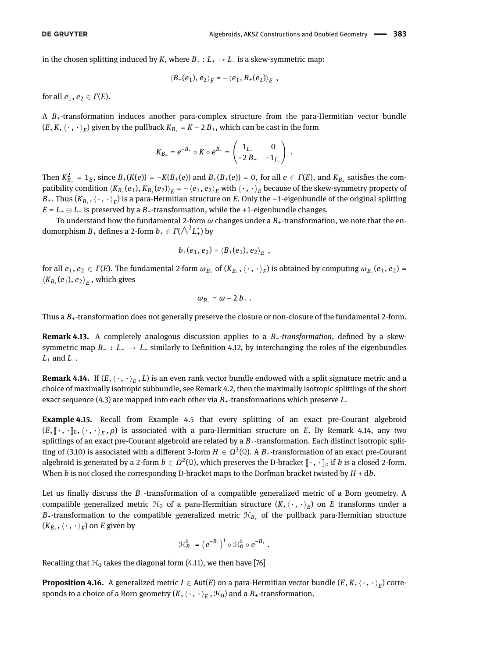in the chosen splitting induced by *K*, where  $B_+ : L_+ \to L_-$  is a skew-symmetric map:

$$
\langle B_{+}(e_1), e_2 \rangle_E = -\langle e_1, B_{+}(e_2) \rangle_E ,
$$

for all  $e_1, e_2 \in \Gamma(E)$ .

A *B*+-transformation induces another para-complex structure from the para-Hermitian vector bundle  $(E, K, \langle \cdot, \cdot \rangle_E)$  given by the pullback  $K_{B_+} = K - 2 B_+$ , which can be cast in the form

$$
K_{B_+} = e^{-B_+} \circ K \circ e^{B_+} = \begin{pmatrix} 1_{L_+} & 0 \\ -2 B_+ & -1_{L_-} \end{pmatrix} .
$$

Then  $K_{B_+}^2 = 1_E$ , since  $B_+(K(e)) = -K(B_+(e))$  and  $B_+(B_+(e)) = 0$ , for all  $e \in \Gamma(E)$ , and  $K_{B_+}$  satisfies the compatibility condition  $\langle K_{B_+}(e_1), K_{B_+}(e_2)\rangle_E=-\langle e_1,e_2\rangle_E$  with  $\langle\,\cdot\,,\,\cdot\,\rangle_E$  because of the skew-symmetry property of *B*+. Thus (K<sub>*B*+</sub>,  $\langle\,\cdot\,,\,\cdot\,\rangle_E)$  is a para-Hermitian structure on *E*. Only the −1-eigenbundle of the original splitting  $E = L_+ \oplus L_-$  is preserved by a  $B_+$ -transformation, while the +1-eigenbundle changes.

To understand how the fundamental 2-form *ω* changes under a *B*+-transformation, we note that the en- $\text{domorphism } B_+ \text{ defines a 2-form } b_+ \in \Gamma(\bigwedge^2 L_+^\star)$  by

$$
b_{+}(e_1, e_2) = \langle B_{+}(e_1), e_2 \rangle_{E}
$$
,

for all  $e_1, e_2 \in \Gamma(E)$ . The fundamental 2-form  $\omega_{B_+}$  of  $(K_{B_+}, \langle\,\cdot\,,\,\cdot\,\rangle_E)$  is obtained by computing  $\omega_{B_+}(e_1,e_2)=$  $\left\langle K_{B_+}(e_1), e_2 \right\rangle_E$  , which gives

$$
\omega_{B_+}=\omega-2\;b_+\;.
$$

Thus a  $B_+$ -transformation does not generally preserve the closure or non-closure of the fundamental 2-form.

**Remark 4.13.** A completely analogous discussion applies to a *B*<sub>−</sub>*transformation*, defined by a skewsymmetric map *B*− : *L*− → *L*+ similarly to Definition [4.12,](#page-29-0) by interchanging the roles of the eigenbundles *L*<sup>+</sup> and *L*<sup>−</sup>.

<span id="page-30-0"></span>**Remark 4.14.** If  $(E, \langle \cdot, \cdot \rangle_E, L)$  is an even rank vector bundle endowed with a split signature metric and a choice of maximally isotropic subbundle, see Remark [4.2,](#page-27-3) then the maximally isotropic splittings of the short exact sequence [\(4.3\)](#page-27-0) are mapped into each other via *B*+-transformations which preserve *L*.

<span id="page-30-1"></span>**Example 4.15.** Recall from Example [4.5](#page-28-0) that every splitting of an exact pre-Courant algebroid  $(E, [\![ \cdot, \cdot ]\!]_D, \langle \cdot, \cdot \rangle_E, \rho)$  is associated with a para-Hermitian structure on *E*. By Remark [4.14,](#page-30-0) any two intervals and the literature of *E*. By Remark 4.14, any two splittings of an exact pre-Courant algebroid are related by a *B*+-transformation. Each distinct isotropic split-ting of [\(3.10\)](#page-17-0) is associated with a different 3-form  $H \in \Omega^3(2)$ . A  $B_+$ -transformation of an exact pre-Courant algebroid is generated by a 2-form  $b \in \Omega^2(\Omega)$ , which preserves the D-bracket  $[\cdot, \cdot]_D$  if *b* is a closed 2-form. When *b* is not closed the corresponding D-bracket maps to the Dorfman bracket twisted by  $H + db$ .

Let us finally discuss the  $B_+$ -transformation of a compatible generalized metric of a Born geometry. A compatible generalized metric  $\mathcal{H}_0$  of a para-Hermitian structure  $(K, \langle \, \cdot \, , \, \cdot \, \rangle_E)$  on *E* transforms under a  $B_+$ -transformation to the compatible generalized metric  $\mathcal{H}_{B_+}$  of the pullback para-Hermitian structure  $(K_{B_+},\langle\,\cdot\,,\,\cdot\,\rangle_E)$  on  $E$  given by

$$
\mathcal{H}_{B_+}^{\flat} = \left( e^{-B_+} \right)^{\dagger} \circ \mathcal{H}_0^{\flat} \circ e^{-B_+} .
$$

Recalling that  $\mathcal{H}_0$  takes the diagonal form [\(4.11\)](#page-29-1), we then have [\[76\]](#page-48-22)

**Proposition 4.16.** A generalized metric  $I \in Aut(E)$  on a para-Hermitian vector bundle  $(E, K, \langle \cdot, \cdot \rangle_E)$  corresponds to a choice of a Born geometry  $(K, \langle\,\cdot\,,\,\cdot\,\rangle_E$  ,  $\mathfrak{H}_0)$  and a  $B_+$ -transformation.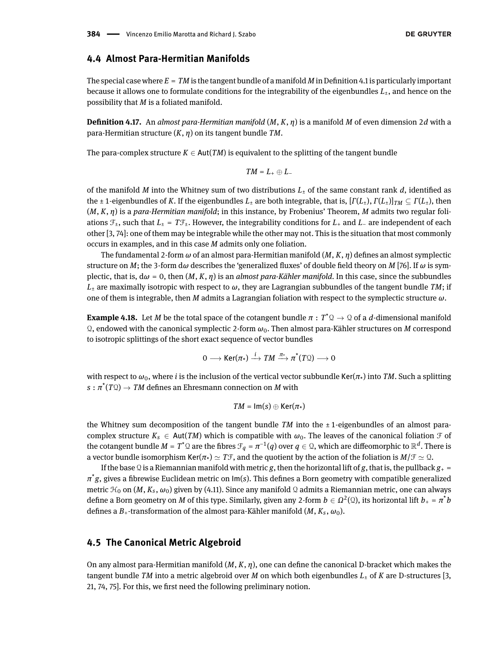### **4.4 Almost Para-Hermitian Manifolds**

The special case where  $E = TM$  is the tangent bundle of a manifold M in Definition [4.1](#page-27-1) is particularly important because it allows one to formulate conditions for the integrability of the eigenbundles *L*±, and hence on the possibility that *M* is a foliated manifold.

**Denition 4.17.** An *almost para-Hermitian manifold* (*M*, *K*, *η*) is a manifold *M* of even dimension 2*d* with a para-Hermitian structure (*K*, *η*) on its tangent bundle *TM*.

The para-complex structure  $K \in$  Aut(*TM*) is equivalent to the splitting of the tangent bundle

$$
TM=L_+\oplus L_-
$$

of the manifold *M* into the Whitney sum of two distributions  $L_{\pm}$  of the same constant rank *d*, identified as the  $\pm$  1-eigenbundles of *K*. If the eigenbundles  $L_{\pm}$  are both integrable, that is,  $[r(L_{\pm}), F(L_{\pm})]_{TM} \subseteq F(L_{\pm})$ , then (*M*, *K*, *η*) is a *para-Hermitian manifold*; in this instance, by Frobenius' Theorem, *M* admits two regular foliations F±, such that *L*± = *T*F±. However, the integrability conditions for *L*+ and *L*− are independent of each other [\[3,](#page-46-2) [74\]](#page-48-20): one of them may be integrable while the other may not. This is the situation that most commonly occurs in examples, and in this case *M* admits only one foliation.

The fundamental 2-form  $\omega$  of an almost para-Hermitian manifold  $(M, K, \eta)$  defines an almost symplectic structure on *M*; the 3-form d $\omega$  describes the 'generalized fluxes' of double field theory on *M* [\[76\]](#page-48-22). If  $\omega$  is symplectic, that is,  $d\omega = 0$ , then  $(M, K, \eta)$  is an *almost para-Kähler manifold*. In this case, since the subbundles  $L_{\pm}$  are maximally isotropic with respect to  $\omega$ , they are Lagrangian subbundles of the tangent bundle *TM*; if one of them is integrable, then *M* admits a Lagrangian foliation with respect to the symplectic structure *ω*.

<span id="page-31-0"></span>**Example 4.18.** Let *M* be the total space of the cotangent bundle  $\pi$  :  $T^* \mathcal{Q} \to \mathcal{Q}$  of a *d*-dimensional manifold Q, endowed with the canonical symplectic 2-form *ω*0. Then almost para-Kähler structures on *M* correspond to isotropic splittings of the short exact sequence of vector bundles

$$
0 \longrightarrow \text{Ker}(\pi_{\star}) \xrightarrow{i} TM \xrightarrow{\pi_{\star}} \pi^{\star}(T\mathcal{Q}) \longrightarrow 0
$$

with respect to  $\omega_0$ , where  $i$  is the inclusion of the vertical vector subbundle Ker( $\pi\star$ ) into *TM*. Such a splitting  $s:\pi^{\star}(T \mathfrak{Q}) \rightarrow TM$  defines an Ehresmann connection on *M* with

$$
TM = \mathsf{Im}(s) \oplus \mathsf{Ker}(\pi_{\star})
$$

the Whitney sum decomposition of the tangent bundle *TM* into the ± 1-eigenbundles of an almost paracomplex structure  $K_s \in Aut(TM)$  which is compatible with  $\omega_0$ . The leaves of the canonical foliation  $\mathcal F$  of the cotangent bundle  $M$  =  $T^* \mathfrak{Q}$  are the fibres  $\mathfrak{F}_q$  =  $\pi^{-1}(q)$  over  $q \in \mathfrak{Q}$ , which are diffeomorphic to  $\mathbb{R}^d$ . There is a vector bundle isomorphism Ker( $\pi\text{-}$ )  $\simeq T\mathcal{F}$ , and the quotient by the action of the foliation is  $M/\mathcal{F} \simeq \mathcal{Q}.$ 

If the base Q is a Riemannian manifold with metric *g*, then the horizontal lift of *g*, that is, the pullback  $g_+$  =  $\pi$ ْ*g*, gives a fibrewise Euclidean metric on Im(*s*). This defines a Born geometry with compatible generalized metric  $\mathcal{H}_0$  on  $(M, K_s, \omega_0)$  given by [\(4.11\)](#page-29-1). Since any manifold Q admits a Riemannian metric, one can always define a Born geometry on  $M$  of this type. Similarly, given any 2-form  $b\in\Omega^2(\mathbb{Q})$ , its horizontal lift  $b_+=\pi^*b$ defines a  $B_+$ -transformation of the almost para-Kähler manifold  $(M, K_s, \omega_0)$ .

#### <span id="page-31-1"></span>**4.5 The Canonical Metric Algebroid**

On any almost para-Hermitian manifold (*M*, *K*, *η*), one can dene the canonical D-bracket which makes the tangent bundle *TM* into a metric algebroid over *M* on which both eigenbundles  $L_{\pm}$  of *K* are D-structures [\[3,](#page-46-2) [21,](#page-47-3) [74,](#page-48-20) [75\]](#page-48-24). For this, we first need the following preliminary notion.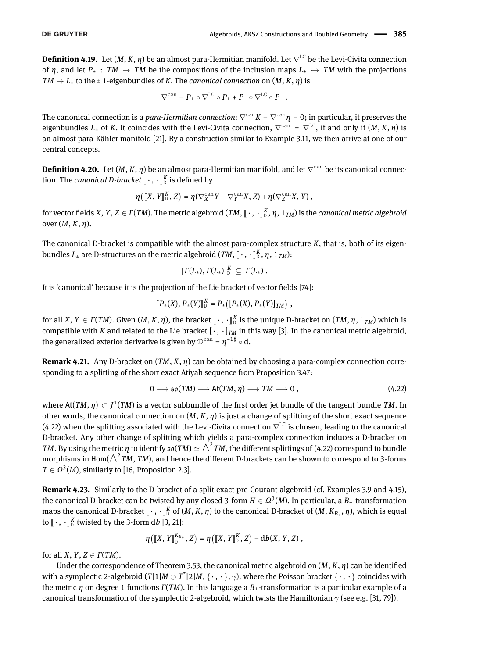<span id="page-32-3"></span>**Definition 4.19.** Let  $(M, K, \eta)$  be an almost para-Hermitian manifold. Let  $\nabla^{LC}$  be the Levi-Civita connection of *η*, and let  $P_{\pm}$ : *TM*  $\rightarrow$  *TM* be the compositions of the inclusion maps  $L_{\pm} \rightarrow TM$  with the projections  $TM \rightarrow L_{\pm}$  to the  $\pm$  1-eigenbundles of *K*. The *canonical connection* on  $(M, K, \eta)$  is

$$
\nabla^{\text{can}} = P_+ \circ \nabla^{\text{LC}} \circ P_+ + P_- \circ \nabla^{\text{LC}} \circ P_-.
$$

The canonical connection is a *para-Hermitian connection*:  $\nabla^{\text{can}} K = \nabla^{\text{can}} \eta = 0$ ; in particular, it preserves the eigenbundles  $L_{\pm}$  of *K*. It coincides with the Levi-Civita connection,  $\nabla^{\text{can}} = \nabla^{\text{LC}}$ , if and only if  $(M, K, \eta)$  is an almost para-Kähler manifold [\[21\]](#page-47-3). By a construction similar to Example [3.11,](#page-17-2) we then arrive at one of our central concepts.

<span id="page-32-1"></span>**Definition 4.20.** Let  $(M, K, \eta)$  be an almost para-Hermitian manifold, and let  $\nabla^{\text{can}}$  be its canonical connection. The *canonical D-bracket*  $[\![\cdot\, , \cdot\, ]\!]_D^K$  is defined by

$$
\eta\big([\![X,Y]\!]_D^K,Z\big)=\eta\big(\nabla_X^{\text{can}}Y-\nabla_Y^{\text{can}}X,Z\big)+\eta\big(\nabla_Z^{\text{can}}X,Y\big)\,,
$$

for vector fields *X*, *Y*, *Z*  $\in$  *Γ*(*TM*). The metric algebroid (*TM*, [ $\cdot$ ,  $\cdot$  ]<sup>K</sup>, *η*, 1<sub>*TM*</sub>) is the *canonical metric algebroid* over (*M*, *K*, *η*).

The canonical D-bracket is compatible with the almost para-complex structure *K*, that is, both of its eigenbundles  $L_{\pm}$  are D-structures on the metric algebroid  $(TM, [\![\cdot\, , \cdot\, ]\!]_D^K, \eta, 1_{TM})$ :

$$
[[\Gamma(L_{\pm}),\Gamma(L_{\pm})]]_{\mathbb{D}}^K\subseteq\Gamma(L_{\pm})\ .
$$

It is 'canonical' because it is the projection of the Lie bracket of vector fields  $[74]$ :

$$
[[P_{\pm}(X), P_{\pm}(Y)]]_{D}^{K} = P_{\pm}([P_{\pm}(X), P_{\pm}(Y)]_{TM}),
$$

for all *X*,  $Y \in \Gamma(TM)$ . Given  $(M, K, \eta)$ , the bracket  $[\cdot, \cdot]_D^K$  is the unique D-bracket on  $(TM, \eta, 1_{TM})$  which is compatible with *K* and related to the Lie bracket  $[\cdot, \cdot]_{TM}$  in this way [\[3\]](#page-46-2). In the canonical metric algebroid, the generalized exterior derivative is given by  $\mathcal{D}^{\text{can}} = \eta^{-1\,\sharp} \circ \mathrm{d}.$ 

**Remark 4.21.** Any D-bracket on (*TM*, *K*, *η*) can be obtained by choosing a para-complex connection corresponding to a splitting of the short exact Atiyah sequence from Proposition [3.47:](#page-23-1)

<span id="page-32-0"></span>
$$
0 \longrightarrow \mathfrak{so}(TM) \longrightarrow At(TM,\eta) \longrightarrow TM \longrightarrow 0 , \qquad (4.22)
$$

where  $At(TM, \eta) \subset J^1(TM)$  is a vector subbundle of the first order jet bundle of the tangent bundle TM. In other words, the canonical connection on (*M*, *K*, *η*) is just a change of splitting of the short exact sequence [\(4.22\)](#page-32-0) when the splitting associated with the Levi-Civita connection  $\nabla^{LC}$  is chosen, leading to the canonical D-bracket. Any other change of splitting which yields a para-complex connection induces a D-bracket on *TM*. By using the metric *η* to identify  $\mathfrak{so}(TM) \simeq \bigwedge^2 TM$ , the different splittings of [\(4.22\)](#page-32-0) correspond to bundle morphisms in Hom( $\wedge^2 TM$ , *TM*), and hence the different D-brackets can be shown to correspond to 3-forms  $T \in \Omega<sup>3</sup>(M)$ , similarly to [\[16,](#page-46-15) Proposition 2.3].

<span id="page-32-2"></span>**Remark 4.23.** Similarly to the D-bracket of a split exact pre-Courant algebroid (cf. Examples [3.9](#page-17-1) and [4.15\)](#page-30-1), the canonical D-bracket can be twisted by any closed 3-form  $H\in \Omega^3(M).$  In particular, a  $B_+$ -transformation maps the canonical D-bracket  $[\cdot, \cdot]_{\mathbb{A}}^K$  of  $(M, K, \eta)$  to the canonical D-bracket of  $(M, K_{B_+}, \eta)$ , which is equal to  $\lbrack\! \lbrack\cdot\,,\,\cdot\,\rbrack\! \rbrack^K$  twisted by the 3-form d*b* [\[3,](#page-46-2) [21\]](#page-47-3):

$$
\eta\big([\![X,Y]\!]_{\mathbb{D}}^{K_{B_*}},Z\big)=\eta\big([\![X,Y]\!]_{\mathbb{D}}^K,Z\big)-\mathrm{d}b(X,Y,Z)\,,
$$

for all *X*, *Y*, *Z*  $\in \Gamma(TM)$ .

Under the correspondence of Theorem [3.53,](#page-24-0) the canonical metric algebroid on  $(M, K, \eta)$  can be identified with a symplectic 2-algebroid (*T*[1]*M*  $\oplus$  *T*<sup>\*</sup>[2]*M*, {  $\cdot$  ,  $\cdot$  },  $\gamma$ ), where the Poisson bracket {  $\cdot$  ,  $\cdot$  } coincides with the metric *η* on degree 1 functions *Γ*(*TM*). In this language a *B*+-transformation is a particular example of a canonical transformation of the symplectic 2-algebroid, which twists the Hamiltonian  $\gamma$  (see e.g. [\[31,](#page-47-11) [79\]](#page-48-25)).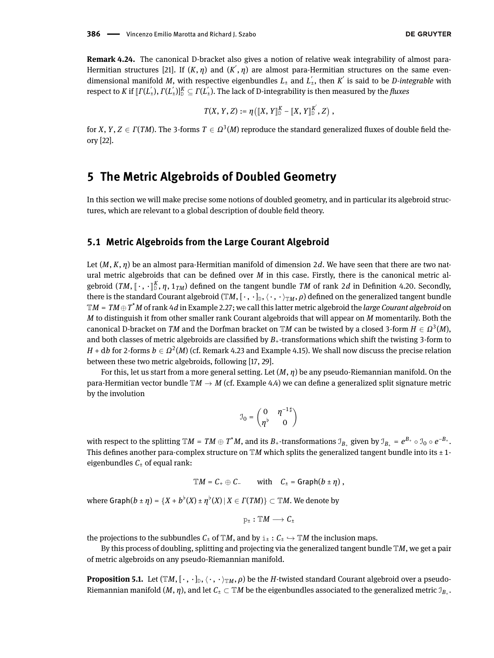$$
T(X, Y, Z) := \eta ([\![X, Y]\!]_{\mathbb{D}}^K - [\![X, Y]\!]_{\mathbb{D}}^{K'}, Z),
$$

<span id="page-33-2"></span>for *X*, *Y*, *Z*  $\in$  *Γ*(*TM*). The 3-forms *T*  $\in$   $\Omega$ <sup>3</sup>(*M*) reproduce the standard generalized fluxes of double field theory [\[22\]](#page-47-7).

# <span id="page-33-0"></span>**5 The Metric Algebroids of Doubled Geometry**

In this section we will make precise some notions of doubled geometry, and in particular its algebroid structures, which are relevant to a global description of double field theory.

# <span id="page-33-3"></span>**5.1 Metric Algebroids from the Large Courant Algebroid**

Let (*M*, *K*, *η*) be an almost para-Hermitian manifold of dimension 2*d*. We have seen that there are two natural metric algebroids that can be defined over *M* in this case. Firstly, there is the canonical metric algebroid  $(TM, [\cdot, \cdot]_{\mathbb{D}}^K, \eta, 1_{TM})$  defined on the tangent bundle *TM* of rank 2*d* in Definition [4.20.](#page-32-1) Secondly, there is the standard Courant algebroid  $(\mathbb{T}M, [\cdot, \cdot]_{\mathbb{D}}, \langle \cdot, \cdot \rangle_{\mathbb{T}M}, \rho)$  defined on the generalized tangent bundle T*M* = *TM*⊕*T* \**M* of rank 4*d* in Example [2.27;](#page-11-2) we call this latter metric algebroid the *large Courant algebroid* on *M* to distinguish it from other smaller rank Courant algebroids that will appear on *M* momentarily. Both the canonical D-bracket on *TM* and the Dorfman bracket on T*M* can be twisted by a closed 3-form  $H\in \Omega^3(M),$ and both classes of metric algebroids are classified by  $B_+$ -transformations which shift the twisting 3-form to  $H$  + d*b* for 2-forms  $b \in \Omega^2(M)$  (cf. Remark [4.23](#page-32-2) and Example [4.15\)](#page-30-1). We shall now discuss the precise relation between these two metric algebroids, following [\[17,](#page-46-16) [29\]](#page-47-9).

For this, let us start from a more general setting. Let (*M*, *η*) be any pseudo-Riemannian manifold. On the para-Hermitian vector bundle  $TM \rightarrow M$  (cf. Example [4.4\)](#page-27-2) we can define a generalized split signature metric by the involution

$$
\mathcal{I}_0 = \begin{pmatrix} 0 & \eta^{-1\sharp} \\ \eta^\flat & 0 \end{pmatrix}
$$

with respect to the splitting  $\mathbb{T}M = TM \oplus T^*M$ , and its  $B_+$ -transformations  $\mathbb{J}_{B_+}$  given by  $\mathbb{J}_{B_+} = e^{B_+} \circ \mathbb{J}_0 \circ e^{-B_+}.$ This defines another para-complex structure on  $TM$  which splits the generalized tangent bundle into its  $\pm 1$ eigenbundles  $C_{\pm}$  of equal rank:

$$
\mathbb{T}M=C_+\oplus C_-\qquad\text{with}\quad C_\pm=\text{Graph}(b\pm\eta)\,,
$$

where  $\mathsf{Graph}(b \pm \eta) = \{X + b^{\flat}(X) \pm \eta^{\flat}(X) \, | \, X \in \Gamma(TM)\} \subset \mathbb{T}M.$  We denote by

 $p_{\pm}: TM \longrightarrow C_{\pm}$ 

the projections to the subbundles  $C_{\pm}$  of  $\mathbb{T}M$ , and by  $i_{\pm}: C_{\pm} \hookrightarrow \mathbb{T}M$  the inclusion maps.

By this process of doubling, splitting and projecting via the generalized tangent bundle T*M*, we get a pair of metric algebroids on any pseudo-Riemannian manifold.

<span id="page-33-1"></span>**Proposition 5.1.** Let  $(\mathbb{T}M, [\cdot, \cdot]_D, \langle \cdot, \cdot \rangle_{\mathbb{T}M}, \rho)$  be the *H*-twisted standard Courant algebroid over a pseudo-Riemannian manifold  $(M, \eta)$ , and let  $C_\pm \subset \mathbb{T} M$  be the eigenbundles associated to the generalized metric  $\mathcal{I}_{B_+}.$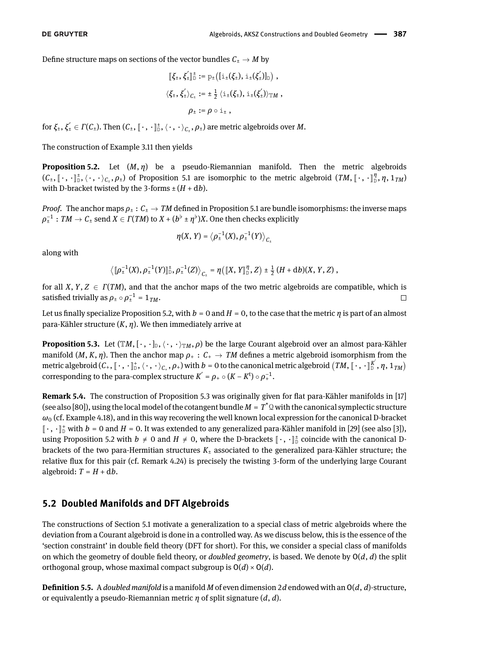Define structure maps on sections of the vector bundles  $C_{\pm} \rightarrow M$  by

$$
\llbracket \xi_{\pm}, \xi_{\pm}' \rrbracket_{\mathbb{D}}^{\pm} := p_{\pm} \big( [\mathbf{i}_{\pm}(\xi_{\pm}), \mathbf{i}_{\pm}(\xi_{\pm}')]_{\mathbb{D}} \big),
$$
  

$$
\langle \xi_{\pm}, \xi_{\pm}' \rangle_{C_{\pm}} := \pm \frac{1}{2} \langle \mathbf{i}_{\pm}(\xi_{\pm}), \mathbf{i}_{\pm}(\xi_{\pm}') \rangle_{\mathbb{T}M},
$$
  

$$
\rho_{\pm} := \rho \circ \mathbf{i}_{\pm},
$$

for  $\xi_{\pm}$ ,  $\xi_{\pm}' \in \Gamma(C_{\pm})$ . Then  $(C_{\pm}, [\![\cdot, \cdot]\!]_{\mathbb{D}}^{\pm}, \langle \cdot, \cdot \rangle_{C_{\pm}}, \rho_{\pm})$  are metric algebroids over *M*.

The construction of Example [3.11](#page-17-2) then yields

<span id="page-34-0"></span>**Proposition 5.2.** Let (*M*, *η*) be a pseudo-Riemannian manifold. Then the metric algebroids  $(C_{\pm}, [\cdot, \cdot]_{\mathbb{D}}^{\pm}, \langle \cdot, \cdot \rangle_{C_{\pm}}, \rho_{\pm})$  of Proposition [5.1](#page-33-1) are isomorphic to the metric algebroid  $(TM, [\cdot, \cdot]_{\mathbb{D}}^{\eta}, \eta, 1_{TM})$ with D-bracket twisted by the 3-forms  $\pm (H + db)$ .

*Proof.* The anchor maps  $\rho_{\pm} : C_{\pm} \to TM$  defined in Proposition [5.1](#page-33-1) are bundle isomorphisms: the inverse maps  $\rho_\pm^{-1}:TM\to\mathcal C_\pm$  send  $X\in\varGamma(TM)$  to  $X$  + ( $b^\flat$  ±  $\eta^\flat)X.$  One then checks explicitly

$$
\eta(X, Y) = \left\langle \rho_{\pm}^{-1}(X), \rho_{\pm}^{-1}(Y) \right\rangle_{C_{\pm}}
$$

along with

$$
\left\langle \llbracket \rho_{\pm}^{-1}(X), \rho_{\pm}^{-1}(Y) \rrbracket_{\mathbb{D}}^{\pm}, \rho_{\pm}^{-1}(Z) \right\rangle_{C_{\pm}} = \eta \left( \llbracket X, Y \rrbracket_{\mathbb{D}}^{\eta}, Z \right) \pm \frac{1}{2} \left( H + \mathrm{d} h \right) \left( X, Y, Z \right),
$$

for all *X*, *Y*, *Z*  $\in$  *Γ*(*TM*), and that the anchor maps of the two metric algebroids are compatible, which is satisfied trivially as  $\rho_{\pm} \circ \rho_{\pm}^{-1} = 1_{TM}$ .  $\Box$ 

Let us finally specialize Proposition [5.2,](#page-34-0) with  $b = 0$  and  $H = 0$ , to the case that the metric  $\eta$  is part of an almost para-Kähler structure (*K*, *η*). We then immediately arrive at

<span id="page-34-1"></span>**Proposition 5.3.** Let  $(TM, [\cdot, \cdot]_D, \langle \cdot, \cdot \rangle_{TM}, \rho)$  be the large Courant algebroid over an almost para-Kähler manifold  $(M, K, \eta)$ . Then the anchor map  $\rho_+ : C_+ \to TM$  defines a metric algebroid isomorphism from the metric algebroid  $(C_+,\llbracket \cdot, \cdot \rrbracket^+_{\mathbb{D}}, \langle \cdot, \cdot \rangle_{C_+}, \rho_+)$  with  $b = 0$  to the canonical metric algebroid  $(TM,\llbracket \cdot, \cdot \rrbracket^K_{\mathbb{D}}, \eta, 1_{TM})$ corresponding to the para-complex structure  $K^{'} = \rho_+ \circ (K - K^t) \circ \rho_+^{-1}$ .

**Remark 5.4.** The construction of Proposition [5.3](#page-34-1) was originally given for flat para-Kähler manifolds in [\[17\]](#page-46-16) (see also [\[80\]](#page-48-26)), using the local model of the cotangent bundle  $M = T^* \mathfrak{Q}$  with the canonical symplectic structure *ω*<sup>0</sup> (cf. Example [4.18\)](#page-31-0), and in this way recovering the well known local expression for the canonical D-bracket  $\[\cdot, \cdot\]_{\mathbb{D}}^+$  with  $b = 0$  and  $H = 0$ . It was extended to any generalized para-Kähler manifold in [\[29\]](#page-47-9) (see also [\[3\]](#page-46-2)), using Proposition [5.2](#page-34-0) with  $b \neq 0$  and  $H \neq 0$ , where the D-brackets  $[\cdot, \cdot]_{\mathbb{D}}^{\dagger}$  coincide with the canonical Dbrackets of the two para-Hermitian structures  $K_{\pm}$  associated to the generalized para-Kähler structure; the relative flux for this pair (cf. Remark [4.24\)](#page-33-2) is precisely the twisting 3-form of the underlying large Courant algebroid:  $T = H + db$ .

### **5.2 Doubled Manifolds and DFT Algebroids**

The constructions of Section [5.1](#page-33-3) motivate a generalization to a special class of metric algebroids where the deviation from a Courant algebroid is done in a controlled way. As we discuss below, this is the essence of the 'section constraint' in double field theory (DFT for short). For this, we consider a special class of manifolds on which the geometry of double field theory, or *doubled geometry*, is based. We denote by  $O(d, d)$  the split orthogonal group, whose maximal compact subgroup is  $O(d) \times O(d)$ .

**Definition 5.5.** A *doubled manifold* is a manifold *M* of even dimension 2*d* endowed with an  $O(d, d)$ -structure, or equivalently a pseudo-Riemannian metric *η* of split signature (*d*, *d*).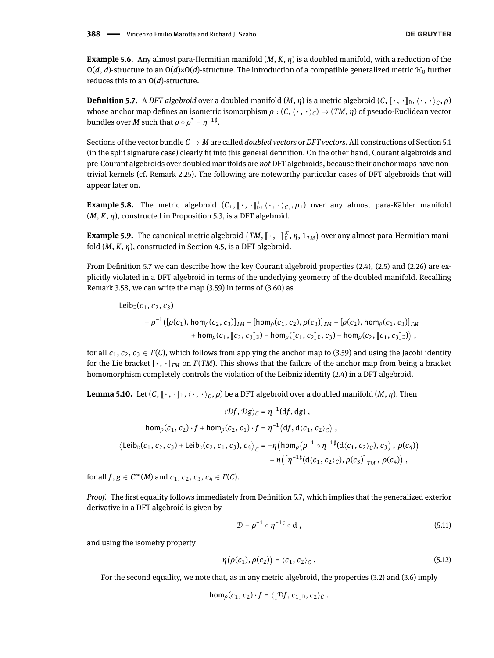**Example 5.6.** Any almost para-Hermitian manifold (*M*, *K*, *η*) is a doubled manifold, with a reduction of the  $O(d, d)$ -structure to an  $O(d) \times O(d)$ -structure. The introduction of a compatible generalized metric  $\mathcal{H}_0$  further reduces this to an O(*d*)-structure.

<span id="page-35-0"></span>**Definition 5.7.** A *DFT algebroid* over a doubled manifold  $(M, \eta)$  is a metric algebroid  $(C, \|\cdot, \cdot\|_{D}, \langle \cdot, \cdot \rangle_{C}, \rho)$ whose anchor map defines an isometric isomorphism  $\rho : (C, \langle \cdot, \cdot \rangle_C) \to (TM, \eta)$  of pseudo-Euclidean vector bundles over *M* such that  $\rho \circ \rho^* = \eta^{-1\sharp}$ .

Sections of the vector bundle *C* → *M* are called *doubled vectors* or *DFT vectors*. All constructions of Section [5.1](#page-33-3) (in the split signature case) clearly fit into this general definition. On the other hand, Courant algebroids and pre-Courant algebroids over doubled manifolds are *not* DFT algebroids, because their anchor maps have nontrivial kernels (cf. Remark [2.25\)](#page-11-7). The following are noteworthy particular cases of DFT algebroids that will appear later on.

**Example 5.8.** The metric algebroid  $(C_+, [\cdot, \cdot]_{\mathbb{D}}^+, \langle \cdot, \cdot \rangle_{C_+}, \rho_+)$  over any almost para-Kähler manifold  $(M, K, \cdot)$  constructed in Proposition 5.3 is a DFT clark with  $(M, K, \eta)$ , constructed in Proposition [5.3,](#page-34-1) is a DFT algebroid.

**Example 5.9.** The canonical metric algebroid  $(TM, [\cdot, \cdot]_{\mathbb{D}}^K, \eta, 1_{TM})$  over any almost para-Hermitian manifold (*M*, *K*, *η*), constructed in Section [4.5,](#page-31-1) is a DFT algebroid.

From Definition [5.7](#page-35-0) we can describe how the key Courant algebroid properties  $(2.4)$ ,  $(2.5)$  and  $(2.26)$  are explicitly violated in a DFT algebroid in terms of the underlying geometry of the doubled manifold. Recalling Remark [3.58,](#page-25-2) we can write the map [\(3.59\)](#page-26-1) in terms of [\(3.60\)](#page-26-2) as

$$
\begin{aligned}\n\text{Leib}_{D}(c_{1}, c_{2}, c_{3}) \\
&= \rho^{-1} \big( [\rho(c_{1}), \text{hom}_{\rho}(c_{2}, c_{3})]_{TM} - [\text{hom}_{\rho}(c_{1}, c_{2}), \rho(c_{3})]_{TM} - [\rho(c_{2}), \text{hom}_{\rho}(c_{1}, c_{3})]_{TM} \\
&\quad + \text{hom}_{\rho}(c_{1}, [c_{2}, c_{3}]]_{D}) - \text{hom}_{\rho}([c_{1}, c_{2}]]_{D}, c_{3}) - \text{hom}_{\rho}(c_{2}, [c_{1}, c_{3}]]_{D}) \big),\n\end{aligned}
$$

for all  $c_1, c_2, c_3 \in \Gamma(C)$ , which follows from applying the anchor map to [\(3.59\)](#page-26-1) and using the Jacobi identity for the Lie bracket [ · , · ]*TM* on *Γ*(*TM*). This shows that the failure of the anchor map from being a bracket homomorphism completely controls the violation of the Leibniz identity [\(2.4\)](#page-6-0) in a DFT algebroid.

<span id="page-35-3"></span>**Lemma 5.10.** Let  $(C, \lceil \cdot, \cdot \rceil_D, \langle \cdot, \cdot \rangle_C, \rho)$  be a DFT algebroid over a doubled manifold  $(M, \eta)$ . Then

$$
\langle \mathcal{D}f, \mathcal{D}g \rangle_C = \eta^{-1}(df, dg),
$$
  
\n
$$
\text{hom}_{\rho}(c_1, c_2) \cdot f + \text{hom}_{\rho}(c_2, c_1) \cdot f = \eta^{-1}(df, d\langle c_1, c_2 \rangle_C),
$$
  
\n
$$
\langle \text{Leib}_{D}(c_1, c_2, c_3) + \text{Leib}_{D}(c_2, c_1, c_3), c_4 \rangle_C = -\eta(\text{hom}_{\rho}(\rho^{-1} \circ \eta^{-1} \sharp (d\langle c_1, c_2 \rangle_C), c_3), \rho(c_4)) - \eta([\eta^{-1} \sharp (d\langle c_1, c_2 \rangle_C), \rho(c_3)]_{TM}, \rho(c_4)),
$$

for all  $f, g \in C^{\infty}(M)$  and  $c_1, c_2, c_3, c_4 \in \Gamma(C)$ .

*Proof.* The first equality follows immediately from Definition [5.7,](#page-35-0) which implies that the generalized exterior derivative in a DFT algebroid is given by

<span id="page-35-2"></span><span id="page-35-1"></span>
$$
\mathcal{D} = \rho^{-1} \circ \eta^{-1\sharp} \circ \mathbf{d} \,,\tag{5.11}
$$

and using the isometry property

$$
\eta\big(\rho(c_1),\rho(c_2)\big)=\langle c_1,c_2\rangle_C\ .
$$
\n(5.12)

For the second equality, we note that, as in any metric algebroid, the properties [\(3.2\)](#page-16-2) and [\(3.6\)](#page-16-3) imply

$$
\mathsf{hom}_\rho(c_1,c_2)\cdot f=\langle [\![\mathcal{D}f,c_1]\!]_\mathbb{D},c_2\rangle_\mathcal{C}.
$$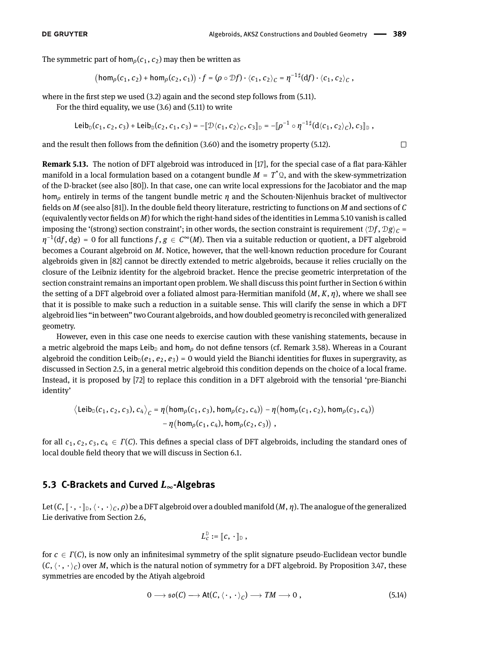$\Box$ 

The symmetric part of hom<sub>*ρ*</sub>( $c_1$ ,  $c_2$ ) may then be written as

$$
\left(\mathsf{hom}_\rho(c_1,c_2)+\mathsf{hom}_\rho(c_2,c_1)\right)\cdot f=(\rho\circ\mathcal{D}f)\cdot\langle c_1,c_2\rangle_\mathcal{C}=\eta^{-1\,\sharp}(\mathrm{d}f)\cdot\langle c_1,c_2\rangle_\mathcal{C}\,,
$$

where in the first step we used  $(3.2)$  again and the second step follows from  $(5.11)$ .

For the third equality, we use [\(3.6\)](#page-16-3) and [\(5.11\)](#page-35-1) to write

Leib<sub>D</sub>(c<sub>1</sub>, c<sub>2</sub>, c<sub>3</sub>) + Leib<sub>D</sub>(c<sub>2</sub>, c<sub>1</sub>, c<sub>3</sub>) = -[
$$
\mathcal{D}\langle c_1, c_2 \rangle_c, c_3
$$
]<sub>D</sub> = -[ $\mathcal{p}^{-1} \circ \eta^{-1} \sharp (d \langle c_1, c_2 \rangle_c), c_3$ ]<sub>D</sub>,

and the result then follows from the definition [\(3.60\)](#page-26-2) and the isometry property [\(5.12\)](#page-35-2).

<span id="page-36-0"></span>**Remark 5.13.** The notion of DFT algebroid was introduced in [\[17\]](#page-46-16), for the special case of a flat para-Kähler manifold in a local formulation based on a cotangent bundle  $M = T^* \mathfrak{Q}$ , and with the skew-symmetrization of the D-bracket (see also [\[80\]](#page-48-26)). In that case, one can write local expressions for the Jacobiator and the map hom*<sup>ρ</sup>* entirely in terms of the tangent bundle metric *η* and the Schouten-Nijenhuis bracket of multivector fields on *M* (see also [\[81\]](#page-49-1)). In the double field theory literature, restricting to functions on *M* and sections of *C* (equivalently vector fields on  $M$ ) for which the right-hand sides of the identities in Lemma [5.10](#page-35-3) vanish is called imposing the '(strong) section constraint'; in other words, the section constraint is requirement  $\langle \mathcal{D}f, \mathcal{D}g \rangle_c =$ *η* −1 (d*f* , d*g*) = 0 for all functions *f* , *g* ∈ *C* <sup>∞</sup>(*M*). Then via a suitable reduction or quotient, a DFT algebroid becomes a Courant algebroid on *M*. Notice, however, that the well-known reduction procedure for Courant algebroids given in [\[82\]](#page-49-2) cannot be directly extended to metric algebroids, because it relies crucially on the closure of the Leibniz identity for the algebroid bracket. Hence the precise geometric interpretation of the section constraint remains an important open problem. We shall discuss this point further in Section [6](#page-40-0) within the setting of a DFT algebroid over a foliated almost para-Hermitian manifold (*M*, *K*, *η*), where we shall see that it is possible to make such a reduction in a suitable sense. This will clarify the sense in which a DFT algebroid lies "in between" two Courant algebroids, and how doubled geometry is reconciled with generalized geometry.

However, even in this case one needs to exercise caution with these vanishing statements, because in a metric algebroid the maps Leib<sub>D</sub> and hom<sub>ρ</sub> do not define tensors (cf. Remark [3.58\)](#page-25-2). Whereas in a Courant algebroid the condition Leib<sub>D</sub> $(e_1, e_2, e_3) = 0$  would yield the Bianchi identities for fluxes in supergravity, as discussed in Section [2.5,](#page-10-4) in a general metric algebroid this condition depends on the choice of a local frame. Instead, it is proposed by [\[72\]](#page-48-18) to replace this condition in a DFT algebroid with the tensorial 'pre-Bianchi identity'

$$
\langle \text{Leib}_{D}(c_{1}, c_{2}, c_{3}), c_{4} \rangle_{C} = \eta \big( \text{hom}_{\rho}(c_{1}, c_{3}), \text{hom}_{\rho}(c_{2}, c_{4}) \big) - \eta \big( \text{hom}_{\rho}(c_{1}, c_{2}), \text{hom}_{\rho}(c_{3}, c_{4}) \big) - \eta \big( \text{hom}_{\rho}(c_{1}, c_{4}), \text{hom}_{\rho}(c_{2}, c_{3}) \big),
$$

for all  $c_1, c_2, c_3, c_4 \in \Gamma(C)$ . This defines a special class of DFT algebroids, including the standard ones of local double field theory that we will discuss in Section [6.1.](#page-40-1)

#### **5.3 C-Brackets and Curved** *L***∞-Algebras**

Let  $(C, [\![\cdot, \cdot]\!]_{\mathbb{D}}, \langle \cdot, \cdot \rangle_C, \rho)$  be a DFT algebroid over a doubled manifold  $(M, \eta)$ . The analogue of the generalized Lie derivative from Section [2.6,](#page-13-2)

<span id="page-36-1"></span>
$$
L_c^D := [c, \cdot]_D,
$$

for  $c \in \Gamma(C)$ , is now only an infinitesimal symmetry of the split signature pseudo-Euclidean vector bundle  $(C, \langle \cdot, \cdot \rangle_C)$  over *M*, which is the natural notion of symmetry for a DFT algebroid. By Proposition [3.47,](#page-23-1) these symmetries are encoded by the Atiyah algebroid

$$
0 \longrightarrow \mathfrak{so}(C) \longrightarrow \text{At}(C, \langle \cdot, \cdot \rangle_C) \longrightarrow TM \longrightarrow 0 , \qquad (5.14)
$$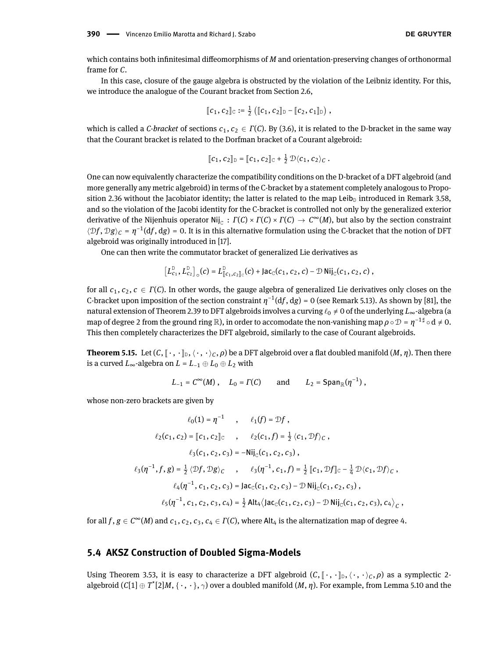,

which contains both infinitesimal diffeomorphisms of *M* and orientation-preserving changes of orthonormal frame for *C*.

In this case, closure of the gauge algebra is obstructed by the violation of the Leibniz identity. For this, we introduce the analogue of the Courant bracket from Section [2.6,](#page-13-2)

$$
[\![c_1, c_2]\!]_{\mathbb{C}} := \frac{1}{2} ([\![c_1, c_2]\!]_{\mathbb{D}} - [\![c_2, c_1]\!]_{\mathbb{D}}),
$$

which is called a *C-bracket* of sections  $c_1, c_2 \in \Gamma(C)$ . By [\(3.6\)](#page-16-3), it is related to the D-bracket in the same way that the Courant bracket is related to the Dorfman bracket of a Courant algebroid:

$$
[\![c_1, c_2]\!]_D = [\![c_1, c_2]\!]_C + \frac{1}{2} \mathcal{D}\langle c_1, c_2\rangle_C.
$$

One can now equivalently characterize the compatibility conditions on the D-bracket of a DFT algebroid (and more generally any metric algebroid) in terms of the C-bracket by a statement completely analogous to Propo-sition [2.36](#page-14-0) without the Jacobiator identity; the latter is related to the map Leib<sub>D</sub> introduced in Remark [3.58,](#page-25-2) and so the violation of the Jacobi identity for the C-bracket is controlled not only by the generalized exterior derivative of the Nijenhuis operator Nij<sub>C</sub> : *Γ*(*C*) × *Γ*(*C*) × *Γ*(*C*) → *C*<sup>∞</sup>(*M*), but also by the section constraint  $\langle \mathcal{D}f, \mathcal{D}g \rangle_C = \eta^{-1}(df, dg) = 0$ . It is in this alternative formulation using the C-bracket that the notion of DFT algebroid was originally introduced in [\[17\]](#page-46-16).

One can then write the commutator bracket of generalized Lie derivatives as

$$
\left[L_{c_1}^D, L_{c_2}^D\right]_{\circ}(c) = L_{\llbracket c_1, c_2 \rrbracket_{\circ}}^D(c) + \mathsf{Jac}_{C}(c_1, c_2, c) - \mathcal{D} \,\mathsf{Nij}_{C}(c_1, c_2, c) ,
$$

for all  $c_1, c_2, c \in \Gamma(C)$ . In other words, the gauge algebra of generalized Lie derivatives only closes on the C-bracket upon imposition of the section constraint  $\eta^{-1}(df, dg) = 0$  (see Remark [5.13\)](#page-36-0). As shown by [\[81\]](#page-49-1), the natural extension of Theorem [2.39](#page-15-0) to DFT algebroids involves a curving  $\ell_0 \neq 0$  of the underlying *L*<sub>∞</sub>-algebra (a map of degree 2 from the ground ring  $\R$ ), in order to accomodate the non-vanishing map  $\rho\circ\mathcal D$  =  $\eta^{-1\sharp}\circ {\rm d}$  ≠ 0. This then completely characterizes the DFT algebroid, similarly to the case of Courant algebroids.

<span id="page-37-0"></span>**Theorem 5.15.** Let  $(C, \|\cdot\|, \cdot\|_D, \langle\cdot\|, \cdot\rangle_C, \rho)$  be a DFT algebroid over a flat doubled manifold  $(M, \eta)$ . Then there is a curved  $L_{\infty}$ -algebra on  $L = L_{-1} ⊕ L_0 ⊕ L_2$  with

$$
L_{-1} = C^{\infty}(M) , \quad L_0 = \Gamma(C) \quad \text{and} \quad L_2 = \text{Span}_{\mathbb{R}}(\eta^{-1}),
$$

whose non-zero brackets are given by

$$
\ell_0(1) = \eta^{-1} \qquad , \qquad \ell_1(f) = \mathcal{D}f ,
$$
  
\n
$$
\ell_2(c_1, c_2) = [c_1, c_2]_C \qquad , \qquad \ell_2(c_1, f) = \frac{1}{2} \langle c_1, \mathcal{D}f \rangle_C ,
$$
  
\n
$$
\ell_3(c_1, c_2, c_3) = -\text{Nij}_C(c_1, c_2, c_3) ,
$$
  
\n
$$
\ell_3(\eta^{-1}, f, g) = \frac{1}{2} \langle \mathcal{D}f, \mathcal{D}g \rangle_C \qquad , \qquad \ell_3(\eta^{-1}, c_1, f) = \frac{1}{2} [c_1, \mathcal{D}f]_C - \frac{1}{4} \mathcal{D} \langle c_1, \mathcal{D}f \rangle_C ,
$$
  
\n
$$
\ell_4(\eta^{-1}, c_1, c_2, c_3) = \text{Jac}_C(c_1, c_2, c_3) - \mathcal{D} \text{Nij}_C(c_1, c_2, c_3) ,
$$
  
\n
$$
\ell_5(\eta^{-1}, c_1, c_2, c_3, c_4) = \frac{1}{2} \text{Alt}_4 \langle \text{Jac}_C(c_1, c_2, c_3) - \mathcal{D} \text{Nij}_C(c_1, c_2, c_3), c_4 \rangle_C
$$

for all  $f, g \in C^{\infty}(M)$  and  $c_1, c_2, c_3, c_4 \in \Gamma(C)$ , where Alt<sub>4</sub> is the alternatization map of degree 4.

#### <span id="page-37-1"></span>**5.4 AKSZ Construction of Doubled Sigma-Models**

Using Theorem [3.53,](#page-24-0) it is easy to characterize a DFT algebroid  $(C, \lceil \cdot, \cdot \rceil_D, \langle \cdot, \cdot \rangle_C, \rho)$  as a symplectic 2algebroid (C[1]  $\oplus$   $T^{*}[2]M,$   $\{\cdot\,,\,\cdot\},$   $\gamma$ ) over a doubled manifold (M,  $\eta$ ). For example, from Lemma [5.10](#page-35-3) and the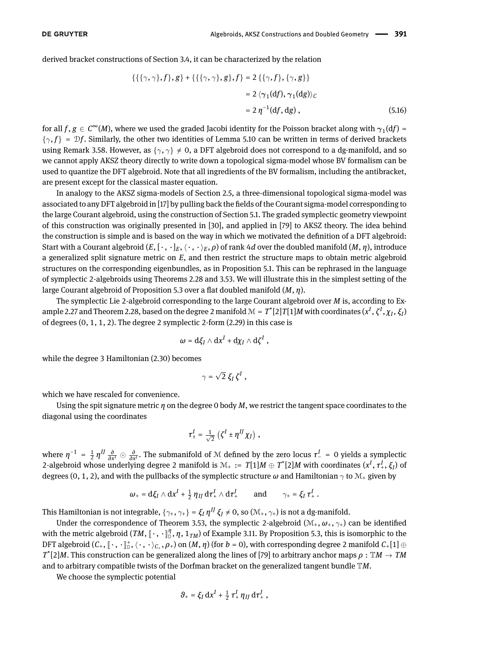derived bracket constructions of Section [3.4,](#page-23-3) it can be characterized by the relation

<span id="page-38-0"></span>
$$
\{\{\{\gamma, \gamma\}, f\}, g\} + \{\{\{\gamma, \gamma\}, g\}, f\} = 2 \{\{\gamma, f\}, \{\gamma, g\}\}\
$$

$$
= 2 \langle \gamma_1(\mathrm{d}f), \gamma_1(\mathrm{d}g) \rangle_C
$$

$$
= 2 \eta^{-1}(\mathrm{d}f, \mathrm{d}g) , \tag{5.16}
$$

for all  $f, g \in C^{\infty}(M)$ , where we used the graded Jacobi identity for the Poisson bracket along with  $\gamma_1(\mathrm{d} f)$  =  $\{\gamma, f\} = \mathcal{D}f$ . Similarly, the other two identities of Lemma [5.10](#page-35-3) can be written in terms of derived brackets using Remark [3.58.](#page-25-2) However, as  $\{\gamma, \gamma\} \neq 0$ , a DFT algebroid does not correspond to a dg-manifold, and so we cannot apply AKSZ theory directly to write down a topological sigma-model whose BV formalism can be used to quantize the DFT algebroid. Note that all ingredients of the BV formalism, including the antibracket, are present except for the classical master equation.

In analogy to the AKSZ sigma-models of Section [2.5,](#page-10-4) a three-dimensional topological sigma-model was associated to any DFT algebroid in [\[17\]](#page-46-16) by pulling back the fields of the Courant sigma-model corresponding to the large Courant algebroid, using the construction of Section [5.1.](#page-33-3) The graded symplectic geometry viewpoint of this construction was originally presented in [\[30\]](#page-47-10), and applied in [\[79\]](#page-48-25) to AKSZ theory. The idea behind the construction is simple and is based on the way in which we motivated the definition of a DFT algebroid: Start with a Courant algebroid  $(E, [\cdot, \cdot]_E, \langle \cdot, \cdot \rangle_E, \rho)$  of rank 4*d* over the doubled manifold  $(M, \eta)$ , introduce a generalized split signature metric on *E*, and then restrict the structure maps to obtain metric algebroid structures on the corresponding eigenbundles, as in Proposition [5.1.](#page-33-1) This can be rephrased in the language of symplectic 2-algebroids using Theorems [2.28](#page-11-5) and [3.53.](#page-24-0) We will illustrate this in the simplest setting of the large Courant algebroid of Proposition [5.3](#page-34-1) over a flat doubled manifold (*M*, *η*).

The symplectic Lie 2-algebroid corresponding to the large Courant algebroid over *M* is, according to Ex-ample [2.27](#page-11-2) and Theorem [2.28,](#page-11-5) based on the degree 2 manifold  $\mathcal{M}=T^{*}[2]T[1]M$  with coordinates  $(x^I,\zeta^I,\chi_I,\xi_I)$ of degrees (0, 1, 1, 2). The degree 2 symplectic 2-form [\(2.29\)](#page-11-1) in this case is

$$
\omega = d\xi_I \wedge dx^I + d\chi_I \wedge d\zeta^I,
$$

while the degree 3 Hamiltonian [\(2.30\)](#page-12-0) becomes

$$
\gamma = \sqrt{2} \, \xi_I \, \zeta^I \,,
$$

which we have rescaled for convenience.

Using the spit signature metric *η* on the degree 0 body *M*, we restrict the tangent space coordinates to the diagonal using the coordinates

$$
\tau_{\pm}^I = \frac{1}{\sqrt{2}} \left( \zeta^I \pm \eta^{IJ} \chi_J \right) ,
$$

where  $\eta^{-1} = \frac{1}{2} \eta^{IJ} \frac{\partial}{\partial x^I} \odot \frac{\partial}{\partial x^J}$ . The submanifold of M defined by the zero locus  $\tau^I = 0$  yields a symplectic 2-algebroid whose underlying degree 2 manifold is  $M_+ := T[1]M \oplus T^*[2]M$  with coordinates  $(x^I, \tau^I_+, \xi_I)$  of degrees (0, 1, 2), and with the pullbacks of the symplectic structure  $\omega$  and Hamiltonian  $\gamma$  to  $\mathcal{M}_+$  given by

$$
\omega_{+} = d\xi_{I} \wedge dx^{I} + \frac{1}{2} \eta_{IJ} d\tau_{+}^{I} \wedge d\tau_{+}^{J} \quad \text{and} \quad \gamma_{+} = \xi_{I} \tau_{+}^{I}.
$$

This Hamiltonian is not integrable,  $\{\gamma_+,\gamma_+\}=\xi_I\,\eta^{IJ}\,\xi_J\neq0,$  so  $(\mathcal{M}_+,\gamma_+)$  is not a dg-manifold.

Under the correspondence of Theorem [3.53,](#page-24-0) the symplectic 2-algebroid  $(\mathcal{M}_+, \omega_+, \gamma_+)$  can be identified with the metric algebroid  $(TM, [\cdot, \cdot]_{D}^{n}, \eta, 1_{TM})$  of Example [3.11.](#page-17-2) By Proposition [5.3,](#page-34-1) this is isomorphic to the DFT algebroid  $(C_+$ ,  $[\cdot, \cdot]^+_{\mathbb{D}}, \langle \cdot, \cdot \rangle_{C_+}, \rho_+$ ) on  $(M, \eta)$  (for  $b = 0$ ), with corresponding degree 2 manifold  $C_+$ [1] ⊕ *T* \* [2]*M*. This construction can be generalized along the lines of [\[79\]](#page-48-25) to arbitrary anchor maps *ρ* : T*M* → *TM* and to arbitrary compatible twists of the Dorfman bracket on the generalized tangent bundle T*M*.

We choose the symplectic potential

$$
\vartheta_+ = \xi_I \, \mathrm{d} x^I + \tfrac{1}{2} \, \tau_+^I \, \eta_{IJ} \, \mathrm{d} \tau_+^I \,,
$$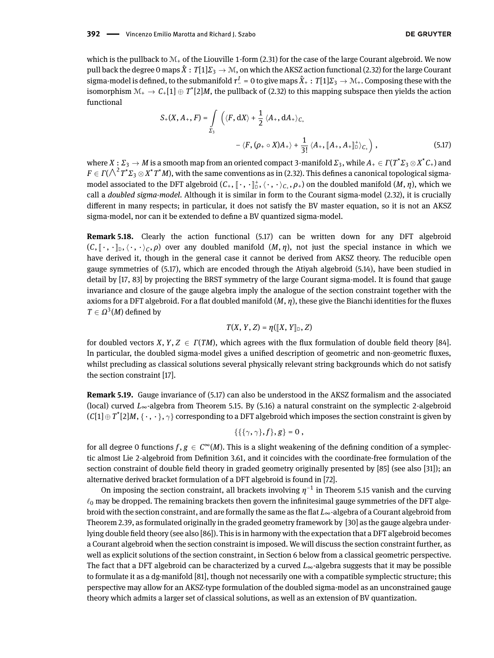which is the pullback to  $M_+$  of the Liouville 1-form [\(2.31\)](#page-12-2) for the case of the large Courant algebroid. We now pull back the degree 0 maps *X*ˆ : *T*[1]*Σ*<sup>3</sup> → M, on which the AKSZ action functional [\(2.32\)](#page-12-1) for the large Courant  $\sin$  sigma-model is defined, to the submanifold  $\tau_-^I$  = 0 to give maps  $\hat X_+:\,T[1]\Sigma_3\to\mathfrak M_+ .$  Composing these with the isomorphism  $\mathcal{M}_+ \to \mathcal{C}_+[1] \oplus T^\star[2]M$ , the pullback of [\(2.32\)](#page-12-1) to this mapping subspace then yields the action functional

<span id="page-39-0"></span>
$$
S_{+}(X, A_{+}, F) = \int_{\Sigma_{3}} \left( \langle F, dX \rangle + \frac{1}{2} \langle A_{+}, dA_{+} \rangle_{C_{+}} - \langle F, (\rho_{+} \circ X)A_{+} \rangle + \frac{1}{3!} \langle A_{+}, [A_{+}, A_{+}]_{\mathbb{D}}^{+} \rangle_{C_{+}} \right),
$$
\n(5.17)

where  $X:\Sigma_3\to M$  is a smooth map from an oriented compact 3-manifold  $\Sigma_3$ , while  $A_+\in\Gamma(T^*\Sigma_3\otimes X^*C_+)$  and  $F\in \varGamma(\bigwedge^2T^*\varSigma_3\otimes X^*T^*M),$  with the same conventions as in [\(2.32\)](#page-12-1). This defines a canonical topological sigmamodel associated to the DFT algebroid  $(C_+,\llbracket \cdot, \cdot \rrbracket^+_\mathcal{D}, \langle \cdot, \cdot \rangle_{C_+}, \rho_+)$  on the doubled manifold  $(M,\eta)$ , which we<br>call a doubled signature and definitions in fact, the Connectations and d(2.33), it is equal the call a *doubled sigma-model*. Although it is similar in form to the Courant sigma-model [\(2.32\)](#page-12-1), it is crucially different in many respects; in particular, it does not satisfy the BV master equation, so it is not an AKSZ sigma-model, nor can it be extended to define a BV quantized sigma-model.

**Remark 5.18.** Clearly the action functional [\(5.17\)](#page-39-0) can be written down for any DFT algebroid  $(C, \lceil \cdot, \cdot \rceil)$ <sub>c</sub>,  $\langle \cdot, \cdot \rangle_c$ ,  $\rho$ ) over any doubled manifold  $(M, \eta)$ , not just the special instance in which we have derived it, though in the general case it cannot be derived from AKSZ theory. The reducible open gauge symmetries of [\(5.17\)](#page-39-0), which are encoded through the Atiyah algebroid [\(5.14\)](#page-36-1), have been studied in detail by [\[17,](#page-46-16) [83\]](#page-49-3) by projecting the BRST symmetry of the large Courant sigma-model. It is found that gauge invariance and closure of the gauge algebra imply the analogue of the section constraint together with the axioms for a DFT algebroid. For a flat doubled manifold  $(M, \eta)$ , these give the Bianchi identities for the fluxes  $T \in \Omega^3(M)$  defined by

$$
T(X, Y, Z) = \eta([\![X, Y]\!]_D, Z)
$$

for doubled vectors *X*, *Y*, *Z*  $\in$  *Γ*(*TM*), which agrees with the flux formulation of double field theory [\[84\]](#page-49-4). In particular, the doubled sigma-model gives a unified description of geometric and non-geometric fluxes, whilst precluding as classical solutions several physically relevant string backgrounds which do not satisfy the section constraint [\[17\]](#page-46-16).

**Remark 5.19.** Gauge invariance of [\(5.17\)](#page-39-0) can also be understood in the AKSZ formalism and the associated (local) curved *L*∞-algebra from Theorem [5.15.](#page-37-0) By [\(5.16\)](#page-38-0) a natural constraint on the symplectic 2-algebroid  $(C[1]\oplus T^*[2]M, \{\cdot, \cdot\}, \gamma\}$  corresponding to a DFT algebroid which imposes the section constraint is given by

$$
\{\{\{\gamma,\gamma\},f\},g\}=0\ ,
$$

for all degree 0 functions  $f, g \in C^{\infty}(M)$ . This is a slight weakening of the defining condition of a symplec-tic almost Lie 2-algebroid from Definition [3.61,](#page-26-3) and it coincides with the coordinate-free formulation of the section constraint of double field theory in graded geometry originally presented by [\[85\]](#page-49-5) (see also [\[31\]](#page-47-11)); an alternative derived bracket formulation of a DFT algebroid is found in [\[72\]](#page-48-18).

On imposing the section constraint, all brackets involving  $\eta^{-1}$  in Theorem [5.15](#page-37-0) vanish and the curving  $\ell_0$  may be dropped. The remaining brackets then govern the infinitesimal gauge symmetries of the DFT algebroid with the section constraint, and are formally the same as the flat *L*<sub>∞</sub>-algebra of a Courant algebroid from Theorem [2.39,](#page-15-0) as formulated originally in the graded geometry framework by [\[30\]](#page-47-10) as the gauge algebra under-lying double field theory (see also [\[86\]](#page-49-6)). This is in harmony with the expectation that a DFT algebroid becomes a Courant algebroid when the section constraint is imposed. We will discuss the section constraint further, as well as explicit solutions of the section constraint, in Section [6](#page-40-0) below from a classical geometric perspective. The fact that a DFT algebroid can be characterized by a curved *L*∞-algebra suggests that it may be possible to formulate it as a dg-manifold [\[81\]](#page-49-1), though not necessarily one with a compatible symplectic structure; this perspective may allow for an AKSZ-type formulation of the doubled sigma-model as an unconstrained gauge theory which admits a larger set of classical solutions, as well as an extension of BV quantization.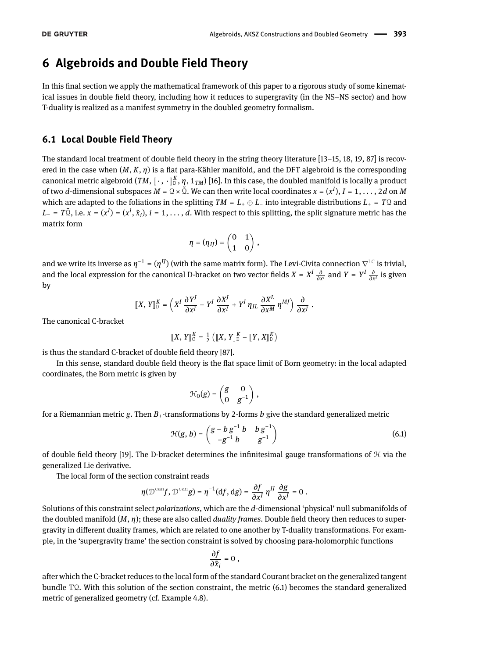# <span id="page-40-0"></span>**6 Algebroids and Double Field Theory**

In this final section we apply the mathematical framework of this paper to a rigorous study of some kinematical issues in double field theory, including how it reduces to supergravity (in the NS–NS sector) and how T-duality is realized as a manifest symmetry in the doubled geometry formalism.

#### <span id="page-40-1"></span>**6.1 Local Double Field Theory**

The standard local treatment of double field theory in the string theory literature  $[13-15, 18, 19, 87]$  $[13-15, 18, 19, 87]$  $[13-15, 18, 19, 87]$  $[13-15, 18, 19, 87]$  $[13-15, 18, 19, 87]$  is recovered in the case when  $(M, K, \eta)$  is a flat para-Kähler manifold, and the DFT algebroid is the corresponding canonical metric algebroid  $(TM, [\cdot, \cdot]_{\mathbb{D}}^K, \eta, 1_{TM})$  [\[16\]](#page-46-15). In this case, the doubled manifold is locally a product of two *d*-dimensional subspaces  $M = Q \times \tilde{Q}$ . We can then write local coordinates  $x = (x^I), I = 1, \ldots, 2d$  on  $M$ which are adapted to the foliations in the splitting *TM* = *L*+ ⊕ *L*− into integrable distributions *L*+ = *T*Q and *L*− = *T*Q̃, i.e. *x* = (*x*<sup>*I*</sup>) = (*x*<sup>*i*</sup>,  $\tilde{x}_i$ ), *i* = 1, ..., *d*. With respect to this splitting, the split signature metric has the matrix form

$$
\eta=(\eta_{IJ})=\begin{pmatrix}0&1\\1&0\end{pmatrix},
$$

and we write its inverse as  $\eta^{-1}$  = ( $\eta^{IJ}$ ) (with the same matrix form). The Levi-Civita connection  $\nabla^{LC}$  is trivial, and the local expression for the canonical D-bracket on two vector fields  $X = X^I \frac{\partial}{\partial x^I}$  and  $Y = Y^I \frac{\partial}{\partial x^I}$  is given by

$$
\llbracket X,\,Y \rrbracket_{\mathbb{D}}^K = \left( X^I \, \frac{\partial \, Y^J}{\partial x^I} - Y^I \, \frac{\partial X^J}{\partial x^I} + Y^I \, \eta_{IL} \, \frac{\partial X^L}{\partial x^M} \, \eta^{MJ} \right) \frac{\partial}{\partial x^J} \; .
$$

The canonical C-bracket

$$
\llbracket X, Y \rrbracket_{\mathbb{C}}^K = \tfrac{1}{2} \left( \llbracket X, Y \rrbracket_{\mathbb{D}}^K - \llbracket Y, X \rrbracket_{\mathbb{D}}^K \right)
$$

is thus the standard C-bracket of double field theory  $[87]$ .

In this sense, standard double field theory is the flat space limit of Born geometry: in the local adapted coordinates, the Born metric is given by

<span id="page-40-2"></span>
$$
\mathcal{H}_0(g) = \begin{pmatrix} g & 0 \\ 0 & g^{-1} \end{pmatrix},
$$

for a Riemannian metric *g*. Then *B*+-transformations by 2-forms *b* give the standard generalized metric

$$
\mathcal{H}(g,b) = \begin{pmatrix} g - bg^{-1} b & bg^{-1} \\ -g^{-1} b & g^{-1} \end{pmatrix}
$$
\n
$$
(6.1)
$$

of double field theory [\[19\]](#page-47-1). The D-bracket determines the infinitesimal gauge transformations of  $H$  via the generalized Lie derivative.

The local form of the section constraint reads

$$
\eta(\mathcal{D}^{\mathrm{can}}f,\mathcal{D}^{\mathrm{can}}g)=\eta^{-1}(\mathrm{d} f,\mathrm{d} g)=\frac{\partial f}{\partial x^I}\,\eta^{IJ}\,\frac{\partial g}{\partial x^J}=0\;.
$$

Solutions of this constraint select *polarizations*, which are the *d*-dimensional 'physical' null submanifolds of the doubled manifold (*M*, *η*); these are also called *duality frames*. Double field theory then reduces to supergravity in different duality frames, which are related to one another by T-duality transformations. For example, in the 'supergravity frame' the section constraint is solved by choosing para-holomorphic functions

$$
\frac{\partial f}{\partial \tilde{x}_i}=0\ ,
$$

after which the C-bracket reduces to the local form of the standard Courant bracket on the generalized tangent bundle TQ. With this solution of the section constraint, the metric [\(6.1\)](#page-40-2) becomes the standard generalized metric of generalized geometry (cf. Example [4.8\)](#page-29-2).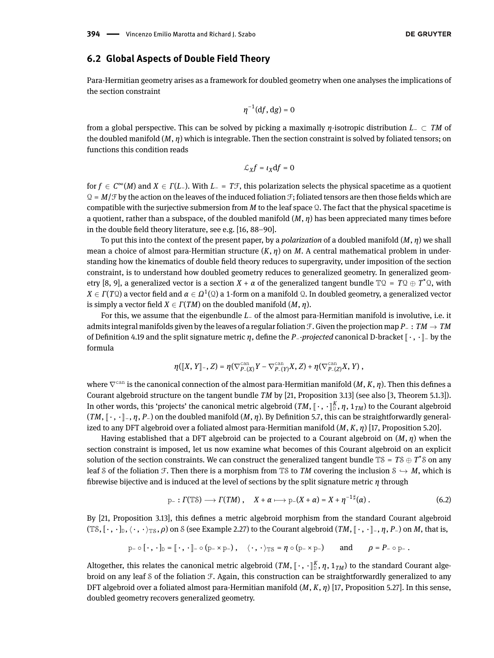#### <span id="page-41-0"></span>**6.2 Global Aspects of Double Field Theory**

Para-Hermitian geometry arises as a framework for doubled geometry when one analyses the implications of the section constraint

$$
\eta^{-1}(\mathrm{d} f,\mathrm{d} g)=0
$$

from a global perspective. This can be solved by picking a maximally *η*-isotropic distribution *L*− ⊂ *TM* of the doubled manifold  $(M, \eta)$  which is integrable. Then the section constraint is solved by foliated tensors; on functions this condition reads

$$
\mathcal{L}_X f = \iota_X \mathrm{d} f = 0
$$

for *f* ∈ *C* <sup>∞</sup>(*M*) and *X* ∈ *Γ*(*L*−). With *L*<sup>−</sup> = *T*F, this polarization selects the physical spacetime as a quotient  $Q = M/F$  by the action on the leaves of the induced foliation  $\mathcal{F}$ ; foliated tensors are then those fields which are compatible with the surjective submersion from  $M$  to the leaf space  $Q$ . The fact that the physical spacetime is a quotient, rather than a subspace, of the doubled manifold (*M*, *η*) has been appreciated many times before in the double field theory literature, see e.g.  $[16, 88-90]$  $[16, 88-90]$  $[16, 88-90]$ .

To put this into the context of the present paper, by a *polarization* of a doubled manifold (*M*, *η*) we shall mean a choice of almost para-Hermitian structure (*K*, *η*) on *M*. A central mathematical problem in understanding how the kinematics of double field theory reduces to supergravity, under imposition of the section constraint, is to understand how doubled geometry reduces to generalized geometry. In generalized geom-etry [\[8,](#page-46-7) [9\]](#page-46-8), a generalized vector is a section  $X + \alpha$  of the generalized tangent bundle  $\mathbb{TQ} = TQ \oplus T^*Q$ , with  $X\in \varGamma(T\mathfrak{Q})$  a vector field and  $\alpha\in \varOmega^1(\mathfrak{Q})$  a 1-form on a manifold  $\mathfrak{Q}.$  In doubled geometry, a generalized vector is simply a vector field  $X \in \Gamma(TM)$  on the doubled manifold  $(M, \eta)$ .

For this, we assume that the eigenbundle *L*− of the almost para-Hermitian manifold is involutive, i.e. it admits integral manifolds given by the leaves of a regular foliationF. Given the projection map *P*− : *TM* → *TM* of Definition [4.19](#page-32-3) and the split signature metric *η*, define the *P*−*-projected* canonical D-bracket  $\Vert \cdot$ , ·  $\Vert$  by the formula

$$
\eta([\![X,Y]\!]_-,Z)=\eta(\nabla_{P_-(X)}^{\mathrm{can}}Y-\nabla_{P_-(Y)}^{\mathrm{can}}X,Z)+\eta(\nabla_{P_-(Z)}^{\mathrm{can}}X,Y)\;,
$$

where  $\nabla$ <sup>can</sup> is the canonical connection of the almost para-Hermitian manifold (*M*, *K*, *η*). Then this defines a Courant algebroid structure on the tangent bundle *TM* by [\[21,](#page-47-3) Proposition 3.13] (see also [\[3,](#page-46-2) Theorem 5.1.3]). In other words, this 'projects' the canonical metric algebroid  $(TM, [\cdot, \cdot]_K^K, \eta, 1_{TM})$  to the Courant algebroid  $(\mathbb{Z}M, [\cdot, \cdot]_K^K)$  $(TM, \lceil \cdot, \cdot \rceil, n, P)$  on the doubled manifold  $(M, \eta)$ . By Definition [5.7,](#page-35-0) this can be straightforwardly generalized to any DFT algebroid over a foliated almost para-Hermitian manifold (*M*, *K*, *η*) [\[17,](#page-46-16) Proposition 5.20].

Having established that a DFT algebroid can be projected to a Courant algebroid on (*M*, *η*) when the section constraint is imposed, let us now examine what becomes of this Courant algebroid on an explicit solution of the section constraints. We can construct the generalized tangent bundle TS = TS  $\oplus$  T\*S on any leaf S of the foliation F. Then there is a morphism from TS to *TM* covering the inclusion  $S \hookrightarrow M$ , which is brewise bijective and is induced at the level of sections by the split signature metric *η* through

<span id="page-41-1"></span>
$$
p_{-}: \Gamma(\mathbb{TS}) \longrightarrow \Gamma(TM), \quad X + \alpha \longmapsto p_{-}(X + \alpha) = X + \eta^{-1} \sharp(\alpha) . \tag{6.2}
$$

By [\[21,](#page-47-3) Proposition 3.13], this defines a metric algebroid morphism from the standard Courant algebroid  $(TS, [\cdot, \cdot]_{D}, \langle \cdot, \cdot \rangle_{TS}, \rho)$  on S (see Example [2.27\)](#page-11-2) to the Courant algebroid  $(TM, [\cdot, \cdot]_{D}, P_{D})$  on *M*, that is,

$$
p_{-} \circ [\cdot, \cdot]_{D} = [\cdot, \cdot]_{-} \circ (p_{-} \times p_{-}), \quad \langle \cdot, \cdot \rangle_{\mathbb{T}\mathcal{S}} = \eta \circ (p_{-} \times p_{-}) \quad \text{and} \quad \rho = P_{-} \circ p_{-}.
$$

Altogether, this relates the canonical metric algebroid  $(TM, [\cdot, \cdot]_{\mathbb{D}}^K, \eta, 1_{TM})$  to the standard Courant algebroid on any leaf S of the foliation F. Again, this construction can be straightforwardly generalized to any DFT algebroid over a foliated almost para-Hermitian manifold (*M*, *K*, *η*) [\[17,](#page-46-16) Proposition 5.27]. In this sense, doubled geometry recovers generalized geometry.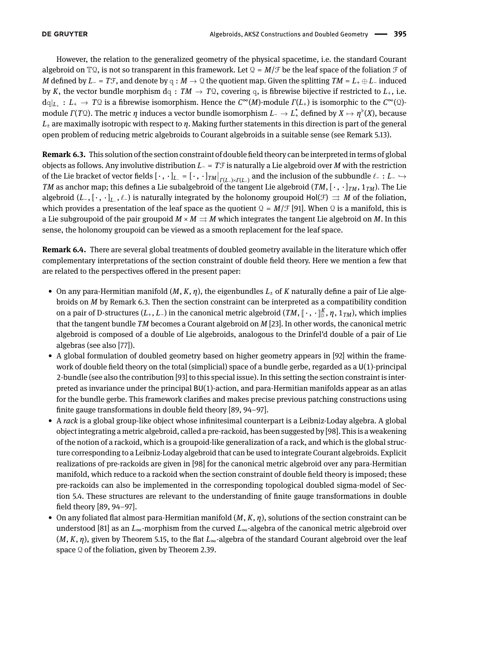However, the relation to the generalized geometry of the physical spacetime, i.e. the standard Courant algebroid on  $\mathbb{TQ}$ , is not so transparent in this framework. Let  $\mathcal{Q} = M/\mathcal{F}$  be the leaf space of the foliation  $\mathcal F$  of *M* defined by  $L = T\mathcal{F}$ , and denote by  $q : M \to \mathbb{Q}$  the quotient map. Given the splitting  $TM = L_+ \oplus L_-$  induced by *K*, the vector bundle morphism dq :  $TM \rightarrow TQ$ , covering q, is fibrewise bijective if restricted to  $L_{+}$ , i.e. dq|*L*<sup>+</sup> : *L*+ → *T*Q is a brewise isomorphism. Hence the *C* <sup>∞</sup>(*M*)-module *Γ*(*L*+) is isomorphic to the *C* <sup>∞</sup>(Q) module *Γ*(*T*Ω). The metric *η* induces a vector bundle isomorphism  $L_− → L_+^*$  defined by  $X → η^{\flat}(X)$ , because  $L_{\pm}$  are maximally isotropic with respect to *η*. Making further statements in this direction is part of the general open problem of reducing metric algebroids to Courant algebroids in a suitable sense (see Remark [5.13\)](#page-36-0).

<span id="page-42-0"></span>**Remark 6.3.** This solution of the section constraint of double field theory can be interpreted in terms of global objects as follows. Any involutive distribution *L*− = *T*F is naturally a Lie algebroid over *M* with the restriction of the Lie bracket of vector fields  $[\cdot, \cdot]_{L_-} = [\cdot, \cdot]_{TM}|_{\Gamma(L_-) \times \Gamma(L_-)}$  and the inclusion of the subbundle  $\ell_- : L_- \hookrightarrow$ *TM* as anchor map; this defines a Lie subalgebroid of the tangent Lie algebroid  $(TM, [\cdot, \cdot]_{TM}, 1_{TM})$ . The Lie algebroid (L−, [⋅, ⋅]<sub>L−</sub>, ℓ−) is naturally integrated by the holonomy groupoid Hol(F)  $\Rightarrow M$  of the foliation, which provides a presentation of the leaf space as the quotient  $\mathcal{Q} = M/\mathcal{F}$  [\[91\]](#page-49-10). When  $\mathcal{Q}$  is a manifold, this is a Lie subgroupoid of the pair groupoid  $M \times M \Rightarrow M$  which integrates the tangent Lie algebroid on M. In this sense, the holonomy groupoid can be viewed as a smooth replacement for the leaf space.

**Remark 6.4.** There are several global treatments of doubled geometry available in the literature which offer complementary interpretations of the section constraint of double field theory. Here we mention a few that are related to the perspectives offered in the present paper:

- On any para-Hermitian manifold  $(M, K, \eta)$ , the eigenbundles  $L_{\pm}$  of K naturally define a pair of Lie algebroids on *M* by Remark [6.3.](#page-42-0) Then the section constraint can be interpreted as a compatibility condition on a pair of D-structures  $(L_+, L_-)$  in the canonical metric algebroid  $(TM, [\![\cdot, \cdot]\!]_D^K, \eta, 1_{TM})$ , which implies that the tangent bundle *TM* becomes a Courant algebroid on *M* [\[23\]](#page-47-30). In other words, the canonical metric algebroid is composed of a double of Lie algebroids, analogous to the Drinfel'd double of a pair of Lie algebras (see also [\[77\]](#page-48-21)).
- A global formulation of doubled geometry based on higher geometry appears in [\[92\]](#page-49-11) within the framework of double field theory on the total (simplicial) space of a bundle gerbe, regarded as a  $U(1)$ -principal 2-bundle (see also the contribution [\[93\]](#page-49-12) to this special issue). In this setting the section constraint is interpreted as invariance under the principal BU(1)-action, and para-Hermitian manifolds appear as an atlas for the bundle gerbe. This framework clarifies and makes precise previous patching constructions using finite gauge transformations in double field theory  $[89, 94-97]$  $[89, 94-97]$  $[89, 94-97]$ .
- A *rack* is a global group-like object whose infinitesimal counterpart is a Leibniz-Loday algebra. A global object integrating a metric algebroid, called a pre-rackoid, has been suggested by [\[98\]](#page-49-16). This is a weakening of the notion of a rackoid, which is a groupoid-like generalization of a rack, and which is the global structure corresponding to a Leibniz-Loday algebroid that can be used to integrate Courant algebroids. Explicit realizations of pre-rackoids are given in [\[98\]](#page-49-16) for the canonical metric algebroid over any para-Hermitian manifold, which reduce to a rackoid when the section constraint of double field theory is imposed; these pre-rackoids can also be implemented in the corresponding topological doubled sigma-model of Section [5.4.](#page-37-1) These structures are relevant to the understanding of nite gauge transformations in double field theory [\[89,](#page-49-13) 94-[97\]](#page-49-15).
- On any foliated flat almost para-Hermitian manifold  $(M, K, \eta)$ , solutions of the section constraint can be understood [\[81\]](#page-49-1) as an *L*∞-morphism from the curved *L*∞-algebra of the canonical metric algebroid over  $(M, K, \eta)$ , given by Theorem [5.15,](#page-37-0) to the flat  $L_{\infty}$ -algebra of the standard Courant algebroid over the leaf space  $\Omega$  of the foliation, given by Theorem [2.39.](#page-15-0)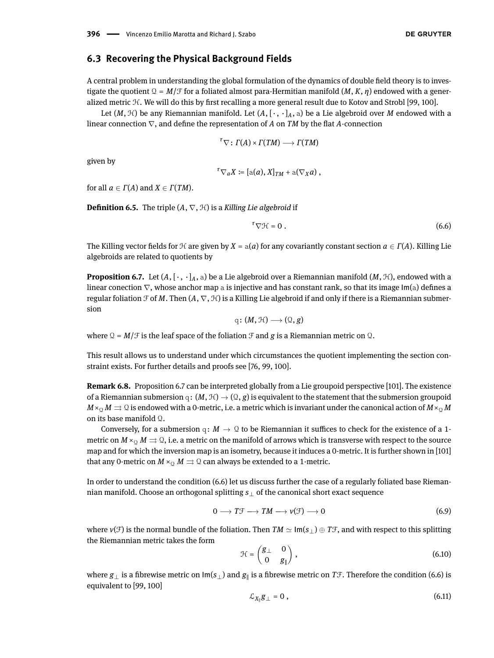# **6.3 Recovering the Physical Background Fields**

A central problem in understanding the global formulation of the dynamics of double field theory is to investigate the quotient  $Q = M/f$  for a foliated almost para-Hermitian manifold  $(M, K, \eta)$  endowed with a generalized metric  $H$ . We will do this by first recalling a more general result due to Kotov and Strobl [\[99,](#page-49-17) [100\]](#page-49-18).

Let  $(M, \mathcal{H})$  be any Riemannian manifold. Let  $(A, [\cdot, \cdot]_A, a)$  be a Lie algebroid over M endowed with a linear connection  $\nabla$ , and define the representation of *A* on *TM* by the flat *A*-connection

$$
{}^{\tau}\nabla\colon \varGamma(A)\times\varGamma(TM)\longrightarrow \varGamma(TM)
$$

given by

$$
{}^{\tau}\nabla_a X \coloneqq [\alpha(a), X]_{TM} + \alpha(\nabla_X a) ,
$$

for all  $a \in \Gamma(A)$  and  $X \in \Gamma(TM)$ .

**Definition 6.5.** The triple  $(A, \nabla, \mathcal{H})$  is a *Killing Lie algebroid* if

<span id="page-43-1"></span>
$$
{}^{\tau}\nabla\mathcal{H}=0\,.
$$

The Killing vector fields for  $H$  are given by  $X = \alpha(a)$  for any covariantly constant section  $a \in \Gamma(A)$ . Killing Lie algebroids are related to quotients by

<span id="page-43-3"></span><span id="page-43-0"></span>**Proposition 6.7.** Let  $(A, [\cdot, \cdot]_A, \text{a})$  be a Lie algebroid over a Riemannian manifold  $(M, \mathcal{H})$ , endowed with a linear conection  $\nabla$ , whose anchor map a is injective and has constant rank, so that its image Im(a) defines a regular foliation  $\mathcal F$  of  $M$ . Then  $(A,\nabla,\mathcal H)$  is a Killing Lie algebroid if and only if there is a Riemannian submersion

$$
\mathrm{q}\colon (M,\mathcal{H})\longrightarrow (\mathcal{Q},g)
$$

where  $Q = M/\mathcal{F}$  is the leaf space of the foliation  $\mathcal{F}$  and *g* is a Riemannian metric on  $Q$ .

This result allows us to understand under which circumstances the quotient implementing the section constraint exists. For further details and proofs see [\[76,](#page-48-22) [99,](#page-49-17) [100\]](#page-49-18).

**Remark 6.8.** Proposition [6.7](#page-43-0) can be interpreted globally from a Lie groupoid perspective [\[101\]](#page-49-19). The existence of a Riemannian submersion q:  $(M, \mathcal{H}) \to (\Omega, g)$  is equivalent to the statement that the submersion groupoid  $M\times_Q M \rightrightarrows Q$  is endowed with a 0-metric, i.e. a metric which is invariant under the canonical action of  $M\times_Q M$ on its base manifold Q.

Conversely, for a submersion q:  $M \to \Omega$  to be Riemannian it suffices to check for the existence of a 1metric on  $M \times_{\Omega} M \rightrightarrows \mathcal{Q}$ , i.e. a metric on the manifold of arrows which is transverse with respect to the source map and for which the inversion map is an isometry, because it induces a 0-metric. It is further shown in [\[101\]](#page-49-19) that any 0-metric on  $M \times_{\mathbb{Q}} M \rightrightarrows \mathbb{Q}$  can always be extended to a 1-metric.

In order to understand the condition [\(6.6\)](#page-43-1) let us discuss further the case of a regularly foliated base Riemannian manifold. Choose an orthogonal splitting *s*<sup>⊥</sup> of the canonical short exact sequence

<span id="page-43-5"></span>
$$
0 \longrightarrow T\mathcal{F} \longrightarrow TM \longrightarrow \nu(\mathcal{F}) \longrightarrow 0 \tag{6.9}
$$

where *ν*(*F*) is the normal bundle of the foliation. Then  $TM \simeq \text{Im}(s_\perp) \oplus T\mathcal{F}$ , and with respect to this splitting the Riemannian metric takes the form

<span id="page-43-4"></span>
$$
\mathcal{H} = \begin{pmatrix} g_{\perp} & 0 \\ 0 & g_{\parallel} \end{pmatrix},\tag{6.10}
$$

<span id="page-43-2"></span>where  $g_\perp$  is a fibrewise metric on  $\text{Im}(s_\perp)$  and  $g_\parallel$  is a fibrewise metric on *T*F. Therefore the condition [\(6.6\)](#page-43-1) is equivalent to [\[99,](#page-49-17) [100\]](#page-49-18)

$$
\mathcal{L}_{X_{\parallel}}g_{\perp}=0\,,\tag{6.11}
$$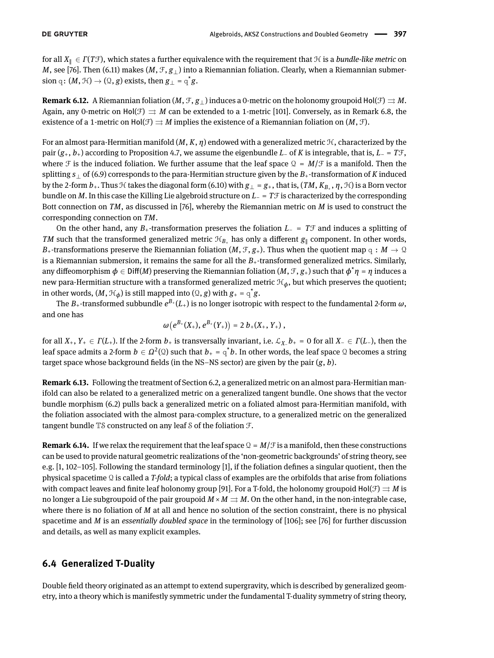for all *X*|| ∈ *Γ*(*T*F), which states a further equivalence with the requirement that H is a *bundle-like metric* on *M*, see [\[76\]](#page-48-22). Then [\(6.11\)](#page-43-2) makes (*M*,  $\mathcal{F}, g_{\perp}$ ) into a Riemannian foliation. Clearly, when a Riemannian submersion  $q\colon (M, \mathcal{H}) \to (\Omega, g)$  exists, then  $g_{\perp}$  =  $q^{\star}g$ .

**Remark 6.12.** A Riemannian foliation  $(M, \mathcal{F}, g_\perp)$  induces a 0-metric on the holonomy groupoid Hol $(\mathcal{F}) \rightrightarrows M$ . Again, any 0-metric on Hol( $\mathcal{F}$ )  $\Rightarrow$  *M* can be extended to a 1-metric [\[101\]](#page-49-19). Conversely, as in Remark [6.8,](#page-43-3) the existence of a 1-metric on Hol( $\mathcal{F}$ )  $\Rightarrow$  *M* implies the existence of a Riemannian foliation on  $(M, \mathcal{F})$ .

For an almost para-Hermitian manifold (*M*, *K*, *η*) endowed with a generalized metric H, characterized by the pair (*g*+, *b*+) according to Proposition [4.7,](#page-28-1) we assume the eigenbundle *L*− of *K* is integrable, that is, *L*− = *T*F, where F is the induced foliation. We further assume that the leaf space  $Q = M/F$  is a manifold. Then the splitting *s*<sup>⊥</sup> of [\(6.9\)](#page-43-4) corresponds to the para-Hermitian structure given by the *B*+-transformation of *K* induced by the 2-form  $b_+$ . Thus  $\mathfrak{H}$  takes the diagonal form [\(6.10\)](#page-43-5) with  $g_\perp=g_+$ , that is,  $(TM,K_{B_+},\eta,\mathfrak{H})$  is a Born vector bundle on *M*. In this case the Killing Lie algebroid structure on *L*− = *T*F is characterized by the corresponding Bott connection on *TM*, as discussed in [\[76\]](#page-48-22), whereby the Riemannian metric on *M* is used to construct the corresponding connection on *TM*.

On the other hand, any *B*+-transformation preserves the foliation *L*− = *T*F and induces a splitting of *TM* such that the transformed generalized metric  $\mathcal{H}_{B_+}$  has only a different  $g_{\parallel}$  component. In other words, *B*<sub>+</sub>-transformations preserve the Riemannian foliation  $(M, \mathcal{F}, g_+)$ . Thus when the quotient map q :  $M \to \mathcal{Q}$ is a Riemannian submersion, it remains the same for all the *B*+-transformed generalized metrics. Similarly, any diffeomorphism  $\phi \in \text{Diff}(M)$  preserving the Riemannian foliation  $(M,\mathcal{F},g_+)$  such that  $\phi^*\eta=\eta$  induces a new para-Hermitian structure with a transformed generalized metric  $\mathcal{H}_{\phi}$ , but which preserves the quotient; in other words,  $(M, \mathcal{H}_{\phi})$  is still mapped into  $(\mathcal{Q}, g)$  with  $g_{+} = \mathcal{q}^{\star} g$ .

The  $B_+$ -transformed subbundle  $e^{B_+}(L_+)$  is no longer isotropic with respect to the fundamental 2-form  $\omega,$ and one has

$$
\omega(e^{B_+}(X_+), e^{B_+}(Y_+)) = 2 b_+(X_+, Y_+),
$$

for all  $X_+$ ,  $Y_+ \in \Gamma(L_+)$ . If the 2-form  $b_+$  is transversally invariant, i.e.  $\mathcal{L}_{X_-}b_+ = 0$  for all  $X_- \in \Gamma(L_-)$ , then the leaf space admits a 2-form  $b\in \Omega^2(\mathbb{Q})$  such that  $b_+=\r{q}^*b.$  In other words, the leaf space  $\mathbb Q$  becomes a string target space whose background fields (in the NS–NS sector) are given by the pair  $(g, b)$ .

**Remark 6.13.** Following the treatment of Section [6.2,](#page-41-0) a generalized metric on an almost para-Hermitian manifold can also be related to a generalized metric on a generalized tangent bundle. One shows that the vector bundle morphism [\(6.2\)](#page-41-1) pulls back a generalized metric on a foliated almost para-Hermitian manifold, with the foliation associated with the almost para-complex structure, to a generalized metric on the generalized tangent bundle  $\mathbb{TS}$  constructed on any leaf  $\mathcal S$  of the foliation  $\mathcal F$ .

<span id="page-44-0"></span>**Remark 6.14.** If we relax the requirement that the leaf space  $Q = M/\mathcal{F}$  is a manifold, then these constructions can be used to provide natural geometric realizations of the 'non-geometric backgrounds' of string theory, see e.g. [\[1,](#page-46-0) [102–](#page-49-20)[105\]](#page-49-21). Following the standard terminology [\[1\]](#page-46-0), if the foliation defines a singular quotient, then the physical spacetime Q is called a *T-fold*; a typical class of examples are the orbifolds that arise from foliations with compact leaves and finite leaf holonomy group [\[91\]](#page-49-10). For a T-fold, the holonomy groupoid Hol( $\mathcal{F}$ )  $\Rightarrow$  *M* is no longer a Lie subgroupoid of the pair groupoid  $M \times M \Rightarrow M$ . On the other hand, in the non-integrable case, where there is no foliation of *M* at all and hence no solution of the section constraint, there is no physical spacetime and *M* is an *essentially doubled space* in the terminology of [\[106\]](#page-49-22); see [\[76\]](#page-48-22) for further discussion and details, as well as many explicit examples.

# **6.4 Generalized T-Duality**

Double field theory originated as an attempt to extend supergravity, which is described by generalized geometry, into a theory which is manifestly symmetric under the fundamental T-duality symmetry of string theory,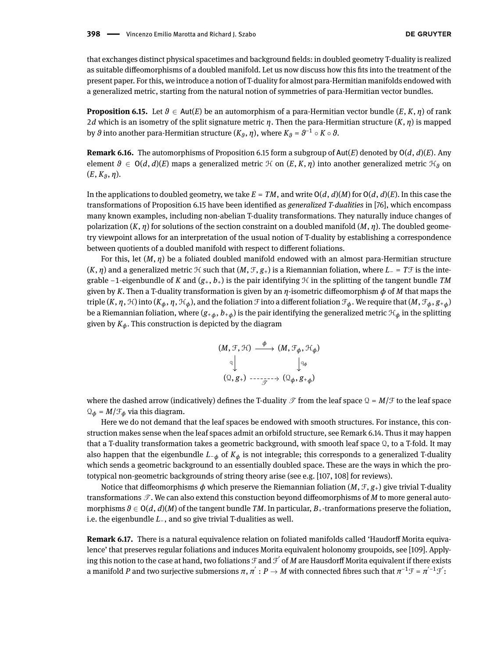that exchanges distinct physical spacetimes and background fields: in doubled geometry T-duality is realized as suitable diffeomorphisms of a doubled manifold. Let us now discuss how this fits into the treatment of the present paper. For this, we introduce a notion of T-duality for almost para-Hermitian manifolds endowed with a generalized metric, starting from the natural notion of symmetries of para-Hermitian vector bundles.

<span id="page-45-0"></span>**Proposition 6.15.** Let  $\theta \in Aut(E)$  be an automorphism of a para-Hermitian vector bundle  $(E, K, \eta)$  of rank 2*d* which is an isometry of the split signature metric *η*. Then the para-Hermitian structure (*K*, *η*) is mapped by  $\vartheta$  into another para-Hermitian structure (Kg,  $\eta$ ), where Kg =  $\vartheta^{-1}\circ K\circ\vartheta.$ 

**Remark 6.16.** The automorphisms of Proposition [6.15](#page-45-0) form a subgroup of Aut(*E*) denoted by O(*d*, *d*)(*E*). Any element  $\theta \in O(d, d)(E)$  maps a generalized metric  $\mathcal{H}$  on  $(E, K, \eta)$  into another generalized metric  $\mathcal{H}_\theta$  on (*E*, *K<sup>ϑ</sup>* , *η*).

In the applications to doubled geometry, we take  $E = TM$ , and write  $O(d, d)(M)$  for  $O(d, d)(E)$ . In this case the transformations of Proposition [6.15](#page-45-0) have been identied as *generalized T-dualities* in [\[76\]](#page-48-22), which encompass many known examples, including non-abelian T-duality transformations. They naturally induce changes of polarization  $(K, \eta)$  for solutions of the section constraint on a doubled manifold  $(M, \eta)$ . The doubled geometry viewpoint allows for an interpretation of the usual notion of T-duality by establishing a correspondence between quotients of a doubled manifold with respect to different foliations.

For this, let (*M*, *η*) be a foliated doubled manifold endowed with an almost para-Hermitian structure  $(K, \eta)$  and a generalized metric  $H$  such that  $(M, \mathcal{F}, g_+)$  is a Riemannian foliation, where  $L$ − =  $T\mathcal{F}$  is the integrable −1-eigenbundle of *K* and (*g*+, *b*+) is the pair identifying H in the splitting of the tangent bundle *TM* given by *K*. Then a T-duality transformation is given by an  $\eta$ -isometric diffeomorphism  $\phi$  of *M* that maps the triple  $(K, \eta, \mathcal{H})$  into  $(K_\phi, \eta, \mathcal{H}_\phi)$ , and the foliation  $\mathcal F$  into a different foliation  $\mathcal F_\phi$ . We require that  $(M, \mathcal F_\phi, g_{+\phi})$ be a Riemannian foliation, where  $(g_{+\phi}, b_{+\phi})$  is the pair identifying the generalized metric  $\mathcal{H}_\phi$  in the splitting given by  $K_{\phi}$ . This construction is depicted by the diagram

$$
(M, \mathcal{F}, \mathcal{H}) \xrightarrow{\phi} (M, \mathcal{F}_{\phi}, \mathcal{H}_{\phi})
$$
\n
$$
\downarrow \downarrow \downarrow
$$
\n
$$
(\mathcal{Q}, g_+) \xrightarrow{\cdot \cdot \cdot \cdot \cdot} (\mathcal{Q}_{\phi}, g_{+\phi})
$$

where the dashed arrow (indicatively) defines the T-duality  $\mathcal T$  from the leaf space  $Q = M/\mathcal F$  to the leaf space  $Q_{\phi} = M/\mathcal{F}_{\phi}$  via this diagram.

Here we do not demand that the leaf spaces be endowed with smooth structures. For instance, this construction makes sense when the leaf spaces admit an orbifold structure, see Remark [6.14.](#page-44-0) Thus it may happen that a T-duality transformation takes a geometric background, with smooth leaf space  $\mathfrak{Q}$ , to a T-fold. It may also happen that the eigenbundle *L*−*<sup>ϕ</sup>* of *K<sup>ϕ</sup>* is not integrable; this corresponds to a generalized T-duality which sends a geometric background to an essentially doubled space. These are the ways in which the prototypical non-geometric backgrounds of string theory arise (see e.g. [\[107,](#page-49-23) [108\]](#page-49-24) for reviews).

Notice that diffeomorphisms  $\phi$  which preserve the Riemannian foliation (*M*,  $\mathcal{F}, g_{+}$ ) give trivial T-duality transformations  $\mathcal{T}$ . We can also extend this constuction beyond diffeomorphisms of *M* to more general automorphisms  $\theta \in O(d, d)(M)$  of the tangent bundle *TM*. In particular,  $B_+$ -tranformations preserve the foliation, i.e. the eigenbundle *L*−, and so give trivial T-dualities as well.

**Remark 6.17.** There is a natural equivalence relation on foliated manifolds called 'Haudorff Morita equivalence' that preserves regular foliations and induces Morita equivalent holonomy groupoids, see [\[109\]](#page-49-25). Applying this notion to the case at hand, two foliations  $\mathfrak F$  and  $\mathfrak F'$  of  $M$  are Hausdorff Morita equivalent if there exists a manifold *P* and two surjective submersions  $\pi, \pi^{'}:P\to M$  with connected fibres such that  $\pi^{-1}\mathcal{F}=\pi^{'-1}\mathcal{F}^{'}$ :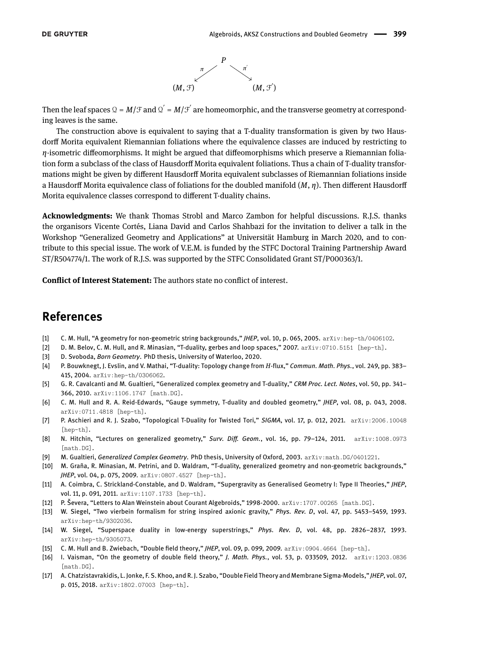

Then the leaf spaces  $\mathcal{Q} = M/\mathcal{F}$  and  $\mathcal{Q}' = M/\mathcal{F}'$  are homeomorphic, and the transverse geometry at corresponding leaves is the same.

The construction above is equivalent to saying that a T-duality transformation is given by two Hausdorff Morita equivalent Riemannian foliations where the equivalence classes are induced by restricting to *η*-isometric diffeomorphisms. It might be argued that diffeomorphisms which preserve a Riemannian foliation form a subclass of the class of Hausdorff Morita equivalent foliations. Thus a chain of T-duality transformations might be given by different Hausdorff Morita equivalent subclasses of Riemannian foliations inside a Hausdorff Morita equivalence class of foliations for the doubled manifold (*M*, *η*). Then different Hausdorff Morita equivalence classes correspond to different T-duality chains.

**Acknowledgments:** We thank Thomas Strobl and Marco Zambon for helpful discussions. R.J.S. thanks the organisors Vicente Cortés, Liana David and Carlos Shahbazi for the invitation to deliver a talk in the Workshop "Generalized Geometry and Applications" at Universität Hamburg in March 2020, and to contribute to this special issue. The work of V.E.M. is funded by the STFC Doctoral Training Partnership Award ST/R504774/1. The work of R.J.S. was supported by the STFC Consolidated Grant ST/P000363/1.

**Conflict of Interest Statement:** The authors state no conflict of interest.

# **References**

- <span id="page-46-0"></span>[1] C. M. Hull, "A geometry for non-geometric string backgrounds," *JHEP*, vol. 10, p. 065, 2005. arXiv:hep-th/0406102.
- <span id="page-46-1"></span>[2] D. M. Belov, C. M. Hull, and R. Minasian, "T-duality, gerbes and loop spaces," 2007. arXiv:0710.5151 [hep-th].
- <span id="page-46-2"></span>[3] D. Svoboda, *Born Geometry*. PhD thesis, University of Waterloo, 2020.
- <span id="page-46-3"></span>[4] P. Bouwknegt, J. Evslin, and V. Mathai, "T-duality: Topology change from *H*-flux," *Commun. Math. Phys.*, vol. 249, pp. 383– 415, 2004. arXiv:hep-th/0306062.
- <span id="page-46-4"></span>[5] G. R. Cavalcanti and M. Gualtieri, "Generalized complex geometry and T-duality," *CRM Proc. Lect. Notes*, vol. 50, pp. 341– 366, 2010. arXiv:1106.1747 [math.DG].
- <span id="page-46-5"></span>[6] C. M. Hull and R. A. Reid-Edwards, "Gauge symmetry, T-duality and doubled geometry," *JHEP*, vol. 08, p. 043, 2008. arXiv:0711.4818 [hep-th].
- <span id="page-46-6"></span>[7] P. Aschieri and R. J. Szabo, "Topological T-Duality for Twisted Tori," *SIGMA*, vol. 17, p. 012, 2021. arXiv:2006.10048 [hep-th].
- <span id="page-46-7"></span>[8] N. Hitchin, "Lectures on generalized geometry," Surv. Diff. Geom., vol. 16, pp. 79-124, 2011. arXiv:1008.0973 [math.DG].
- <span id="page-46-8"></span>[9] M. Gualtieri, *Generalized Complex Geometry*. PhD thesis, University of Oxford, 2003. arXiv:math.DG/0401221.
- <span id="page-46-9"></span>[10] M. Graña, R. Minasian, M. Petrini, and D. Waldram, "T-duality, generalized geometry and non-geometric backgrounds," *JHEP*, vol. 04, p. 075, 2009. arXiv:0807.4527 [hep-th].
- <span id="page-46-10"></span>[11] A. Coimbra, C. Strickland-Constable, and D. Waldram, "Supergravity as Generalised Geometry I: Type II Theories," *JHEP*, vol. 11, p. 091, 2011. arXiv:1107.1733 [hep-th].
- <span id="page-46-11"></span>[12] P. Ševera, "Letters to Alan Weinstein about Courant Algebroids," 1998-2000. arXiv:1707.00265 [math.DG].
- <span id="page-46-12"></span>[13] W. Siegel, "Two vierbein formalism for string inspired axionic gravity," *Phys. Rev. D*, vol. 47, pp. 5453–5459, 1993. arXiv:hep-th/9302036.
- <span id="page-46-13"></span>[14] W. Siegel, "Superspace duality in low-energy superstrings," *Phys. Rev. D*, vol. 48, pp. 2826–2837, 1993. arXiv:hep-th/9305073.
- <span id="page-46-14"></span>[15] C. M. Hull and B. Zwiebach, "Double field theory," *JHEP*, vol. 09, p. 099, 2009. arXiv:0904.4664 [hep-th].
- <span id="page-46-15"></span>[16] I. Vaisman, "On the geometry of double field theory," *J. Math. Phys.*, vol. 53, p. 033509, 2012. arXiv:1203.0836 [math.DG].
- <span id="page-46-16"></span>[17] A. Chatzistavrakidis, L. Jonke, F. S. Khoo, and R. J. Szabo, "Double Field Theory and Membrane Sigma-Models," *JHEP*, vol. 07, p. 015, 2018. arXiv:1802.07003 [hep-th].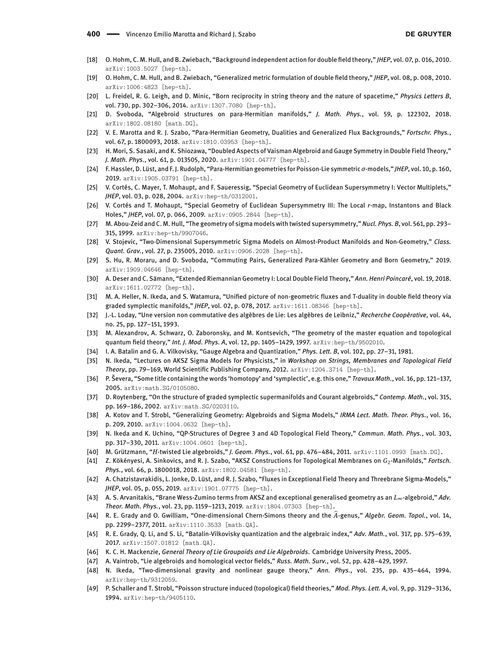- <span id="page-47-0"></span>[18] O. Hohm, C. M. Hull, and B. Zwiebach, "Background independent action for double field theory," *JHEP*, vol. 07, p. 016, 2010. arXiv:1003.5027 [hep-th].
- <span id="page-47-1"></span>[19] O. Hohm, C. M. Hull, and B. Zwiebach, "Generalized metric formulation of double field theory," *JHEP*, vol. 08, p. 008, 2010. arXiv:1006:4823 [hep-th].
- <span id="page-47-2"></span>[20] L. Freidel, R. G. Leigh, and D. Minic, "Born reciprocity in string theory and the nature of spacetime," *Physics Letters B*, vol. 730, pp. 302–306, 2014. arXiv:1307.7080 [hep-th].
- <span id="page-47-3"></span>[21] D. Svoboda, "Algebroid structures on para-Hermitian manifolds," *J. Math. Phys.*, vol. 59, p. 122302, 2018. arXiv:1802.08180 [math.DG].
- <span id="page-47-7"></span>[22] V. E. Marotta and R. J. Szabo, "Para-Hermitian Geometry, Dualities and Generalized Flux Backgrounds," *Fortschr. Phys.*, vol. 67, p. 1800093, 2018. arXiv:1810.03953 [hep-th].
- <span id="page-47-30"></span>[23] H. Mori, S. Sasaki, and K. Shiozawa, "Doubled Aspects of Vaisman Algebroid and Gauge Symmetry in Double Field Theory," *J. Math. Phys.*, vol. 61, p. 013505, 2020. arXiv:1901.04777 [hep-th].
- <span id="page-47-4"></span>[24] F. Hassler, D. Lüst, and F. J. Rudolph, "Para-Hermitian geometries for Poisson-Lie symmetric *σ*-models," *JHEP*, vol. 10, p. 160, 2019. arXiv:1905.03791 [hep-th].
- <span id="page-47-5"></span>[25] V. Cortés, C. Mayer, T. Mohaupt, and F. Saueressig, "Special Geometry of Euclidean Supersymmetry I: Vector Multiplets," *JHEP*, vol. 03, p. 028, 2004. arXiv:hep-th/0312001.
- <span id="page-47-6"></span>[26] V. Cortés and T. Mohaupt, "Special Geometry of Euclidean Supersymmetry III: The Local *r*-map, Instantons and Black Holes," *JHEP*, vol. 07, p. 066, 2009. arXiv:0905.2844 [hep-th].
- <span id="page-47-8"></span>[27] M. Abou-Zeid and C. M. Hull, "The geometry of sigma models with twisted supersymmetry,"*Nucl. Phys. B*, vol. 561, pp. 293– 315, 1999. arXiv:hep-th/9907046.
- [28] V. Stojevic, "Two-Dimensional Supersymmetric Sigma Models on Almost-Product Manifolds and Non-Geometry," *Class. Quant. Grav.*, vol. 27, p. 235005, 2010. arXiv:0906.2028 [hep-th].
- <span id="page-47-9"></span>[29] S. Hu, R. Moraru, and D. Svoboda, "Commuting Pairs, Generalized Para-Kähler Geometry and Born Geometry," 2019. arXiv:1909.04646 [hep-th].
- <span id="page-47-10"></span>[30] A. Deser and C. Sämann, "Extended Riemannian Geometry I: Local Double Field Theory," *Ann. Henri Poincaré*, vol. 19, 2018. arXiv:1611.02772 [hep-th].
- <span id="page-47-11"></span>[31] M. A. Heller, N. Ikeda, and S. Watamura, "Unified picture of non-geometric fluxes and T-duality in double field theory via graded symplectic manifolds," *JHEP*, vol. 02, p. 078, 2017. arXiv:1611.08346 [hep-th].
- <span id="page-47-12"></span>[32] J.-L. Loday, "Une version non commutative des algèbres de Lie: Les algèbres de Leibniz," *Recherche Coopèrative*, vol. 44, no. 25, pp. 127–151, 1993.
- <span id="page-47-13"></span>[33] M. Alexandrov, A. Schwarz, O. Zaboronsky, and M. Kontsevich, "The geometry of the master equation and topological quantum field theory," *Int. J. Mod. Phys. A*, vol. 12, pp. 1405-1429, 1997. arXiv:hep-th/9502010.
- <span id="page-47-14"></span>[34] I. A. Batalin and G. A. Vilkovisky, "Gauge Algebra and Quantization," *Phys. Lett. B*, vol. 102, pp. 27–31, 1981.
- <span id="page-47-15"></span>[35] N. Ikeda, "Lectures on AKSZ Sigma Models for Physicists," in *Workshop on Strings, Membranes and Topological Field* **Theory, pp. 79–169, World Scientific Publishing Company, 2012.** arXiv: 1204.3714 [hep-th].
- <span id="page-47-16"></span>[36] P. Ševera, "Some title containing the words 'homotopy' and 'symplectic', e.g. this one," *Travaux Math.*, vol. 16, pp. 121–137, 2005. arXiv:math.SG/0105080.
- <span id="page-47-17"></span>[37] D. Roytenberg, "On the structure of graded symplectic supermanifolds and Courant algebroids," *Contemp. Math.*, vol. 315, pp. 169–186, 2002. arXiv:math.SG/0203110.
- <span id="page-47-18"></span>[38] A. Kotov and T. Strobl, "Generalizing Geometry: Algebroids and Sigma Models," *IRMA Lect. Math. Theor. Phys.*, vol. 16, p. 209, 2010. arXiv:1004.0632 [hep-th].
- <span id="page-47-19"></span>[39] N. Ikeda and K. Uchino, "QP-Structures of Degree 3 and 4D Topological Field Theory," *Commun. Math. Phys.*, vol. 303, pp. 317–330, 2011. arXiv:1004.0601 [hep-th].
- <span id="page-47-20"></span>[40] M. Grützmann, "*H*-twisted Lie algebroids," *J. Geom. Phys.*, vol. 61, pp. 476–484, 2011. arXiv:1101.0993 [math.DG].
- <span id="page-47-21"></span>[41] Z. Kökényesi, A. Sinkovics, and R. J. Szabo, "AKSZ Constructions for Topological Membranes on *G*2-Manifolds," *Fortsch. Phys.*, vol. 66, p. 1800018, 2018. arXiv:1802.04581 [hep-th].
- <span id="page-47-22"></span>[42] A. Chatzistavrakidis, L. Jonke, D. Lüst, and R. J. Szabo, "Fluxes in Exceptional Field Theory and Threebrane Sigma-Models," *JHEP*, vol. 05, p. 055, 2019. arXiv:1901.07775 [hep-th].
- <span id="page-47-23"></span>[43] A. S. Arvanitakis, "Brane Wess-Zumino terms from AKSZ and exceptional generalised geometry as an *L*∞-algebroid," *Adv. Theor. Math. Phys.*, vol. 23, pp. 1159–1213, 2019. arXiv:1804.07303 [hep-th].
- <span id="page-47-24"></span>[44] R. E. Grady and O. Gwilliam, "One-dimensional Chern-Simons theory and the *<sup>A</sup>*b-genus," *Algebr. Geom. Topol.*, vol. 14, pp. 2299–2377, 2011. arXiv:1110.3533 [math.QA].
- <span id="page-47-25"></span>[45] R. E. Grady, Q. Li, and S. Li, "Batalin-Vilkovisky quantization and the algebraic index," *Adv. Math.*, vol. 317, pp. 575–639, 2017. arXiv:1507.01812 [math.QA].
- <span id="page-47-26"></span>[46] K. C. H. Mackenzie, *General Theory of Lie Groupoids and Lie Algebroids*. Cambridge University Press, 2005.
- <span id="page-47-27"></span>[47] A. Vaintrob, "Lie algebroids and homological vector fields," *Russ. Math. Surv.*, vol. 52, pp. 428–429, 1997.
- <span id="page-47-28"></span>[48] N. Ikeda, "Two-dimensional gravity and nonlinear gauge theory," *Ann. Phys.*, vol. 235, pp. 435–464, 1994. arXiv:hep-th/9312059.
- <span id="page-47-29"></span>[49] P. Schaller and T. Strobl, "Poisson structure induced (topological) field theories," Mod. Phys. Lett. A, vol. 9, pp. 3129-3136, 1994. arXiv:hep-th/9405110.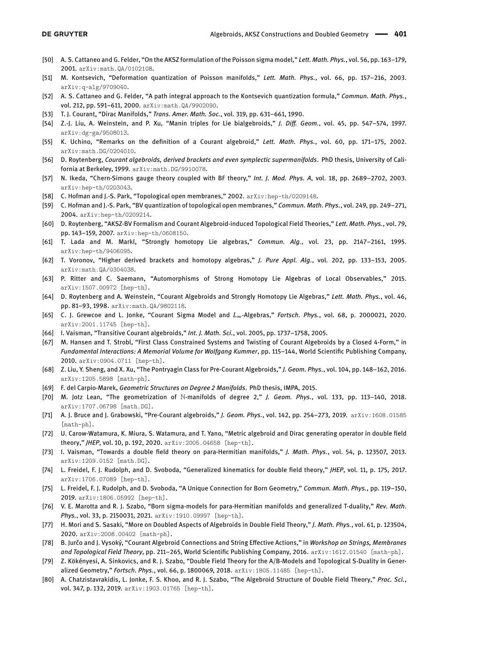- <span id="page-48-0"></span>[50] A. S. Cattaneo and G. Felder, "On the AKSZ formulation of the Poisson sigma model," *Lett. Math. Phys.*, vol. 56, pp. 163–179, 2001. arXiv:math.QA/0102108.
- <span id="page-48-1"></span>[51] M. Kontsevich, "Deformation quantization of Poisson manifolds," *Lett. Math. Phys.*, vol. 66, pp. 157–216, 2003. arXiv:q-alg/9709040.
- <span id="page-48-2"></span>[52] A. S. Cattaneo and G. Felder, "A path integral approach to the Kontsevich quantization formula," *Commun. Math. Phys.*, vol. 212, pp. 591–611, 2000. arXiv:math.QA/9902090.
- <span id="page-48-3"></span>[53] T. J. Courant, "Dirac Manifolds," *Trans. Amer. Math. Soc.*, vol. 319, pp. 631–661, 1990.
- [54] Z.-J. Liu, A. Weinstein, and P. Xu, "Manin triples for Lie bialgebroids," *J. Diff. Geom.*, vol. 45, pp. 547-574, 1997. arXiv:dg-ga/9508013.
- <span id="page-48-4"></span>[55] K. Uchino, "Remarks on the definition of a Courant algebroid," Lett. Math. Phys., vol. 60, pp. 171-175, 2002. arXiv:math.DG/0204010.
- <span id="page-48-5"></span>[56] D. Roytenberg, *Courant algebroids, derived brackets and even symplectic supermanifolds*. PhD thesis, University of California at Berkeley, 1999. arXiv:math.DG/9910078.
- <span id="page-48-6"></span>[57] N. Ikeda, "Chern-Simons gauge theory coupled with BF theory," *Int. J. Mod. Phys. A*, vol. 18, pp. 2689–2702, 2003. arXiv:hep-th/0203043.
- [58] C. Hofman and J.-S. Park, "Topological open membranes," 2002. arXiv:hep-th/0209148.
- [59] C. Hofman and J.-S. Park, "BV quantization of topological open membranes," *Commun. Math. Phys.*, vol. 249, pp. 249–271, 2004. arXiv:hep-th/0209214.
- <span id="page-48-7"></span>[60] D. Roytenberg, "AKSZ-BV Formalism and Courant Algebroid-induced Topological Field Theories," *Lett. Math. Phys.*, vol. 79, pp. 143–159, 2007. arXiv:hep-th/0608150.
- <span id="page-48-8"></span>[61] T. Lada and M. Markl, "Strongly homotopy Lie algebras," *Commun. Alg.*, vol. 23, pp. 2147–2161, 1995. arXiv:hep-th/9406095.
- <span id="page-48-9"></span>[62] T. Voronov, "Higher derived brackets and homotopy algebras," *J. Pure Appl. Alg.*, vol. 202, pp. 133–153, 2005. arXiv:math.QA/0304038.
- <span id="page-48-10"></span>[63] P. Ritter and C. Saemann, "Automorphisms of Strong Homotopy Lie Algebras of Local Observables," 2015. arXiv:1507.00972 [hep-th].
- <span id="page-48-11"></span>[64] D. Roytenberg and A. Weinstein, "Courant Algebroids and Strongly Homotopy Lie Algebras," *Lett. Math. Phys.*, vol. 46, pp. 81–93, 1998. arXiv:math.QA/9802118.
- <span id="page-48-12"></span>[65] C. J. Grewcoe and L. Jonke, "Courant Sigma Model and *L*∞-Algebras," *Fortsch. Phys.*, vol. 68, p. 2000021, 2020. arXiv:2001.11745 [hep-th].
- <span id="page-48-13"></span>[66] I. Vaisman, "Transitive Courant algebroids," *Int. J. Math. Sci.*, vol. 2005, pp. 1737–1758, 2005.
- [67] M. Hansen and T. Strobl, "First Class Constrained Systems and Twisting of Courant Algebroids by a Closed 4-Form," in *Fundamental Interactions: A Memorial Volume for Wolfgang Kummer*, pp. 115–144, World Scientific Publishing Company, 2010. arXiv:0904.0711 [hep-th].
- <span id="page-48-14"></span>[68] Z. Liu, Y. Sheng, and X. Xu, "The Pontryagin Class for Pre-Courant Algebroids," *J. Geom. Phys.*, vol. 104, pp. 148–162, 2016. arXiv:1205.5898 [math-ph].
- <span id="page-48-15"></span>[69] F. del Carpio-Marek, *Geometric Structures on Degree 2 Manifolds*. PhD thesis, IMPA, 2015.
- <span id="page-48-16"></span>[70] M. Jotz Lean, "The geometrization of N-manifolds of degree 2," *J. Geom. Phys.*, vol. 133, pp. 113–140, 2018. arXiv:1707.06798 [math.DG].
- <span id="page-48-17"></span>[71] A. J. Bruce and J. Grabowski, "Pre-Courant algebroids," *J. Geom. Phys.*, vol. 142, pp. 254–273, 2019. arXiv:1608.01585 [math-ph].
- <span id="page-48-18"></span>[72] U. Carow-Watamura, K. Miura, S. Watamura, and T. Yano, "Metric algebroid and Dirac generating operator in double field theory," *JHEP*, vol. 10, p. 192, 2020. arXiv:2005.04658 [hep-th].
- <span id="page-48-19"></span>[73] I. Vaisman, "Towards a double field theory on para-Hermitian manifolds," *J. Math. Phys.*, vol. 54, p. 123507, 2013. arXiv:1209.0152 [math.DG].
- <span id="page-48-20"></span>[74] L. Freidel, F. J. Rudolph, and D. Svoboda, "Generalized kinematics for double field theory," *JHEP*, vol. 11, p. 175, 2017. arXiv:1706.07089 [hep-th].
- <span id="page-48-24"></span>[75] L. Freidel, F. J. Rudolph, and D. Svoboda, "A Unique Connection for Born Geometry," *Commun. Math. Phys.*, pp. 119–150, 2019. arXiv:1806.05992 [hep-th].
- <span id="page-48-22"></span>[76] V. E. Marotta and R. J. Szabo, "Born sigma-models for para-Hermitian manifolds and generalized T-duality," *Rev. Math. Phys.*, vol. 33, p. 2150031, 2021. arXiv:1910.09997 [hep-th].
- <span id="page-48-21"></span>[77] H. Mori and S. Sasaki, "More on Doubled Aspects of Algebroids in Double Field Theory," *J. Math. Phys.*, vol. 61, p. 123504, 2020. arXiv:2008.00402 [math-ph].
- <span id="page-48-23"></span>[78] B. Jurčo and J. Vysoký, "Courant Algebroid Connections and String Effective Actions," in *Workshop on Strings, Membranes* and Topological Field Theory, pp. 211-265, World Scientific Publishing Company, 2016. arXiv:1612.01540 [math-ph].
- <span id="page-48-25"></span>[79] Z. Kökényesi, A. Sinkovics, and R. J. Szabo, "Double Field Theory for the A/B-Models and Topological S-Duality in Generalized Geometry," *Fortsch. Phys.*, vol. 66, p. 1800069, 2018. arXiv:1805.11485 [hep-th].
- <span id="page-48-26"></span>[80] A. Chatzistavrakidis, L. Jonke, F. S. Khoo, and R. J. Szabo, "The Algebroid Structure of Double Field Theory," *Proc. Sci.*, vol. 347, p. 132, 2019. arXiv:1903.01765 [hep-th].